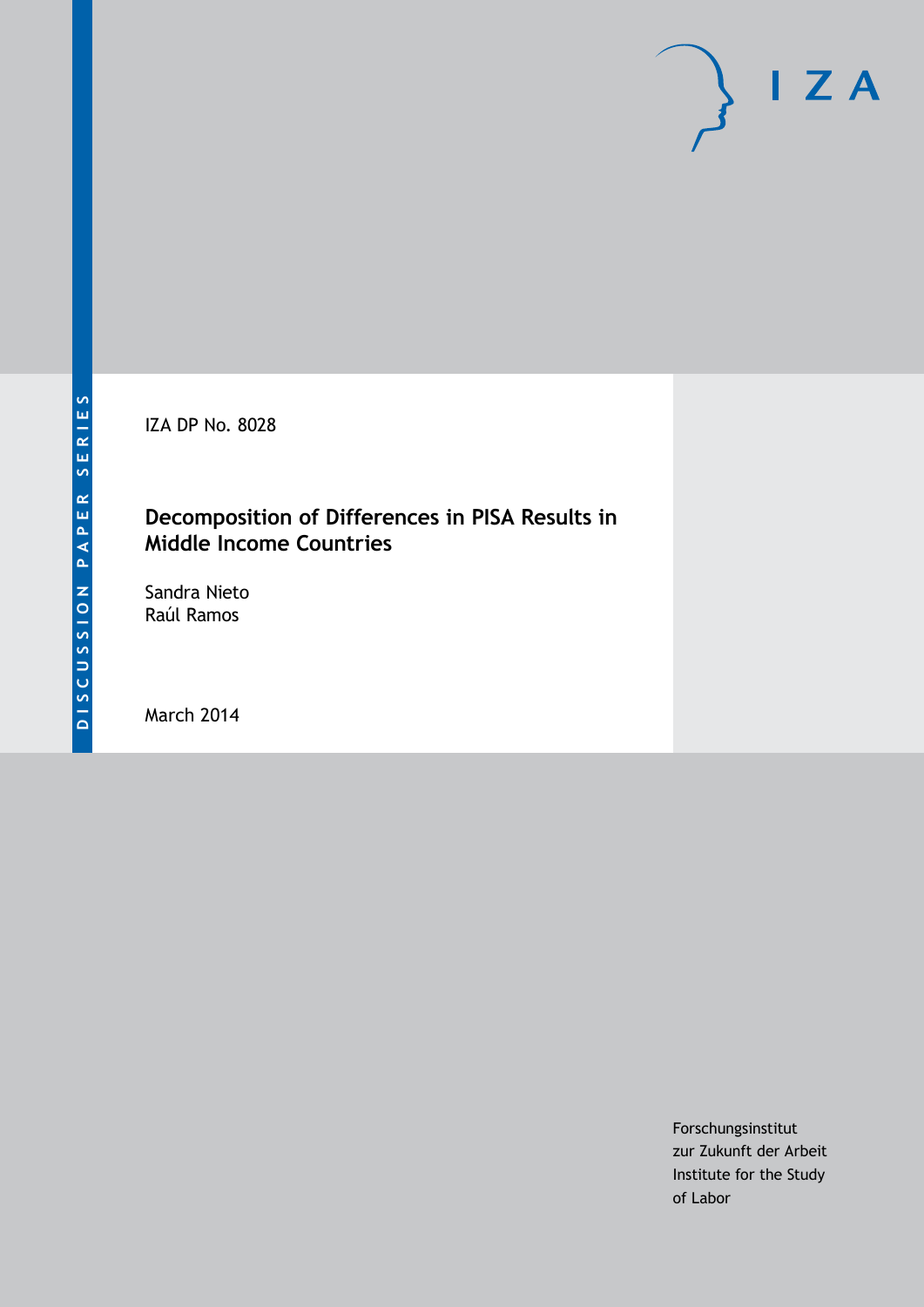IZA DP No. 8028

# **Decomposition of Differences in PISA Results in Middle Income Countries**

Sandra Nieto Raúl Ramos

March 2014

Forschungsinstitut zur Zukunft der Arbeit Institute for the Study of Labor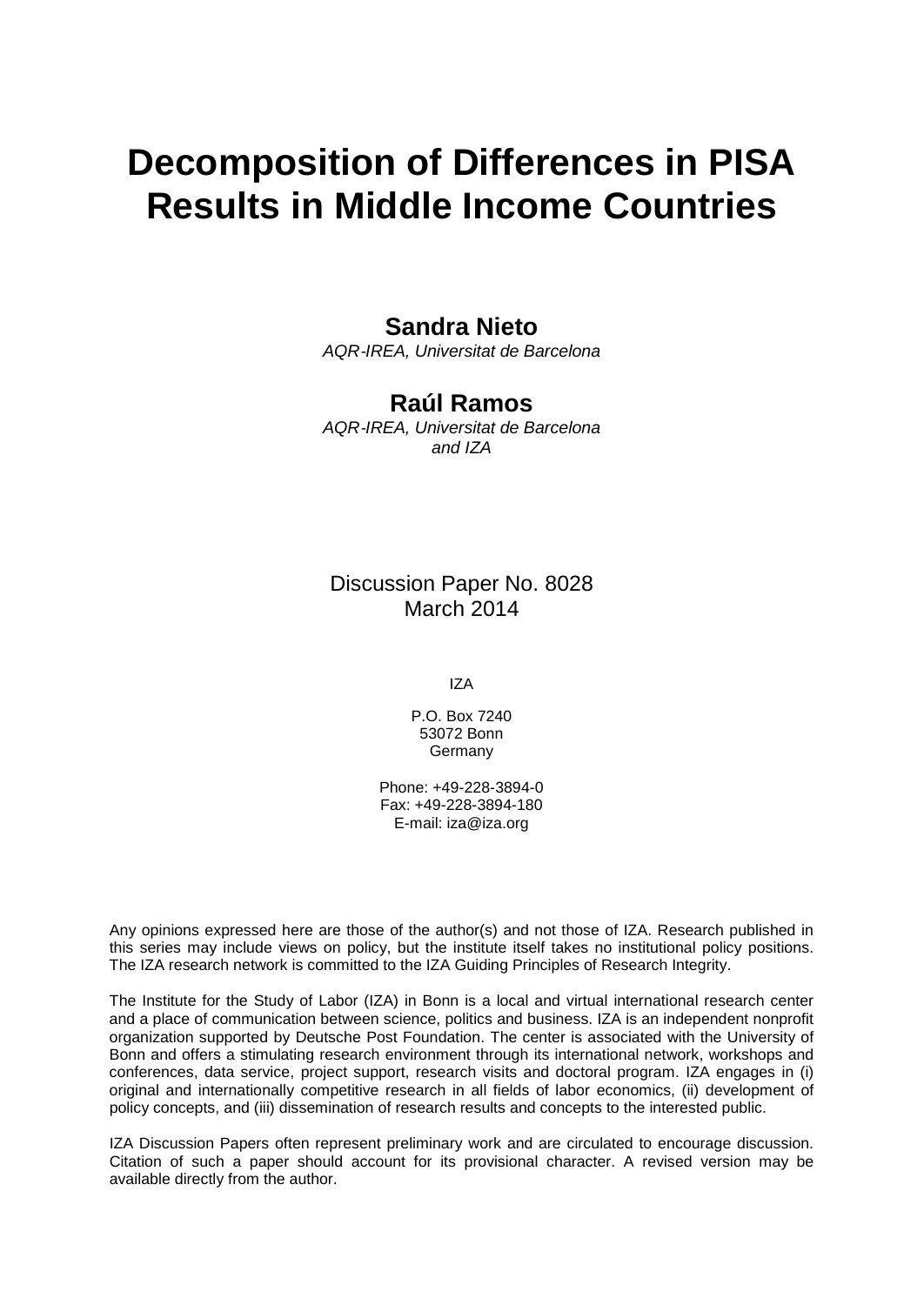# **Decomposition of Differences in PISA Results in Middle Income Countries**

## **Sandra Nieto**

*AQR*‐*IREA, Universitat de Barcelona*

### **Raúl Ramos**

*AQR*‐*IREA, Universitat de Barcelona and IZA*

# Discussion Paper No. 8028 March 2014

IZA

P.O. Box 7240 53072 Bonn Germany

Phone: +49-228-3894-0 Fax: +49-228-3894-180 E-mail: [iza@iza.org](mailto:iza@iza.org)

Any opinions expressed here are those of the author(s) and not those of IZA. Research published in this series may include views on policy, but the institute itself takes no institutional policy positions. The IZA research network is committed to the IZA Guiding Principles of Research Integrity.

The Institute for the Study of Labor (IZA) in Bonn is a local and virtual international research center and a place of communication between science, politics and business. IZA is an independent nonprofit organization supported by Deutsche Post Foundation. The center is associated with the University of Bonn and offers a stimulating research environment through its international network, workshops and conferences, data service, project support, research visits and doctoral program. IZA engages in (i) original and internationally competitive research in all fields of labor economics, (ii) development of policy concepts, and (iii) dissemination of research results and concepts to the interested public.

IZA Discussion Papers often represent preliminary work and are circulated to encourage discussion. Citation of such a paper should account for its provisional character. A revised version may be available directly from the author.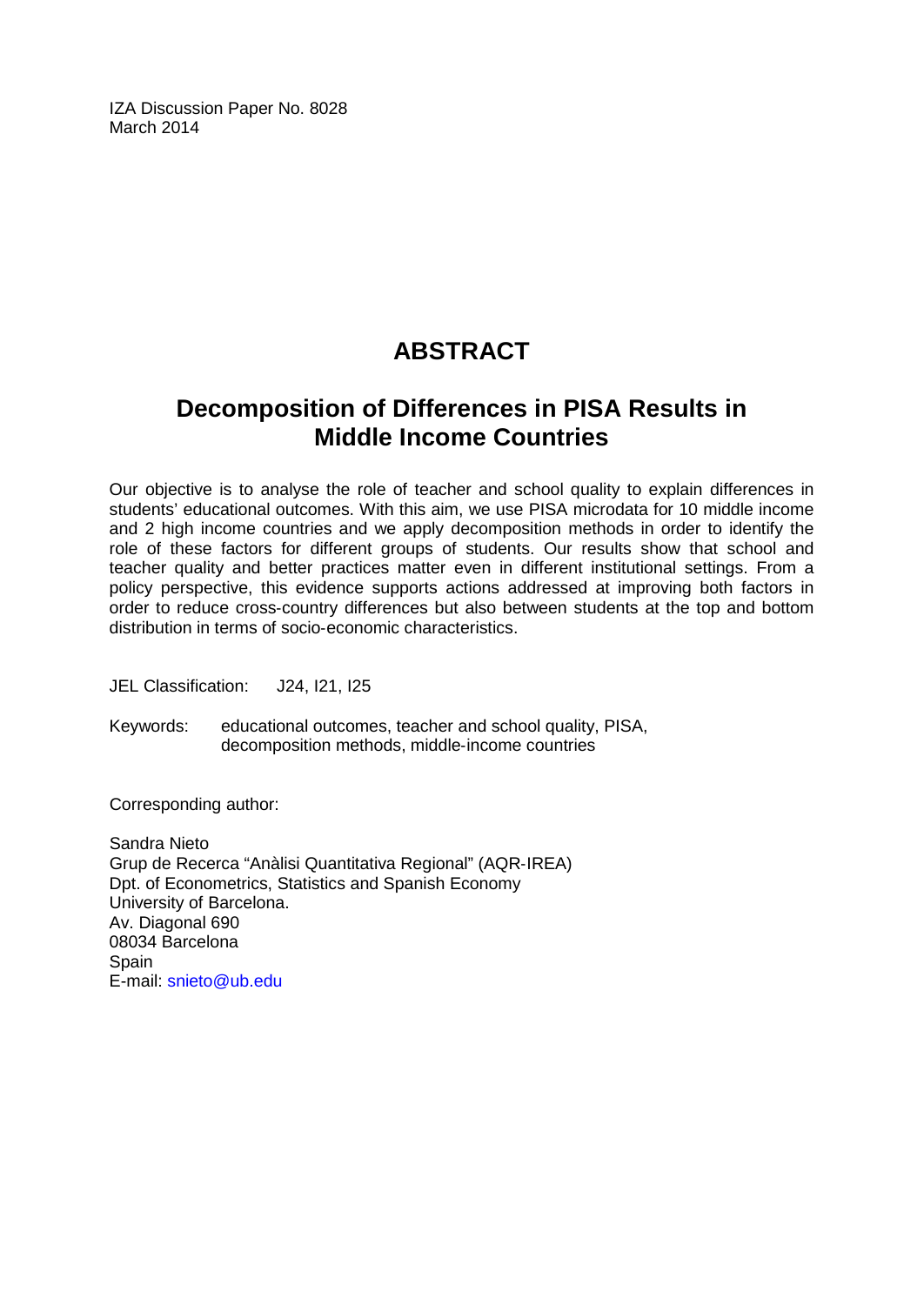IZA Discussion Paper No. 8028 March 2014

# **ABSTRACT**

# **Decomposition of Differences in PISA Results in Middle Income Countries**

Our objective is to analyse the role of teacher and school quality to explain differences in students' educational outcomes. With this aim, we use PISA microdata for 10 middle income and 2 high income countries and we apply decomposition methods in order to identify the role of these factors for different groups of students. Our results show that school and teacher quality and better practices matter even in different institutional settings. From a policy perspective, this evidence supports actions addressed at improving both factors in order to reduce cross‐country differences but also between students at the top and bottom distribution in terms of socio‐economic characteristics.

JEL Classification: J24, I21, I25

Keywords: educational outcomes, teacher and school quality, PISA, decomposition methods, middle‐income countries

Corresponding author:

Sandra Nieto Grup de Recerca "Anàlisi Quantitativa Regional" (AQR‐IREA) Dpt. of Econometrics, Statistics and Spanish Economy University of Barcelona. Av. Diagonal 690 08034 Barcelona **Spain** E-mail: [snieto@ub.edu](mailto:snieto@ub.edu)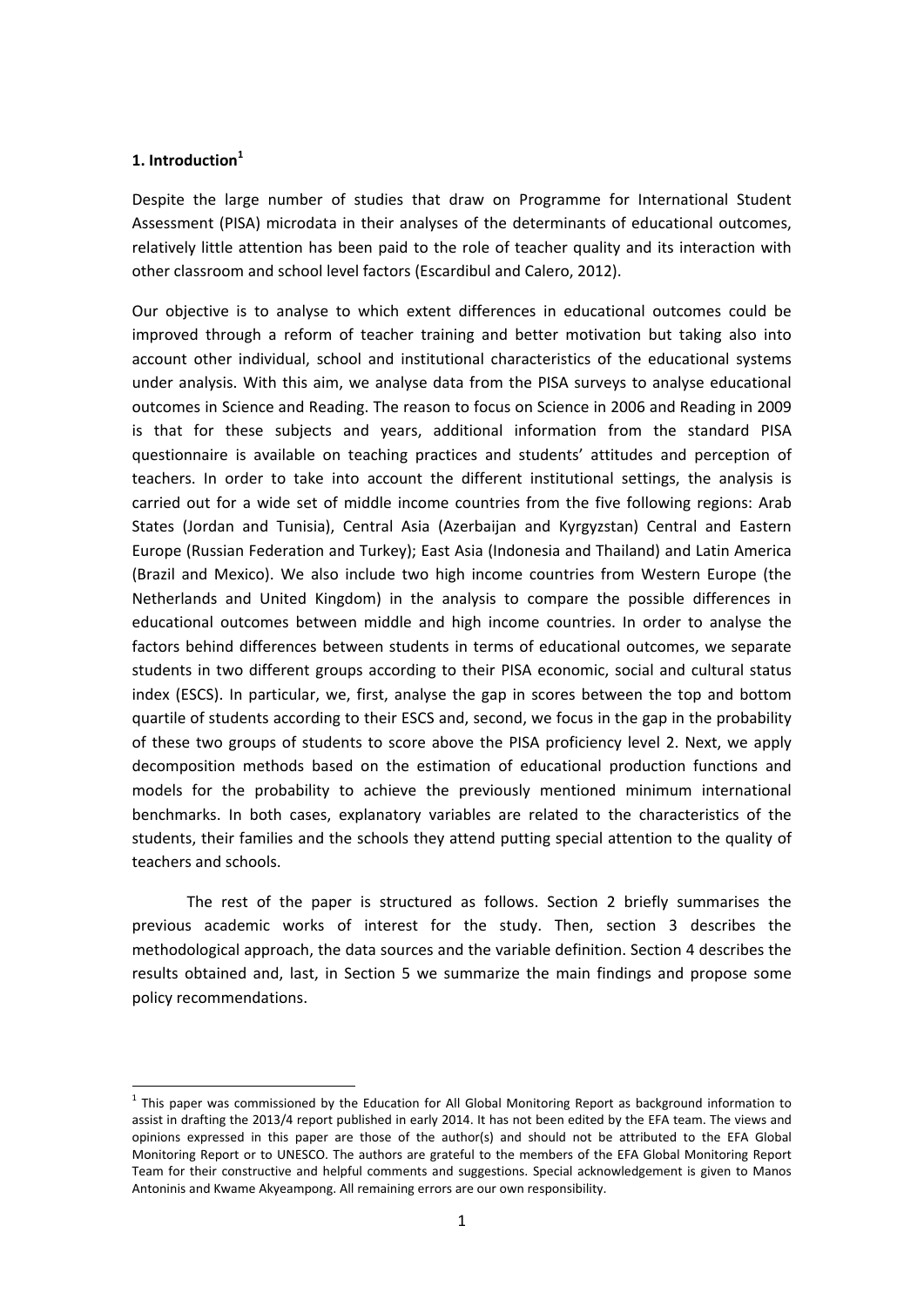#### **1. Introduction<sup>1</sup>**

Despite the large number of studies that draw on Programme for International Student Assessment (PISA) microdata in their analyses of the determinants of educational outcomes, relatively little attention has been paid to the role of teacher quality and its interaction with other classroom and school level factors (Escardibul and Calero, 2012).

Our objective is to analyse to which extent differences in educational outcomes could be improved through a reform of teacher training and better motivation but taking also into account other individual, school and institutional characteristics of the educational systems under analysis. With this aim, we analyse data from the PISA surveys to analyse educational outcomes in Science and Reading. The reason to focus on Science in 2006 and Reading in 2009 is that for these subjects and years, additional information from the standard PISA questionnaire is available on teaching practices and students' attitudes and perception of teachers. In order to take into account the different institutional settings, the analysis is carried out for a wide set of middle income countries from the five following regions: Arab States (Jordan and Tunisia), Central Asia (Azerbaijan and Kyrgyzstan) Central and Eastern Europe (Russian Federation and Turkey); East Asia (Indonesia and Thailand) and Latin America (Brazil and Mexico). We also include two high income countries from Western Europe (the Netherlands and United Kingdom) in the analysis to compare the possible differences in educational outcomes between middle and high income countries. In order to analyse the factors behind differences between students in terms of educational outcomes, we separate students in two different groups according to their PISA economic, social and cultural status index (ESCS). In particular, we, first, analyse the gap in scores between the top and bottom quartile of students according to their ESCS and, second, we focus in the gap in the probability of these two groups of students to score above the PISA proficiency level 2. Next, we apply decomposition methods based on the estimation of educational production functions and models for the probability to achieve the previously mentioned minimum international benchmarks. In both cases, explanatory variables are related to the characteristics of the students, their families and the schools they attend putting special attention to the quality of teachers and schools.

The rest of the paper is structured as follows. Section 2 briefly summarises the previous academic works of interest for the study. Then, section 3 describes the methodological approach, the data sources and the variable definition. Section 4 describes the results obtained and, last, in Section 5 we summarize the main findings and propose some policy recommendations.

 $<sup>1</sup>$  This paper was commissioned by the Education for All Global Monitoring Report as background information to</sup> assist in drafting the 2013/4 report published in early 2014. It has not been edited by the EFA team. The views and opinions expressed in this paper are those of the author(s) and should not be attributed to the EFA Global Monitoring Report or to UNESCO. The authors are grateful to the members of the EFA Global Monitoring Report Team for their constructive and helpful comments and suggestions. Special acknowledgement is given to Manos Antoninis and Kwame Akyeampong. All remaining errors are our own responsibility.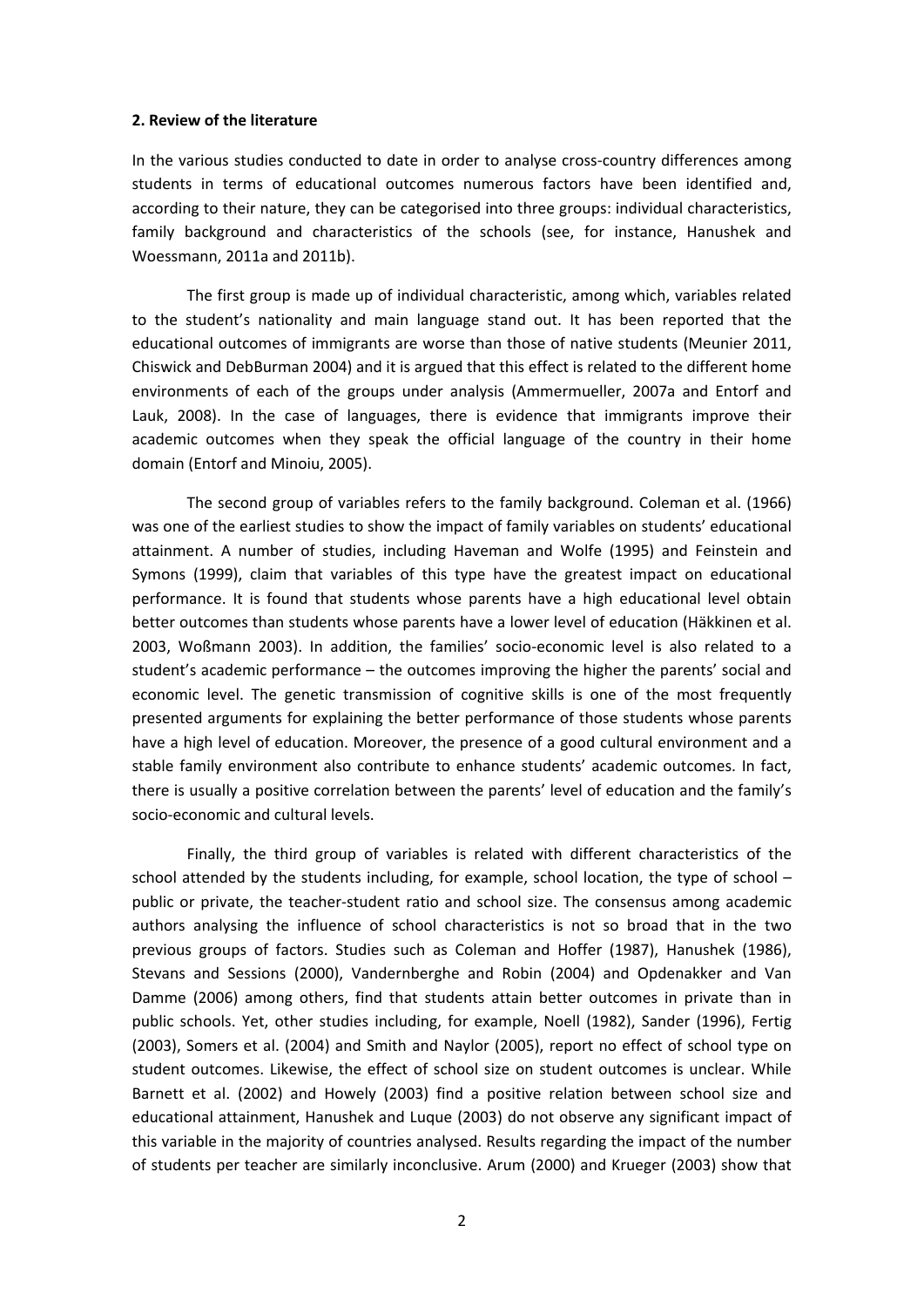#### **2. Review of the literature**

In the various studies conducted to date in order to analyse cross-country differences among students in terms of educational outcomes numerous factors have been identified and, according to their nature, they can be categorised into three groups: individual characteristics, family background and characteristics of the schools (see, for instance, Hanushek and Woessmann, 2011a and 2011b).

The first group is made up of individual characteristic, among which, variables related to the student's nationality and main language stand out. It has been reported that the educational outcomes of immigrants are worse than those of native students (Meunier 2011, Chiswick and DebBurman 2004) and it is argued that this effect is related to the different home environments of each of the groups under analysis (Ammermueller, 2007a and Entorf and Lauk, 2008). In the case of languages, there is evidence that immigrants improve their academic outcomes when they speak the official language of the country in their home domain (Entorf and Minoiu, 2005).

The second group of variables refers to the family background. Coleman et al. (1966) was one of the earliest studies to show the impact of family variables on students' educational attainment. A number of studies, including Haveman and Wolfe (1995) and Feinstein and Symons (1999), claim that variables of this type have the greatest impact on educational performance. It is found that students whose parents have a high educational level obtain better outcomes than students whose parents have a lower level of education (Häkkinen et al. 2003, Woßmann 2003). In addition, the families' socio‐economic level is also related to a student's academic performance – the outcomes improving the higher the parents' social and economic level. The genetic transmission of cognitive skills is one of the most frequently presented arguments for explaining the better performance of those students whose parents have a high level of education. Moreover, the presence of a good cultural environment and a stable family environment also contribute to enhance students' academic outcomes. In fact, there is usually a positive correlation between the parents' level of education and the family's socio‐economic and cultural levels.

Finally, the third group of variables is related with different characteristics of the school attended by the students including, for example, school location, the type of school – public or private, the teacher‐student ratio and school size. The consensus among academic authors analysing the influence of school characteristics is not so broad that in the two previous groups of factors. Studies such as Coleman and Hoffer (1987), Hanushek (1986), Stevans and Sessions (2000), Vandernberghe and Robin (2004) and Opdenakker and Van Damme (2006) among others, find that students attain better outcomes in private than in public schools. Yet, other studies including, for example, Noell (1982), Sander (1996), Fertig (2003), Somers et al. (2004) and Smith and Naylor (2005), report no effect of school type on student outcomes. Likewise, the effect of school size on student outcomes is unclear. While Barnett et al. (2002) and Howely (2003) find a positive relation between school size and educational attainment, Hanushek and Luque (2003) do not observe any significant impact of this variable in the majority of countries analysed. Results regarding the impact of the number of students per teacher are similarly inconclusive. Arum (2000) and Krueger (2003) show that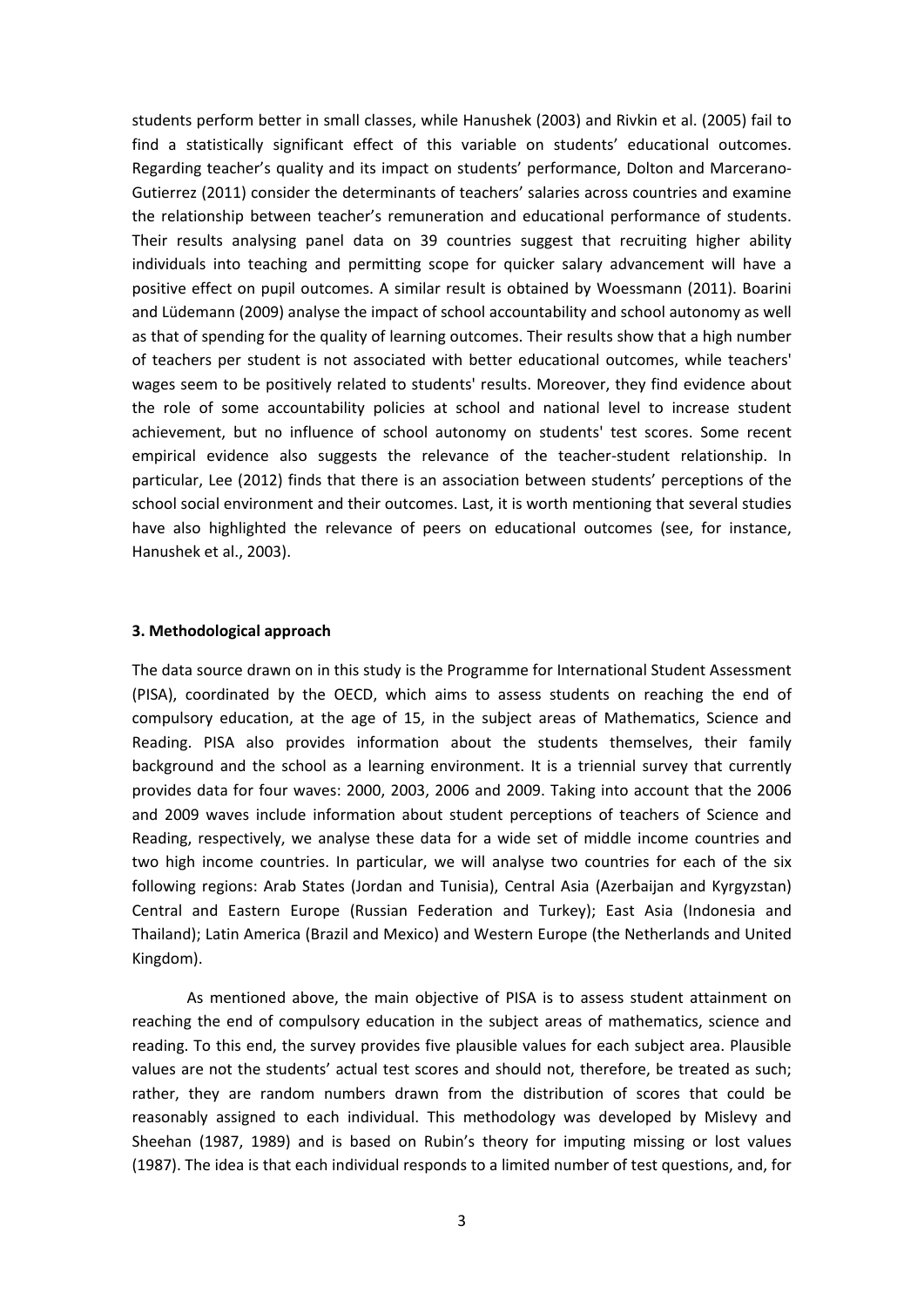students perform better in small classes, while Hanushek (2003) and Rivkin et al. (2005) fail to find a statistically significant effect of this variable on students' educational outcomes. Regarding teacher's quality and its impact on students' performance, Dolton and Marcerano‐ Gutierrez (2011) consider the determinants of teachers' salaries across countries and examine the relationship between teacher's remuneration and educational performance of students. Their results analysing panel data on 39 countries suggest that recruiting higher ability individuals into teaching and permitting scope for quicker salary advancement will have a positive effect on pupil outcomes. A similar result is obtained by Woessmann (2011). Boarini and Lüdemann (2009) analyse the impact of school accountability and school autonomy as well as that of spending for the quality of learning outcomes. Their results show that a high number of teachers per student is not associated with better educational outcomes, while teachers' wages seem to be positively related to students' results. Moreover, they find evidence about the role of some accountability policies at school and national level to increase student achievement, but no influence of school autonomy on students' test scores. Some recent empirical evidence also suggests the relevance of the teacher‐student relationship. In particular, Lee (2012) finds that there is an association between students' perceptions of the school social environment and their outcomes. Last, it is worth mentioning that several studies have also highlighted the relevance of peers on educational outcomes (see, for instance, Hanushek et al., 2003).

#### **3. Methodological approach**

The data source drawn on in this study is the Programme for International Student Assessment (PISA), coordinated by the OECD, which aims to assess students on reaching the end of compulsory education, at the age of 15, in the subject areas of Mathematics, Science and Reading. PISA also provides information about the students themselves, their family background and the school as a learning environment. It is a triennial survey that currently provides data for four waves: 2000, 2003, 2006 and 2009. Taking into account that the 2006 and 2009 waves include information about student perceptions of teachers of Science and Reading, respectively, we analyse these data for a wide set of middle income countries and two high income countries. In particular, we will analyse two countries for each of the six following regions: Arab States (Jordan and Tunisia), Central Asia (Azerbaijan and Kyrgyzstan) Central and Eastern Europe (Russian Federation and Turkey); East Asia (Indonesia and Thailand); Latin America (Brazil and Mexico) and Western Europe (the Netherlands and United Kingdom).

As mentioned above, the main objective of PISA is to assess student attainment on reaching the end of compulsory education in the subject areas of mathematics, science and reading. To this end, the survey provides five plausible values for each subject area. Plausible values are not the students' actual test scores and should not, therefore, be treated as such; rather, they are random numbers drawn from the distribution of scores that could be reasonably assigned to each individual. This methodology was developed by Mislevy and Sheehan (1987, 1989) and is based on Rubin's theory for imputing missing or lost values (1987). The idea is that each individual responds to a limited number of test questions, and, for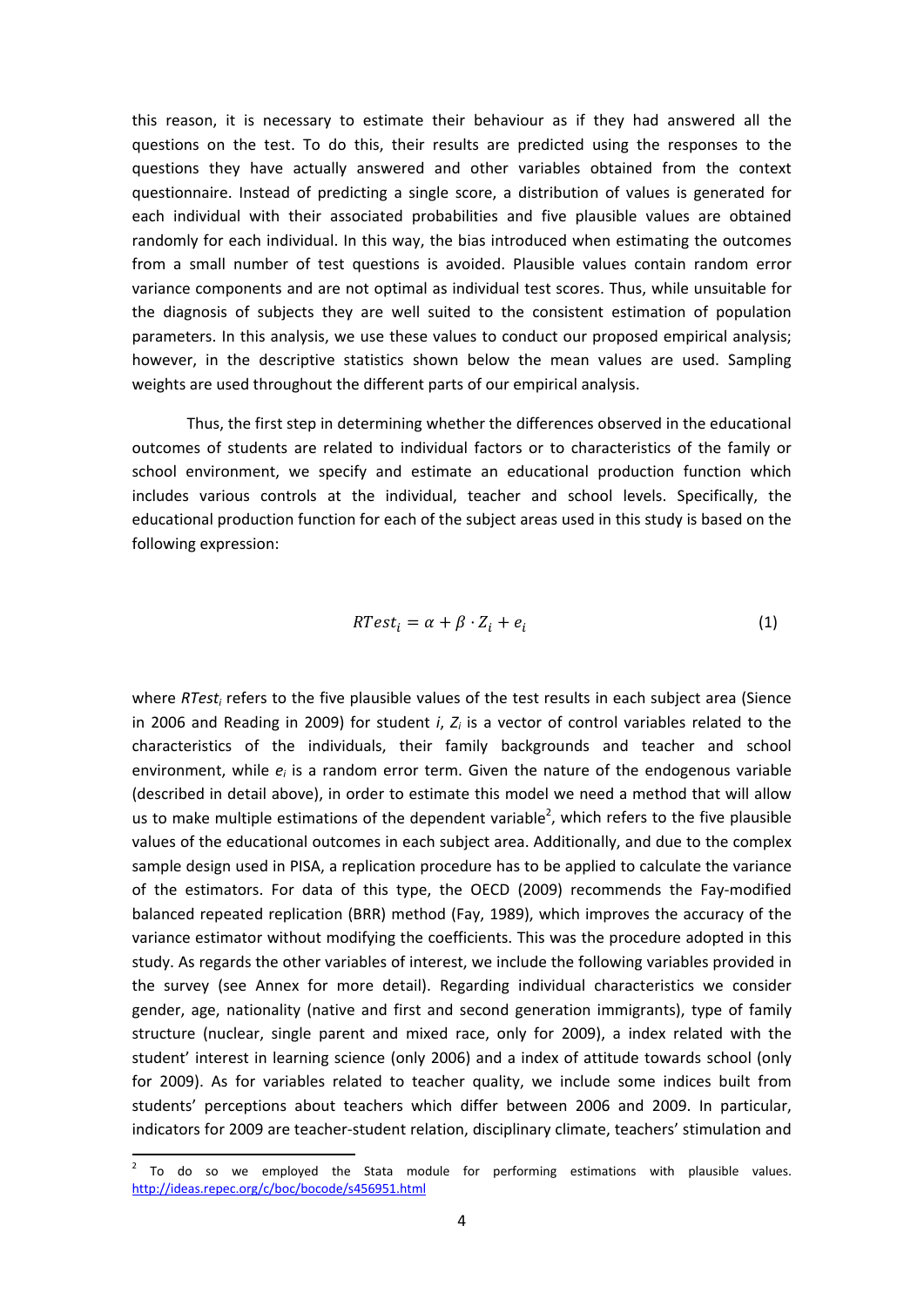this reason, it is necessary to estimate their behaviour as if they had answered all the questions on the test. To do this, their results are predicted using the responses to the questions they have actually answered and other variables obtained from the context questionnaire. Instead of predicting a single score, a distribution of values is generated for each individual with their associated probabilities and five plausible values are obtained randomly for each individual. In this way, the bias introduced when estimating the outcomes from a small number of test questions is avoided. Plausible values contain random error variance components and are not optimal as individual test scores. Thus, while unsuitable for the diagnosis of subjects they are well suited to the consistent estimation of population parameters. In this analysis, we use these values to conduct our proposed empirical analysis; however, in the descriptive statistics shown below the mean values are used. Sampling weights are used throughout the different parts of our empirical analysis.

Thus, the first step in determining whether the differences observed in the educational outcomes of students are related to individual factors or to characteristics of the family or school environment, we specify and estimate an educational production function which includes various controls at the individual, teacher and school levels. Specifically, the educational production function for each of the subject areas used in this study is based on the following expression:

$$
RTest_i = \alpha + \beta \cdot Z_i + e_i \tag{1}
$$

where *RTesti* refers to the five plausible values of the test results in each subject area (Sience in 2006 and Reading in 2009) for student *i*, *Zi* is a vector of control variables related to the characteristics of the individuals, their family backgrounds and teacher and school environment, while  $e_i$  is a random error term. Given the nature of the endogenous variable (described in detail above), in order to estimate this model we need a method that will allow us to make multiple estimations of the dependent variable<sup>2</sup>, which refers to the five plausible values of the educational outcomes in each subject area. Additionally, and due to the complex sample design used in PISA, a replication procedure has to be applied to calculate the variance of the estimators. For data of this type, the OECD (2009) recommends the Fay-modified balanced repeated replication (BRR) method (Fay, 1989), which improves the accuracy of the variance estimator without modifying the coefficients. This was the procedure adopted in this study. As regards the other variables of interest, we include the following variables provided in the survey (see Annex for more detail). Regarding individual characteristics we consider gender, age, nationality (native and first and second generation immigrants), type of family structure (nuclear, single parent and mixed race, only for 2009), a index related with the student' interest in learning science (only 2006) and a index of attitude towards school (only for 2009). As for variables related to teacher quality, we include some indices built from students' perceptions about teachers which differ between 2006 and 2009. In particular, indicators for 2009 are teacher‐student relation, disciplinary climate, teachers' stimulation and

 $2$  To do so we employed the Stata module for performing estimations with plausible values. http://ideas.repec.org/c/boc/bocode/s456951.html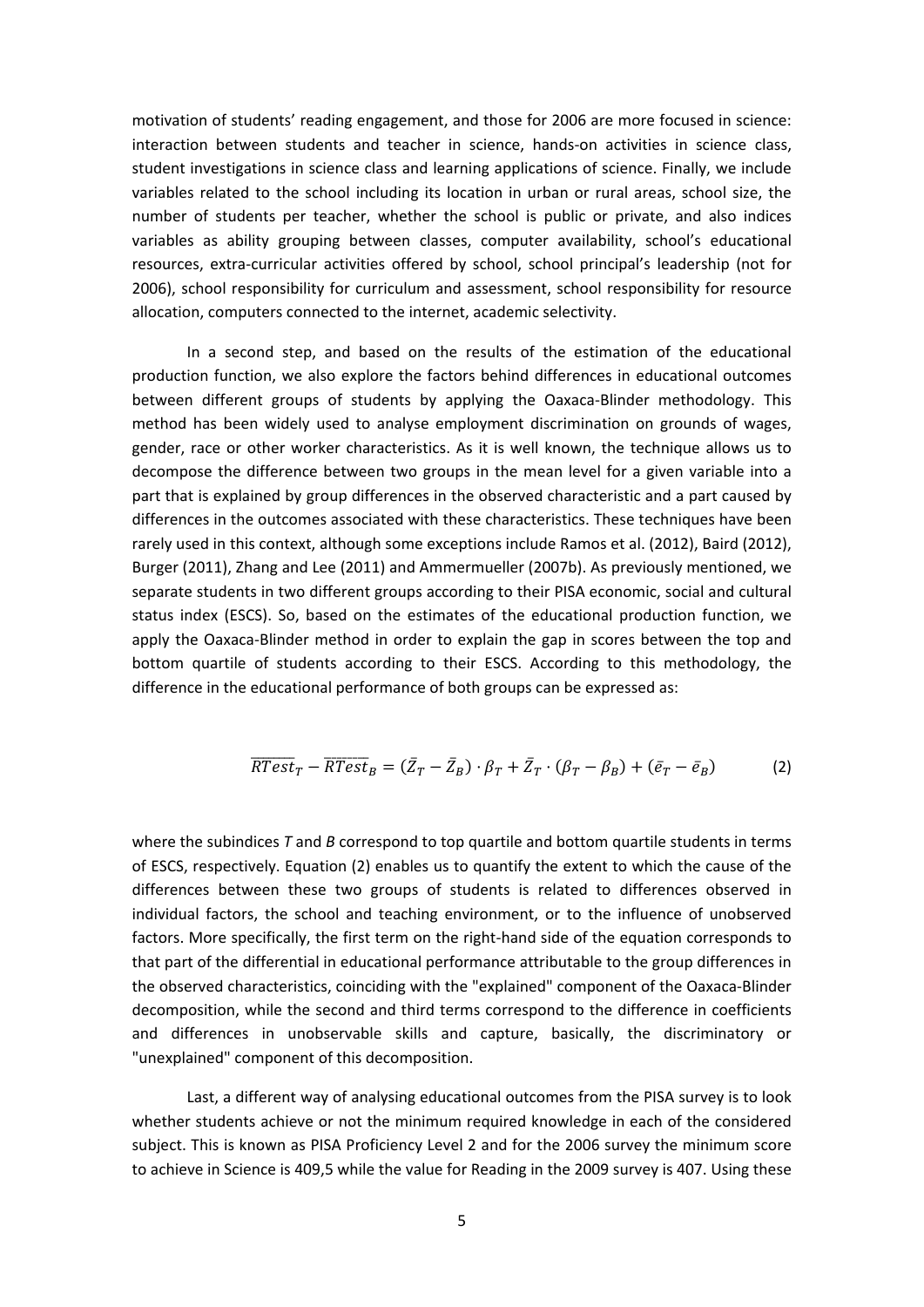motivation of students' reading engagement, and those for 2006 are more focused in science: interaction between students and teacher in science, hands-on activities in science class, student investigations in science class and learning applications of science. Finally, we include variables related to the school including its location in urban or rural areas, school size, the number of students per teacher, whether the school is public or private, and also indices variables as ability grouping between classes, computer availability, school's educational resources, extra‐curricular activities offered by school, school principal's leadership (not for 2006), school responsibility for curriculum and assessment, school responsibility for resource allocation, computers connected to the internet, academic selectivity.

In a second step, and based on the results of the estimation of the educational production function, we also explore the factors behind differences in educational outcomes between different groups of students by applying the Oaxaca-Blinder methodology. This method has been widely used to analyse employment discrimination on grounds of wages, gender, race or other worker characteristics. As it is well known, the technique allows us to decompose the difference between two groups in the mean level for a given variable into a part that is explained by group differences in the observed characteristic and a part caused by differences in the outcomes associated with these characteristics. These techniques have been rarely used in this context, although some exceptions include Ramos et al. (2012), Baird (2012), Burger (2011), Zhang and Lee (2011) and Ammermueller (2007b). As previously mentioned, we separate students in two different groups according to their PISA economic, social and cultural status index (ESCS). So, based on the estimates of the educational production function, we apply the Oaxaca‐Blinder method in order to explain the gap in scores between the top and bottom quartile of students according to their ESCS. According to this methodology, the difference in the educational performance of both groups can be expressed as:

$$
\overline{RTest}_T - \overline{RTest}_B = (\overline{Z}_T - \overline{Z}_B) \cdot \beta_T + \overline{Z}_T \cdot (\beta_T - \beta_B) + (\overline{e}_T - \overline{e}_B)
$$
(2)

where the subindices *T* and *B* correspond to top quartile and bottom quartile students in terms of ESCS, respectively. Equation (2) enables us to quantify the extent to which the cause of the differences between these two groups of students is related to differences observed in individual factors, the school and teaching environment, or to the influence of unobserved factors. More specifically, the first term on the right‐hand side of the equation corresponds to that part of the differential in educational performance attributable to the group differences in the observed characteristics, coinciding with the "explained" component of the Oaxaca‐Blinder decomposition, while the second and third terms correspond to the difference in coefficients and differences in unobservable skills and capture, basically, the discriminatory or "unexplained" component of this decomposition.

Last, a different way of analysing educational outcomes from the PISA survey is to look whether students achieve or not the minimum required knowledge in each of the considered subject. This is known as PISA Proficiency Level 2 and for the 2006 survey the minimum score to achieve in Science is 409,5 while the value for Reading in the 2009 survey is 407. Using these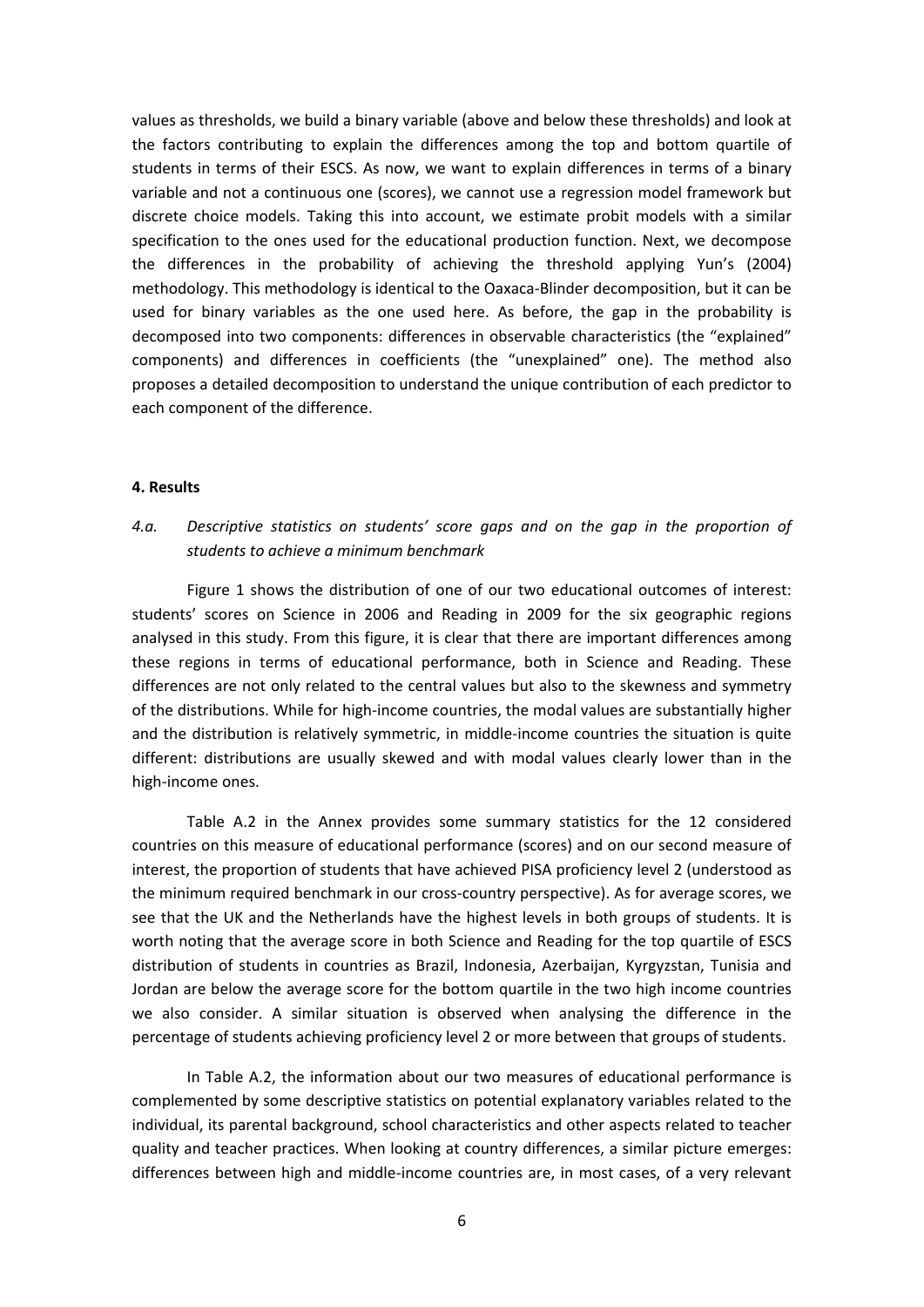values as thresholds, we build a binary variable (above and below these thresholds) and look at the factors contributing to explain the differences among the top and bottom quartile of students in terms of their ESCS. As now, we want to explain differences in terms of a binary variable and not a continuous one (scores), we cannot use a regression model framework but discrete choice models. Taking this into account, we estimate probit models with a similar specification to the ones used for the educational production function. Next, we decompose the differences in the probability of achieving the threshold applying Yun's (2004) methodology. This methodology is identical to the Oaxaca‐Blinder decomposition, but it can be used for binary variables as the one used here. As before, the gap in the probability is decomposed into two components: differences in observable characteristics (the "explained" components) and differences in coefficients (the "unexplained" one). The method also proposes a detailed decomposition to understand the unique contribution of each predictor to each component of the difference.

#### **4. Results**

### *4.a. Descriptive statistics on students' score gaps and on the gap in the proportion of students to achieve a minimum benchmark*

Figure 1 shows the distribution of one of our two educational outcomes of interest: students' scores on Science in 2006 and Reading in 2009 for the six geographic regions analysed in this study. From this figure, it is clear that there are important differences among these regions in terms of educational performance, both in Science and Reading. These differences are not only related to the central values but also to the skewness and symmetry of the distributions. While for high‐income countries, the modal values are substantially higher and the distribution is relatively symmetric, in middle‐income countries the situation is quite different: distributions are usually skewed and with modal values clearly lower than in the high‐income ones.

Table A.2 in the Annex provides some summary statistics for the 12 considered countries on this measure of educational performance (scores) and on our second measure of interest, the proportion of students that have achieved PISA proficiency level 2 (understood as the minimum required benchmark in our cross‐country perspective). As for average scores, we see that the UK and the Netherlands have the highest levels in both groups of students. It is worth noting that the average score in both Science and Reading for the top quartile of ESCS distribution of students in countries as Brazil, Indonesia, Azerbaijan, Kyrgyzstan, Tunisia and Jordan are below the average score for the bottom quartile in the two high income countries we also consider. A similar situation is observed when analysing the difference in the percentage of students achieving proficiency level 2 or more between that groups of students.

In Table A.2, the information about our two measures of educational performance is complemented by some descriptive statistics on potential explanatory variables related to the individual, its parental background, school characteristics and other aspects related to teacher quality and teacher practices. When looking at country differences, a similar picture emerges: differences between high and middle‐income countries are, in most cases, of a very relevant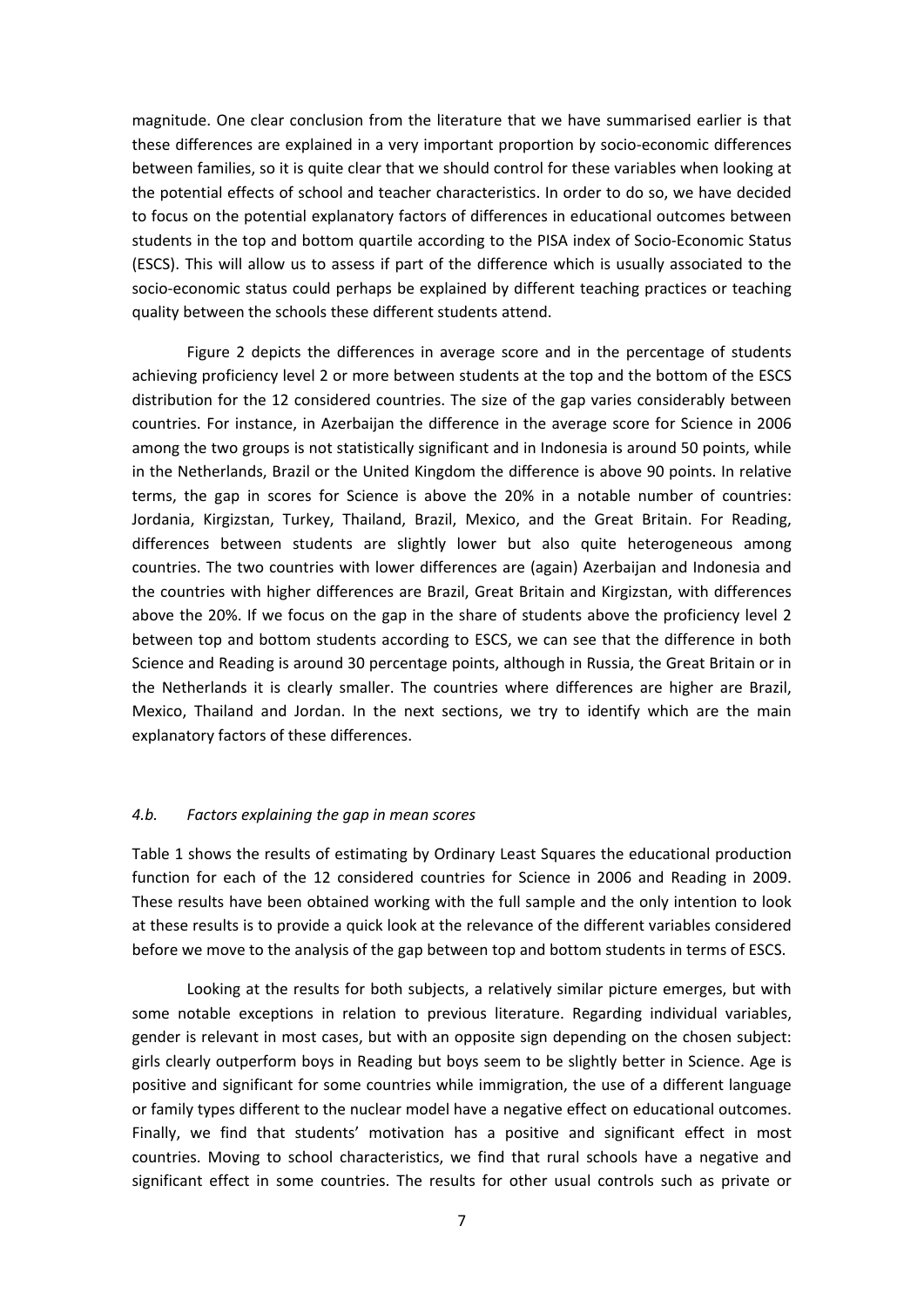magnitude. One clear conclusion from the literature that we have summarised earlier is that these differences are explained in a very important proportion by socio‐economic differences between families, so it is quite clear that we should control for these variables when looking at the potential effects of school and teacher characteristics. In order to do so, we have decided to focus on the potential explanatory factors of differences in educational outcomes between students in the top and bottom quartile according to the PISA index of Socio‐Economic Status (ESCS). This will allow us to assess if part of the difference which is usually associated to the socio-economic status could perhaps be explained by different teaching practices or teaching quality between the schools these different students attend.

Figure 2 depicts the differences in average score and in the percentage of students achieving proficiency level 2 or more between students at the top and the bottom of the ESCS distribution for the 12 considered countries. The size of the gap varies considerably between countries. For instance, in Azerbaijan the difference in the average score for Science in 2006 among the two groups is not statistically significant and in Indonesia is around 50 points, while in the Netherlands, Brazil or the United Kingdom the difference is above 90 points. In relative terms, the gap in scores for Science is above the 20% in a notable number of countries: Jordania, Kirgizstan, Turkey, Thailand, Brazil, Mexico, and the Great Britain. For Reading, differences between students are slightly lower but also quite heterogeneous among countries. The two countries with lower differences are (again) Azerbaijan and Indonesia and the countries with higher differences are Brazil, Great Britain and Kirgizstan, with differences above the 20%. If we focus on the gap in the share of students above the proficiency level 2 between top and bottom students according to ESCS, we can see that the difference in both Science and Reading is around 30 percentage points, although in Russia, the Great Britain or in the Netherlands it is clearly smaller. The countries where differences are higher are Brazil, Mexico, Thailand and Jordan. In the next sections, we try to identify which are the main explanatory factors of these differences.

#### *4.b. Factors explaining the gap in mean scores*

Table 1 shows the results of estimating by Ordinary Least Squares the educational production function for each of the 12 considered countries for Science in 2006 and Reading in 2009. These results have been obtained working with the full sample and the only intention to look at these results is to provide a quick look at the relevance of the different variables considered before we move to the analysis of the gap between top and bottom students in terms of ESCS.

Looking at the results for both subjects, a relatively similar picture emerges, but with some notable exceptions in relation to previous literature. Regarding individual variables, gender is relevant in most cases, but with an opposite sign depending on the chosen subject: girls clearly outperform boys in Reading but boys seem to be slightly better in Science. Age is positive and significant for some countries while immigration, the use of a different language or family types different to the nuclear model have a negative effect on educational outcomes. Finally, we find that students' motivation has a positive and significant effect in most countries. Moving to school characteristics, we find that rural schools have a negative and significant effect in some countries. The results for other usual controls such as private or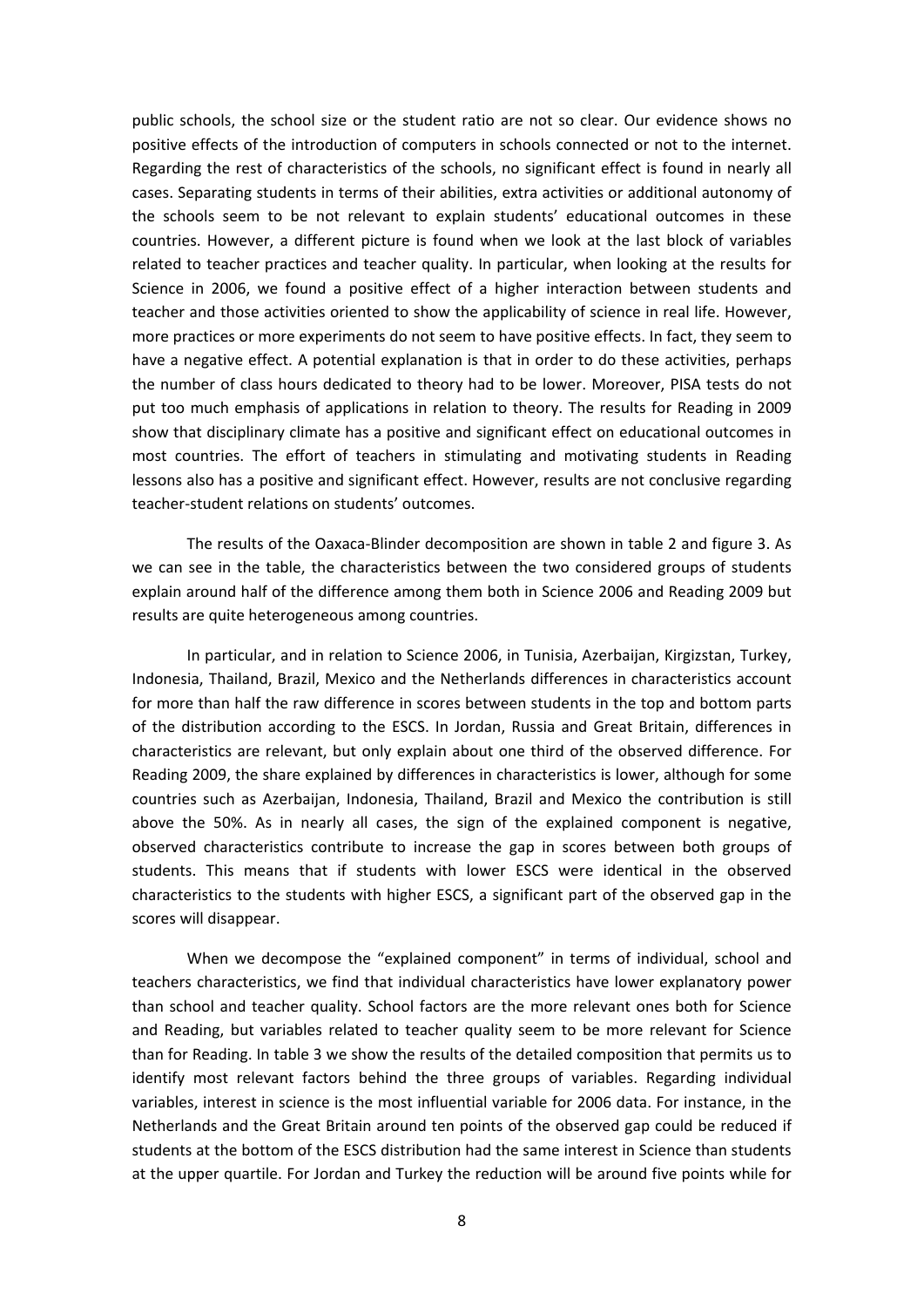public schools, the school size or the student ratio are not so clear. Our evidence shows no positive effects of the introduction of computers in schools connected or not to the internet. Regarding the rest of characteristics of the schools, no significant effect is found in nearly all cases. Separating students in terms of their abilities, extra activities or additional autonomy of the schools seem to be not relevant to explain students' educational outcomes in these countries. However, a different picture is found when we look at the last block of variables related to teacher practices and teacher quality. In particular, when looking at the results for Science in 2006, we found a positive effect of a higher interaction between students and teacher and those activities oriented to show the applicability of science in real life. However, more practices or more experiments do not seem to have positive effects. In fact, they seem to have a negative effect. A potential explanation is that in order to do these activities, perhaps the number of class hours dedicated to theory had to be lower. Moreover, PISA tests do not put too much emphasis of applications in relation to theory. The results for Reading in 2009 show that disciplinary climate has a positive and significant effect on educational outcomes in most countries. The effort of teachers in stimulating and motivating students in Reading lessons also has a positive and significant effect. However, results are not conclusive regarding teacher‐student relations on students' outcomes.

The results of the Oaxaca‐Blinder decomposition are shown in table 2 and figure 3. As we can see in the table, the characteristics between the two considered groups of students explain around half of the difference among them both in Science 2006 and Reading 2009 but results are quite heterogeneous among countries.

In particular, and in relation to Science 2006, in Tunisia, Azerbaijan, Kirgizstan, Turkey, Indonesia, Thailand, Brazil, Mexico and the Netherlands differences in characteristics account for more than half the raw difference in scores between students in the top and bottom parts of the distribution according to the ESCS. In Jordan, Russia and Great Britain, differences in characteristics are relevant, but only explain about one third of the observed difference. For Reading 2009, the share explained by differences in characteristics is lower, although for some countries such as Azerbaijan, Indonesia, Thailand, Brazil and Mexico the contribution is still above the 50%. As in nearly all cases, the sign of the explained component is negative, observed characteristics contribute to increase the gap in scores between both groups of students. This means that if students with lower ESCS were identical in the observed characteristics to the students with higher ESCS, a significant part of the observed gap in the scores will disappear.

When we decompose the "explained component" in terms of individual, school and teachers characteristics, we find that individual characteristics have lower explanatory power than school and teacher quality. School factors are the more relevant ones both for Science and Reading, but variables related to teacher quality seem to be more relevant for Science than for Reading. In table 3 we show the results of the detailed composition that permits us to identify most relevant factors behind the three groups of variables. Regarding individual variables, interest in science is the most influential variable for 2006 data. For instance, in the Netherlands and the Great Britain around ten points of the observed gap could be reduced if students at the bottom of the ESCS distribution had the same interest in Science than students at the upper quartile. For Jordan and Turkey the reduction will be around five points while for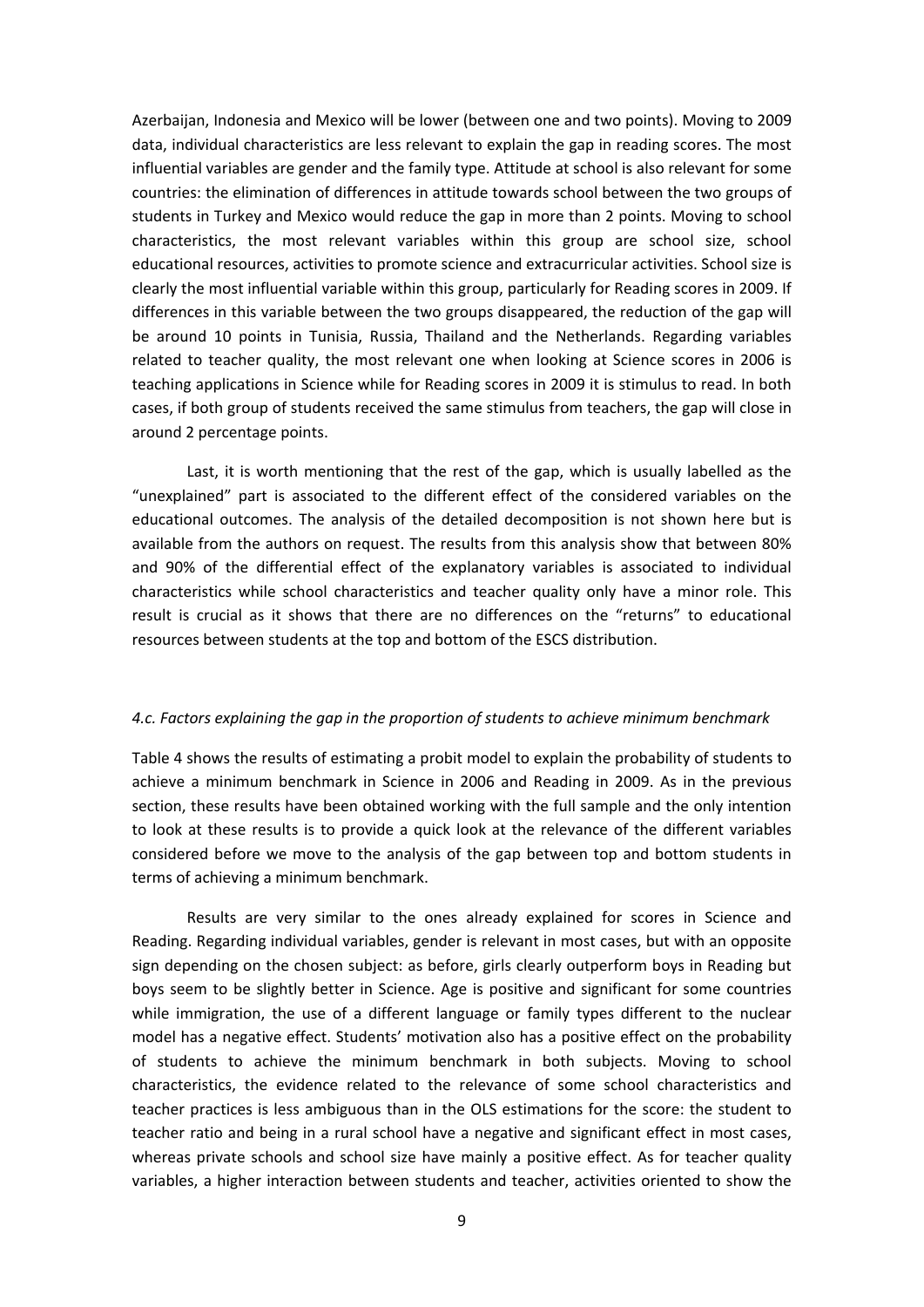Azerbaijan, Indonesia and Mexico will be lower (between one and two points). Moving to 2009 data, individual characteristics are less relevant to explain the gap in reading scores. The most influential variables are gender and the family type. Attitude at school is also relevant for some countries: the elimination of differences in attitude towards school between the two groups of students in Turkey and Mexico would reduce the gap in more than 2 points. Moving to school characteristics, the most relevant variables within this group are school size, school educational resources, activities to promote science and extracurricular activities. School size is clearly the most influential variable within this group, particularly for Reading scores in 2009. If differences in this variable between the two groups disappeared, the reduction of the gap will be around 10 points in Tunisia, Russia, Thailand and the Netherlands. Regarding variables related to teacher quality, the most relevant one when looking at Science scores in 2006 is teaching applications in Science while for Reading scores in 2009 it is stimulus to read. In both cases, if both group of students received the same stimulus from teachers, the gap will close in around 2 percentage points.

Last, it is worth mentioning that the rest of the gap, which is usually labelled as the "unexplained" part is associated to the different effect of the considered variables on the educational outcomes. The analysis of the detailed decomposition is not shown here but is available from the authors on request. The results from this analysis show that between 80% and 90% of the differential effect of the explanatory variables is associated to individual characteristics while school characteristics and teacher quality only have a minor role. This result is crucial as it shows that there are no differences on the "returns" to educational resources between students at the top and bottom of the ESCS distribution.

#### *4.c. Factors explaining the gap in the proportion of students to achieve minimum benchmark*

Table 4 shows the results of estimating a probit model to explain the probability of students to achieve a minimum benchmark in Science in 2006 and Reading in 2009. As in the previous section, these results have been obtained working with the full sample and the only intention to look at these results is to provide a quick look at the relevance of the different variables considered before we move to the analysis of the gap between top and bottom students in terms of achieving a minimum benchmark.

Results are very similar to the ones already explained for scores in Science and Reading. Regarding individual variables, gender is relevant in most cases, but with an opposite sign depending on the chosen subject: as before, girls clearly outperform boys in Reading but boys seem to be slightly better in Science. Age is positive and significant for some countries while immigration, the use of a different language or family types different to the nuclear model has a negative effect. Students' motivation also has a positive effect on the probability of students to achieve the minimum benchmark in both subjects. Moving to school characteristics, the evidence related to the relevance of some school characteristics and teacher practices is less ambiguous than in the OLS estimations for the score: the student to teacher ratio and being in a rural school have a negative and significant effect in most cases, whereas private schools and school size have mainly a positive effect. As for teacher quality variables, a higher interaction between students and teacher, activities oriented to show the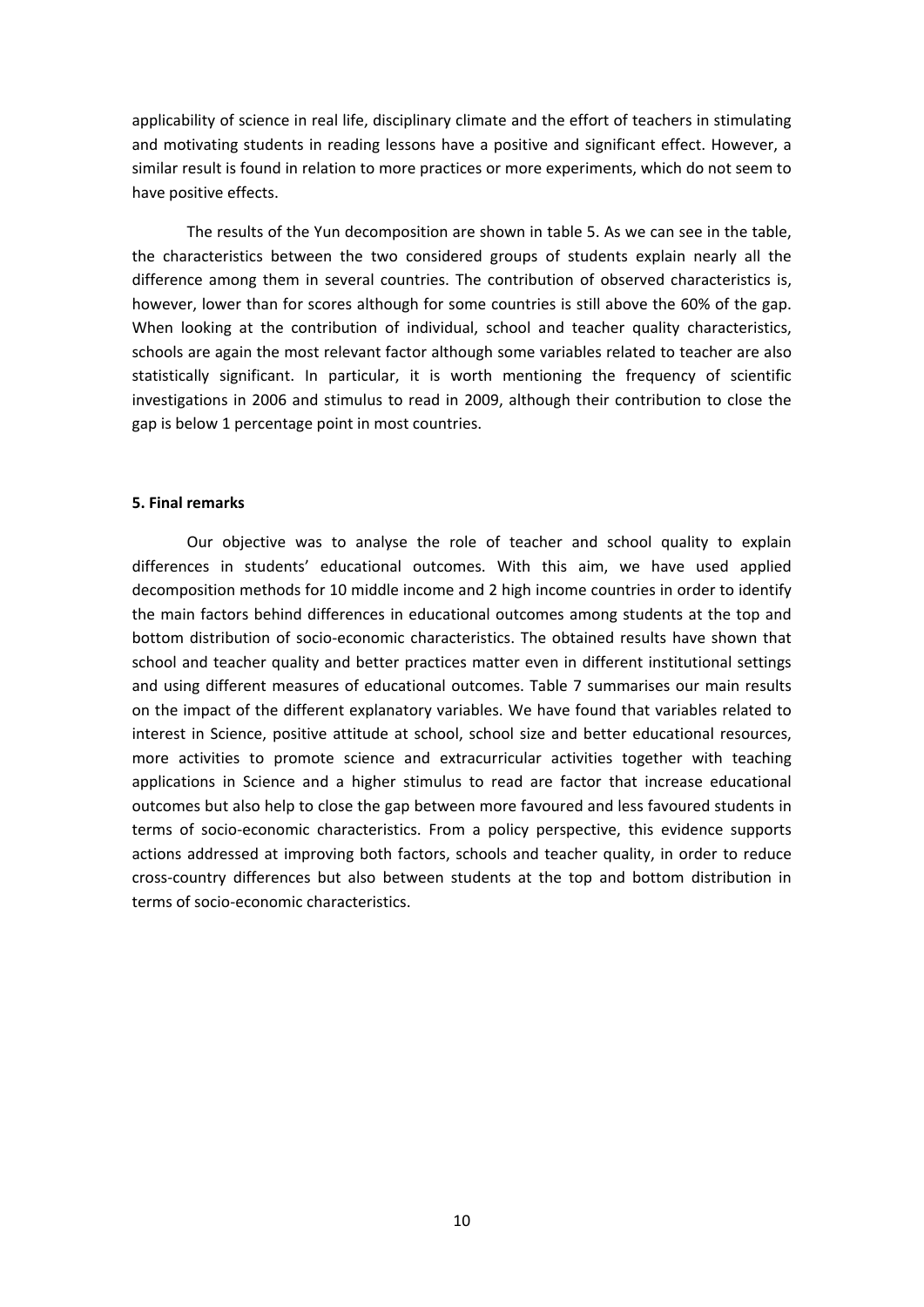applicability of science in real life, disciplinary climate and the effort of teachers in stimulating and motivating students in reading lessons have a positive and significant effect. However, a similar result is found in relation to more practices or more experiments, which do not seem to have positive effects.

The results of the Yun decomposition are shown in table 5. As we can see in the table, the characteristics between the two considered groups of students explain nearly all the difference among them in several countries. The contribution of observed characteristics is, however, lower than for scores although for some countries is still above the 60% of the gap. When looking at the contribution of individual, school and teacher quality characteristics, schools are again the most relevant factor although some variables related to teacher are also statistically significant. In particular, it is worth mentioning the frequency of scientific investigations in 2006 and stimulus to read in 2009, although their contribution to close the gap is below 1 percentage point in most countries.

#### **5. Final remarks**

Our objective was to analyse the role of teacher and school quality to explain differences in students' educational outcomes. With this aim, we have used applied decomposition methods for 10 middle income and 2 high income countries in order to identify the main factors behind differences in educational outcomes among students at the top and bottom distribution of socio‐economic characteristics. The obtained results have shown that school and teacher quality and better practices matter even in different institutional settings and using different measures of educational outcomes. Table 7 summarises our main results on the impact of the different explanatory variables. We have found that variables related to interest in Science, positive attitude at school, school size and better educational resources, more activities to promote science and extracurricular activities together with teaching applications in Science and a higher stimulus to read are factor that increase educational outcomes but also help to close the gap between more favoured and less favoured students in terms of socio‐economic characteristics. From a policy perspective, this evidence supports actions addressed at improving both factors, schools and teacher quality, in order to reduce cross‐country differences but also between students at the top and bottom distribution in terms of socio‐economic characteristics.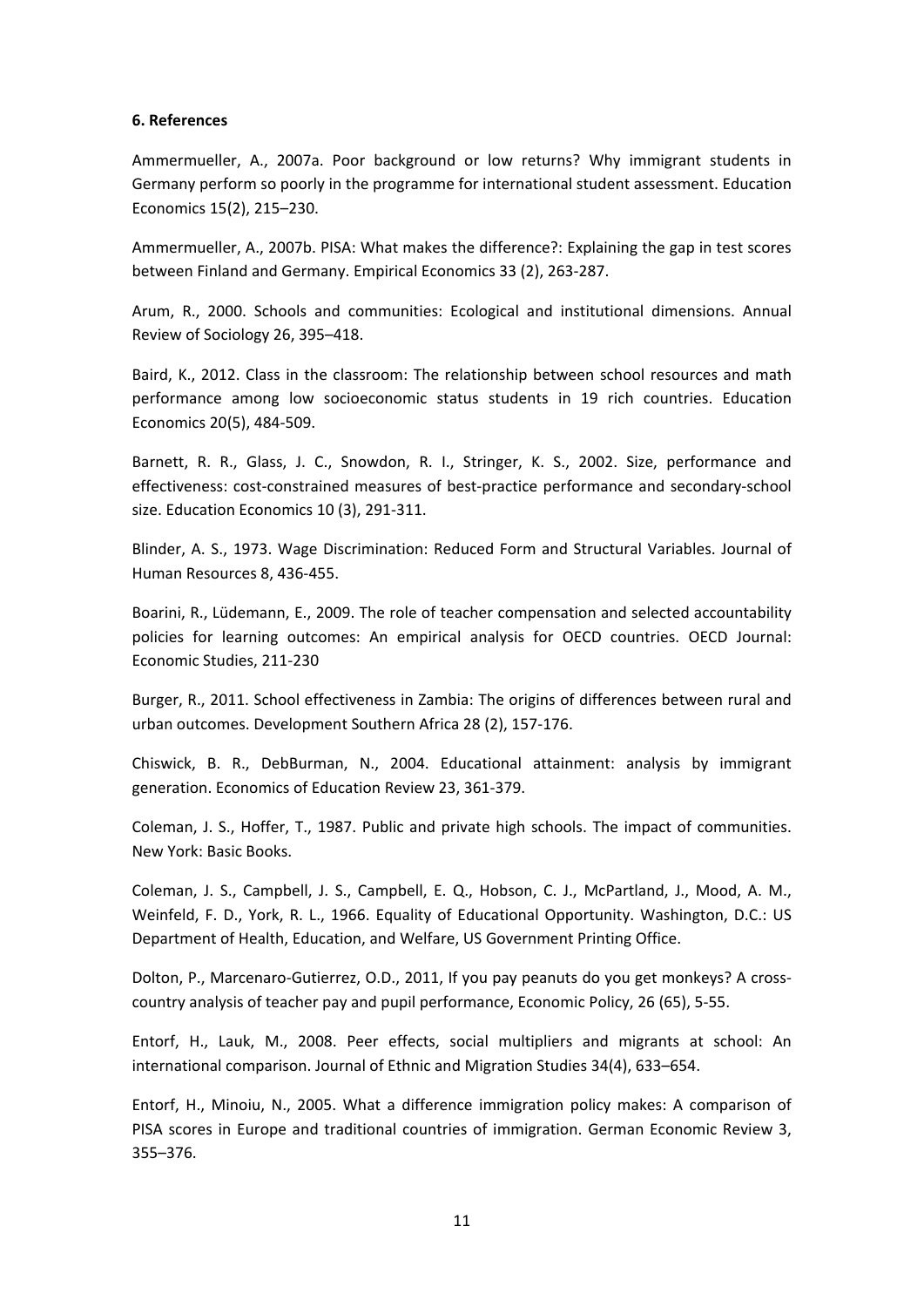#### **6. References**

Ammermueller, A., 2007a. Poor background or low returns? Why immigrant students in Germany perform so poorly in the programme for international student assessment. Education Economics 15(2), 215–230.

Ammermueller, A., 2007b. PISA: What makes the difference?: Explaining the gap in test scores between Finland and Germany. Empirical Economics 33 (2), 263‐287.

Arum, R., 2000. Schools and communities: Ecological and institutional dimensions. Annual Review of Sociology 26, 395–418.

Baird, K., 2012. Class in the classroom: The relationship between school resources and math performance among low socioeconomic status students in 19 rich countries. Education Economics 20(5), 484‐509.

Barnett, R. R., Glass, J. C., Snowdon, R. I., Stringer, K. S., 2002. Size, performance and effectiveness: cost-constrained measures of best-practice performance and secondary-school size. Education Economics 10 (3), 291‐311.

Blinder, A. S., 1973. Wage Discrimination: Reduced Form and Structural Variables. Journal of Human Resources 8, 436‐455.

Boarini, R., Lüdemann, E., 2009. The role of teacher compensation and selected accountability policies for learning outcomes: An empirical analysis for OECD countries. OECD Journal: Economic Studies, 211‐230

Burger, R., 2011. School effectiveness in Zambia: The origins of differences between rural and urban outcomes. Development Southern Africa 28 (2), 157‐176.

Chiswick, B. R., DebBurman, N., 2004. Educational attainment: analysis by immigrant generation. Economics of Education Review 23, 361‐379.

Coleman, J. S., Hoffer, T., 1987. Public and private high schools. The impact of communities. New York: Basic Books.

Coleman, J. S., Campbell, J. S., Campbell, E. Q., Hobson, C. J., McPartland, J., Mood, A. M., Weinfeld, F. D., York, R. L., 1966. Equality of Educational Opportunity. Washington, D.C.: US Department of Health, Education, and Welfare, US Government Printing Office.

Dolton, P., Marcenaro‐Gutierrez, O.D., 2011, If you pay peanuts do you get monkeys? A cross‐ country analysis of teacher pay and pupil performance, Economic Policy, 26 (65), 5‐55.

Entorf, H., Lauk, M., 2008. Peer effects, social multipliers and migrants at school: An international comparison. Journal of Ethnic and Migration Studies 34(4), 633–654.

Entorf, H., Minoiu, N., 2005. What a difference immigration policy makes: A comparison of PISA scores in Europe and traditional countries of immigration. German Economic Review 3, 355–376.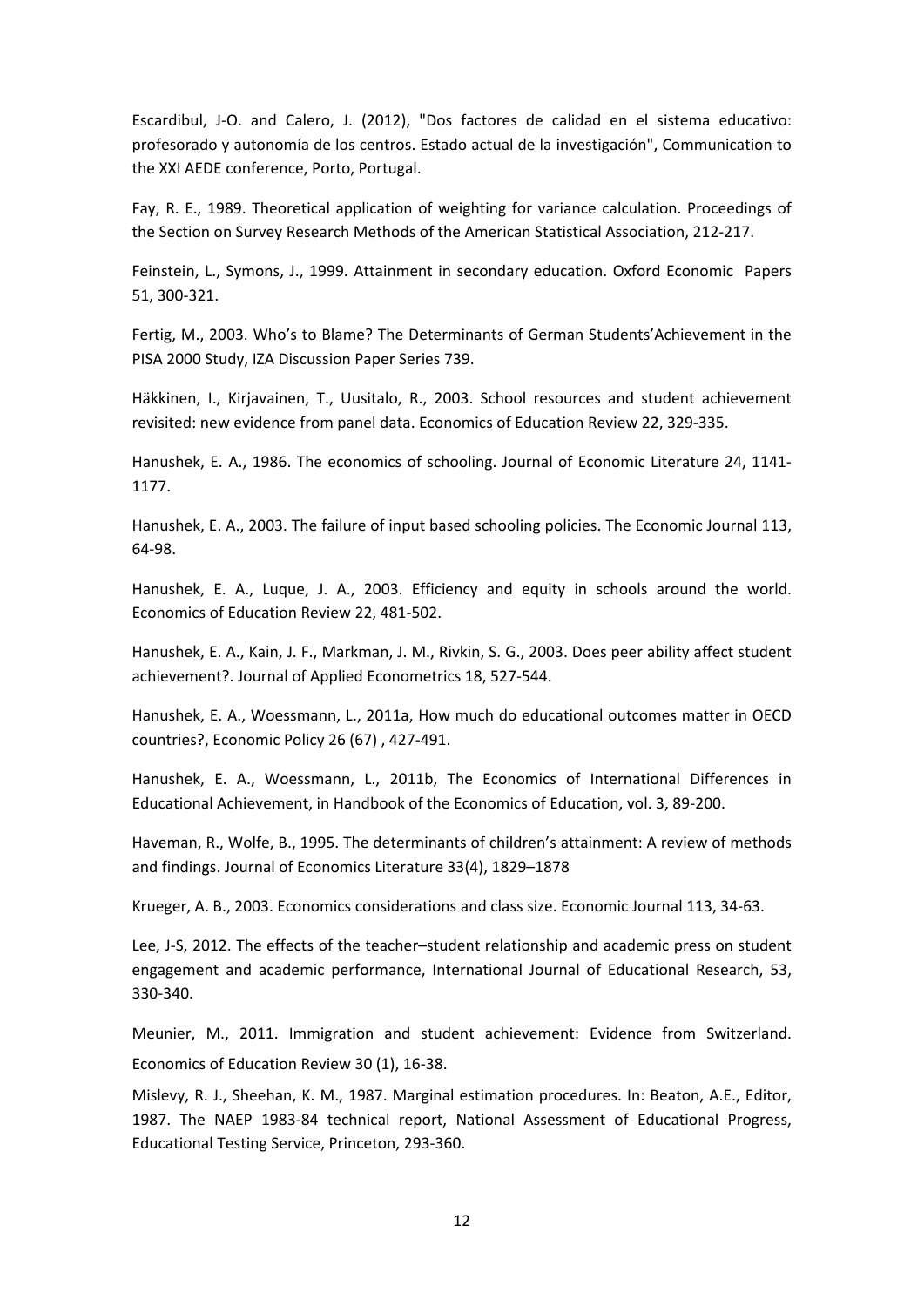Escardibul, J‐O. and Calero, J. (2012), "Dos factores de calidad en el sistema educativo: profesorado y autonomía de los centros. Estado actual de la investigación", Communication to the XXI AEDE conference, Porto, Portugal.

Fay, R. E., 1989. Theoretical application of weighting for variance calculation. Proceedings of the Section on Survey Research Methods of the American Statistical Association, 212‐217.

Feinstein, L., Symons, J., 1999. Attainment in secondary education. Oxford Economic Papers 51, 300‐321.

Fertig, M., 2003. Who's to Blame? The Determinants of German Students'Achievement in the PISA 2000 Study, IZA Discussion Paper Series 739.

Häkkinen, I., Kirjavainen, T., Uusitalo, R., 2003. School resources and student achievement revisited: new evidence from panel data. Economics of Education Review 22, 329‐335.

Hanushek, E. A., 1986. The economics of schooling. Journal of Economic Literature 24, 1141‐ 1177.

Hanushek, E. A., 2003. The failure of input based schooling policies. The Economic Journal 113, 64‐98.

Hanushek, E. A., Luque, J. A., 2003. Efficiency and equity in schools around the world. Economics of Education Review 22, 481‐502.

Hanushek, E. A., Kain, J. F., Markman, J. M., Rivkin, S. G., 2003. Does peer ability affect student achievement?. Journal of Applied Econometrics 18, 527‐544.

Hanushek, E. A., Woessmann, L., 2011a, How much do educational outcomes matter in OECD countries?, Economic Policy 26 (67) , 427‐491.

Hanushek, E. A., Woessmann, L., 2011b, The Economics of International Differences in Educational Achievement, in Handbook of the Economics of Education, vol. 3, 89‐200.

Haveman, R., Wolfe, B., 1995. The determinants of children's attainment: A review of methods and findings. Journal of Economics Literature 33(4), 1829–1878

Krueger, A. B., 2003. Economics considerations and class size. Economic Journal 113, 34‐63.

Lee, J‐S, 2012. The effects of the teacher–student relationship and academic press on student engagement and academic performance, International Journal of Educational Research, 53, 330‐340.

Meunier, M., 2011. Immigration and student achievement: Evidence from Switzerland. Economics of Education Review 30 (1), 16‐38.

Mislevy, R. J., Sheehan, K. M., 1987. Marginal estimation procedures. In: Beaton, A.E., Editor, 1987. The NAEP 1983‐84 technical report, National Assessment of Educational Progress, Educational Testing Service, Princeton, 293‐360.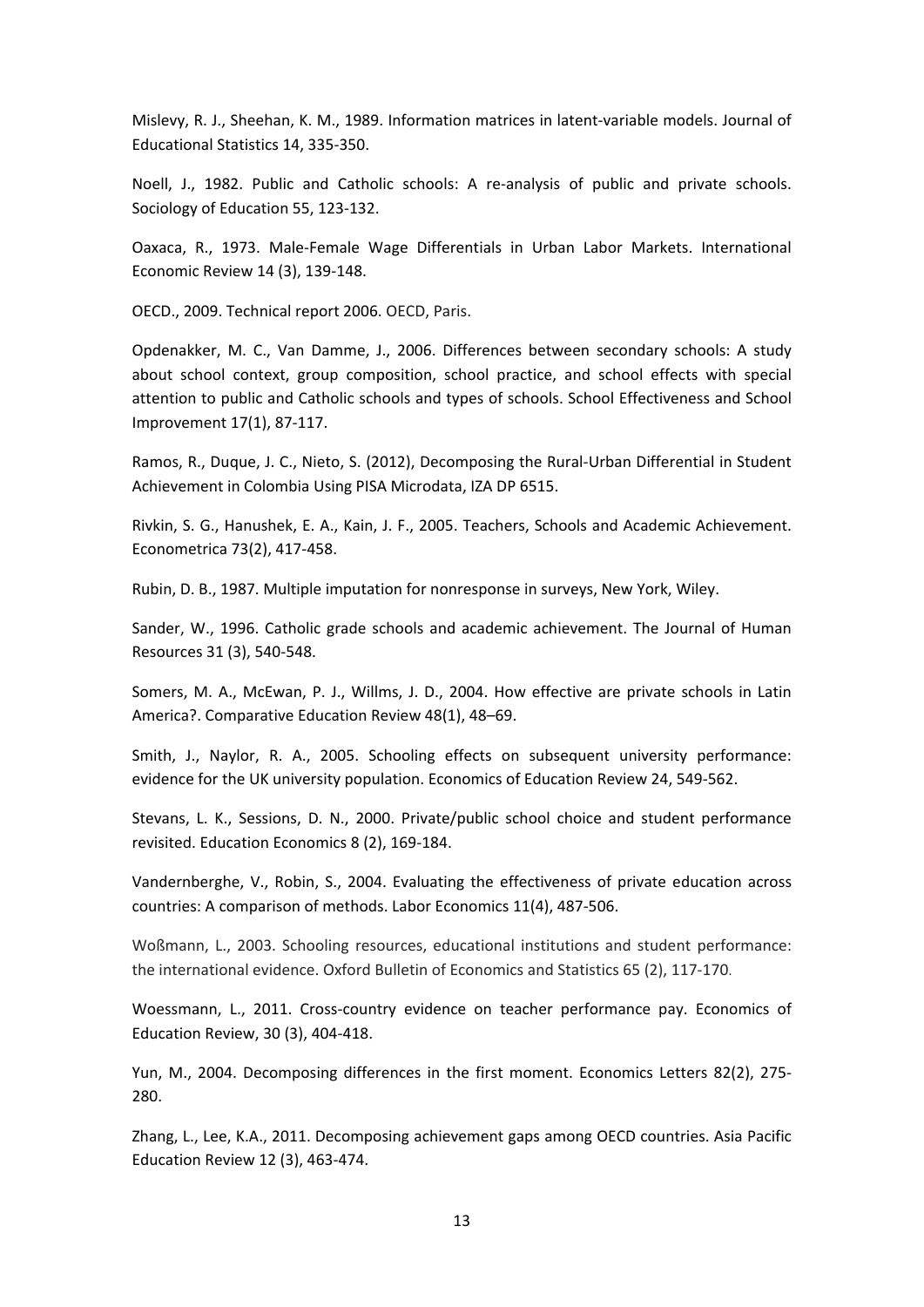Mislevy, R. J., Sheehan, K. M., 1989. Information matrices in latent‐variable models. Journal of Educational Statistics 14, 335‐350.

Noell, J., 1982. Public and Catholic schools: A re-analysis of public and private schools. Sociology of Education 55, 123‐132.

Oaxaca, R., 1973. Male‐Female Wage Differentials in Urban Labor Markets. International Economic Review 14 (3), 139‐148.

OECD., 2009. Technical report 2006. OECD, Paris.

Opdenakker, M. C., Van Damme, J., 2006. Differences between secondary schools: A study about school context, group composition, school practice, and school effects with special attention to public and Catholic schools and types of schools. School Effectiveness and School Improvement 17(1), 87‐117.

Ramos, R., Duque, J. C., Nieto, S. (2012), Decomposing the Rural‐Urban Differential in Student Achievement in Colombia Using PISA Microdata, IZA DP 6515.

Rivkin, S. G., Hanushek, E. A., Kain, J. F., 2005. Teachers, Schools and Academic Achievement. Econometrica 73(2), 417‐458.

Rubin, D. B., 1987. Multiple imputation for nonresponse in surveys, New York, Wiley.

Sander, W., 1996. Catholic grade schools and academic achievement. The Journal of Human Resources 31 (3), 540‐548.

Somers, M. A., McEwan, P. J., Willms, J. D., 2004. How effective are private schools in Latin America?. Comparative Education Review 48(1), 48–69.

Smith, J., Naylor, R. A., 2005. Schooling effects on subsequent university performance: evidence for the UK university population. Economics of Education Review 24, 549‐562.

Stevans, L. K., Sessions, D. N., 2000. Private/public school choice and student performance revisited. Education Economics 8 (2), 169‐184.

Vandernberghe, V., Robin, S., 2004. Evaluating the effectiveness of private education across countries: A comparison of methods. Labor Economics 11(4), 487‐506.

Woßmann, L., 2003. Schooling resources, educational institutions and student performance: the international evidence. Oxford Bulletin of Economics and Statistics 65 (2), 117‐170.

Woessmann, L., 2011. Cross‐country evidence on teacher performance pay. Economics of Education Review, 30 (3), 404‐418.

Yun, M., 2004. Decomposing differences in the first moment. Economics Letters 82(2), 275‐ 280.

Zhang, L., Lee, K.A., 2011. Decomposing achievement gaps among OECD countries. Asia Pacific Education Review 12 (3), 463‐474.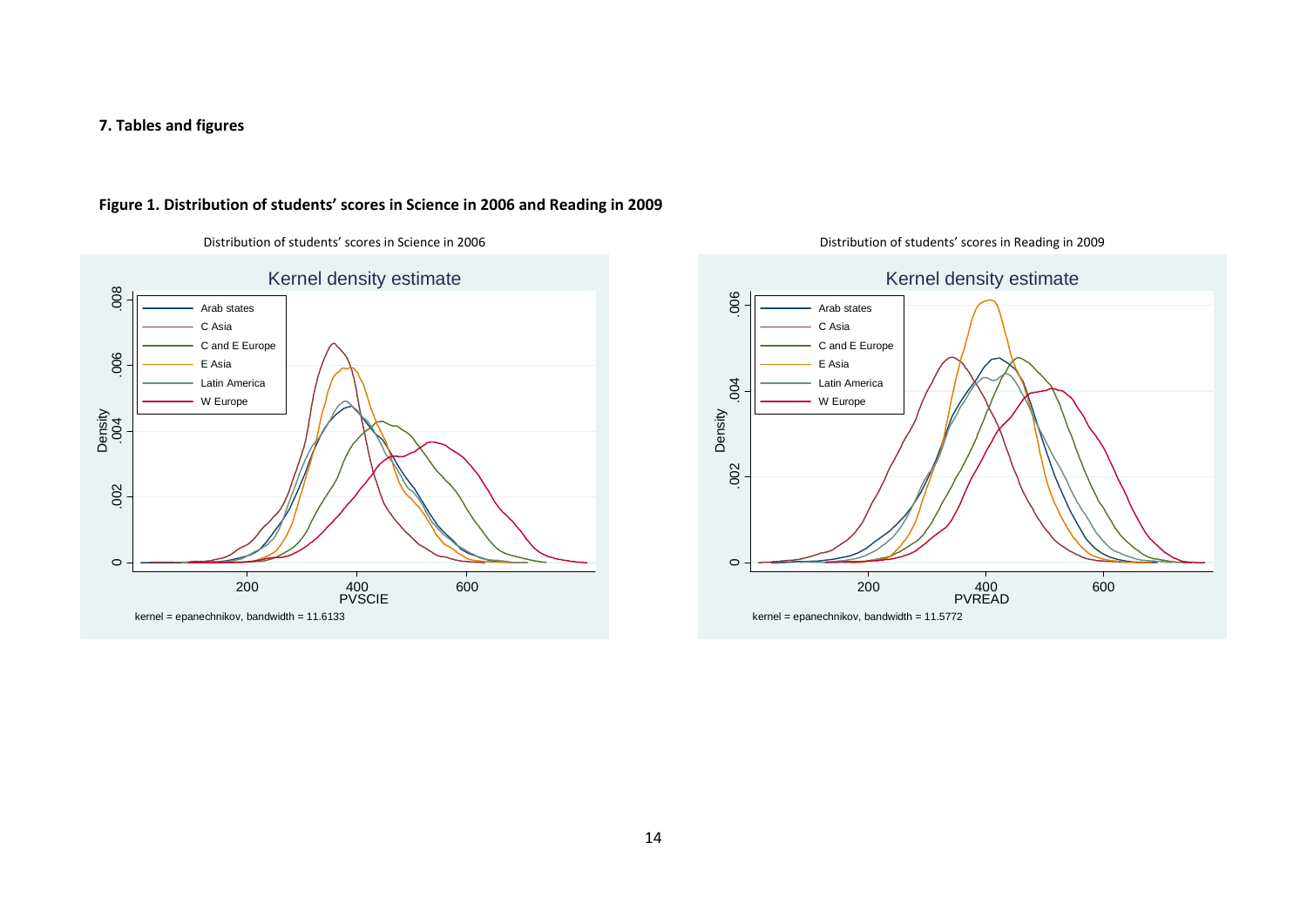#### **7. Tables and figures**



#### **Figure 1. Distribution of students' scores in Science in 2006 and Reading in 2009**



Distribution of students' scores in Science in 2006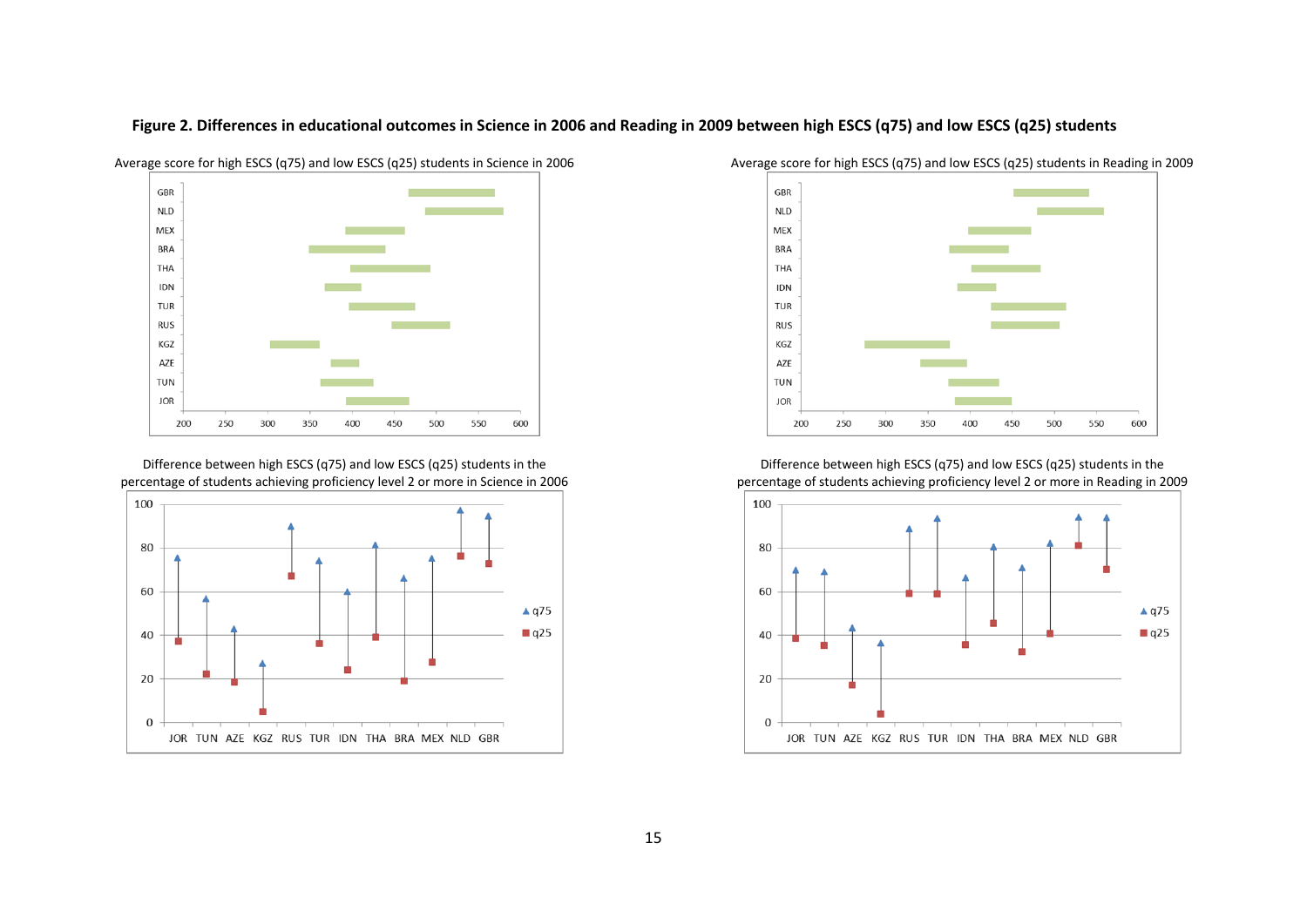

Figure 2. Differences in educational outcomes in Science in 2006 and Reading in 2009 between high ESCS (q75) and low ESCS (q25) students

Difference between high ESCS (q75) and low ESCS (q25) students in the percentage of students achieving proficiency level 2 or more in Science in 2006





Difference between high ESCS (q75) and low ESCS (q25) students in the percentage of students achieving proficiency level 2 or more in Reading in 2009

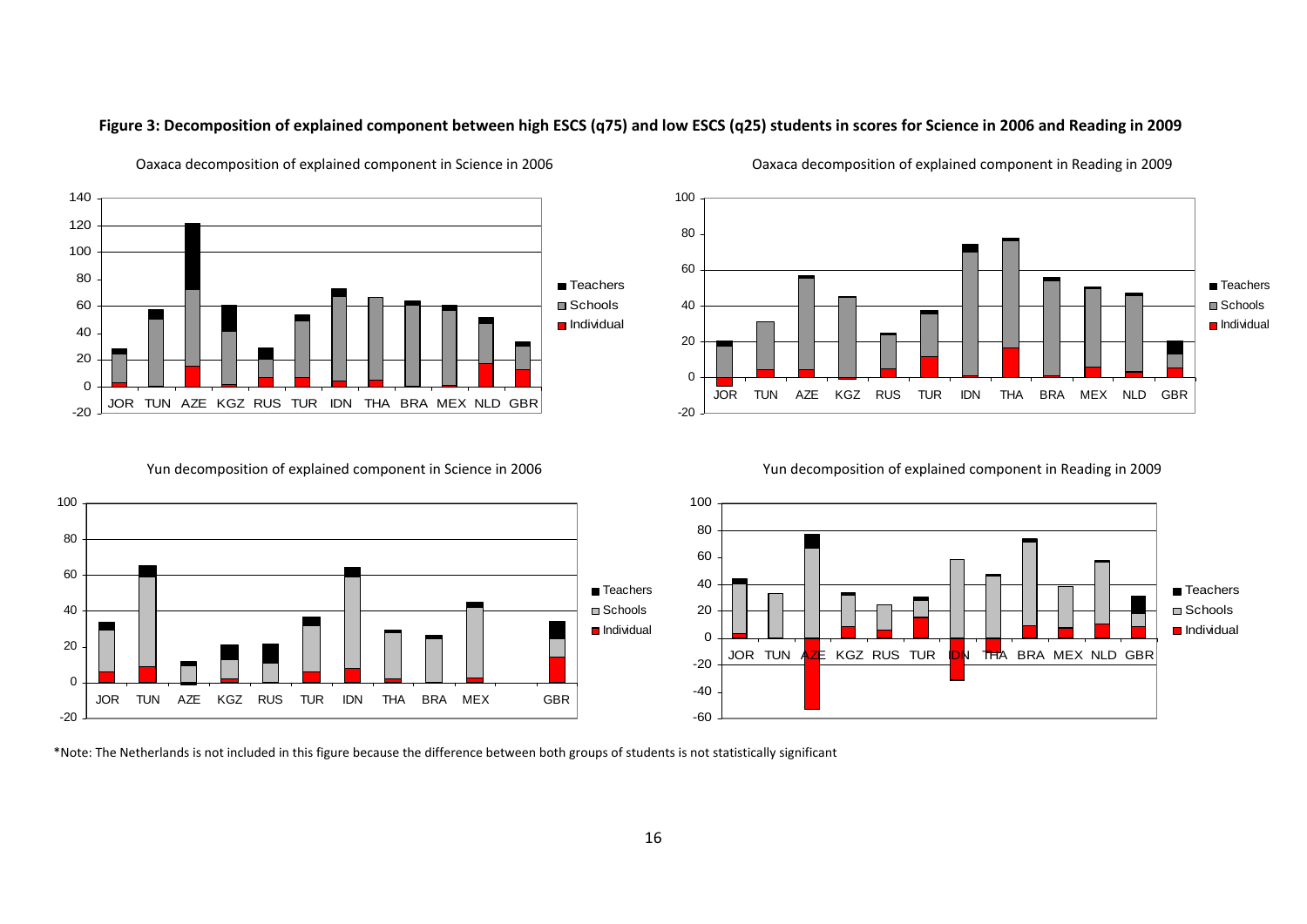

Figure 3: Decomposition of explained component between high ESCS (q75) and low ESCS (q25) students in scores for Science in 2006 and Reading in 2009

Yun decomposition of explained component in Science in 2006



Daxaca decomposition of explained component in Reading in 2009



Yun decomposition of explained component in Reading in 2009



\*Note: The Netherlands is not included in this figure because the difference between both groups of students is not statistically significant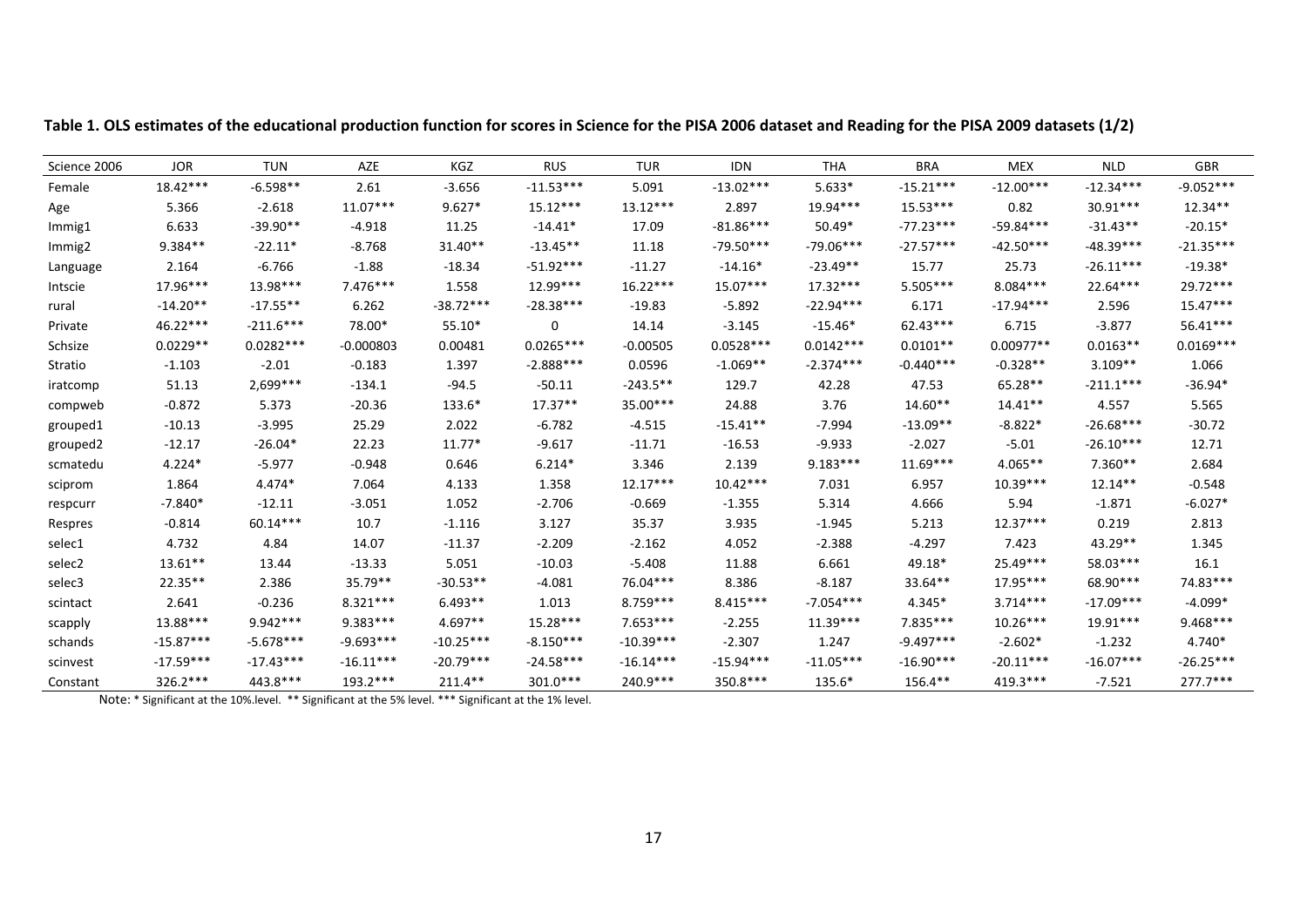| Science 2006         | <b>JOR</b>  | <b>TUN</b>  | <b>AZE</b>  | KGZ         | <b>RUS</b>  | <b>TUR</b>  | <b>IDN</b>  | <b>THA</b>  | <b>BRA</b>  | <b>MEX</b>  | <b>NLD</b>  | <b>GBR</b>  |
|----------------------|-------------|-------------|-------------|-------------|-------------|-------------|-------------|-------------|-------------|-------------|-------------|-------------|
| Female               | $18.42***$  | $-6.598**$  | 2.61        | $-3.656$    | $-11.53***$ | 5.091       | $-13.02***$ | $5.633*$    | $-15.21***$ | $-12.00***$ | $-12.34***$ | $-9.052***$ |
| Age                  | 5.366       | $-2.618$    | $11.07***$  | $9.627*$    | $15.12***$  | $13.12***$  | 2.897       | 19.94***    | $15.53***$  | 0.82        | $30.91***$  | $12.34**$   |
| Immig1               | 6.633       | $-39.90**$  | $-4.918$    | 11.25       | $-14.41*$   | 17.09       | $-81.86***$ | $50.49*$    | $-77.23***$ | $-59.84***$ | $-31.43**$  | $-20.15*$   |
| Immig2               | 9.384**     | $-22.11*$   | $-8.768$    | $31.40**$   | $-13.45**$  | 11.18       | $-79.50***$ | $-79.06***$ | $-27.57***$ | $-42.50***$ | $-48.39***$ | $-21.35***$ |
| Language             | 2.164       | -6.766      | $-1.88$     | $-18.34$    | $-51.92***$ | $-11.27$    | $-14.16*$   | $-23.49**$  | 15.77       | 25.73       | $-26.11***$ | $-19.38*$   |
| Intscie              | 17.96***    | 13.98***    | $7.476***$  | 1.558       | $12.99***$  | $16.22***$  | $15.07***$  | $17.32***$  | $5.505***$  | $8.084***$  | 22.64***    | 29.72***    |
| rural                | $-14.20**$  | $-17.55**$  | 6.262       | $-38.72***$ | $-28.38***$ | $-19.83$    | $-5.892$    | $-22.94***$ | 6.171       | $-17.94***$ | 2.596       | $15.47***$  |
| Private              | 46.22***    | $-211.6***$ | 78.00*      | 55.10*      | 0           | 14.14       | $-3.145$    | $-15.46*$   | 62.43***    | 6.715       | $-3.877$    | 56.41***    |
| Schsize              | $0.0229**$  | $0.0282***$ | $-0.000803$ | 0.00481     | $0.0265***$ | $-0.00505$  | $0.0528***$ | $0.0142***$ | $0.0101**$  | $0.00977**$ | $0.0163**$  | $0.0169***$ |
| Stratio              | $-1.103$    | $-2.01$     | $-0.183$    | 1.397       | $-2.888***$ | 0.0596      | $-1.069**$  | $-2.374***$ | $-0.440***$ | $-0.328**$  | $3.109**$   | 1.066       |
| iratcomp             | 51.13       | $2.699***$  | $-134.1$    | $-94.5$     | $-50.11$    | $-243.5**$  | 129.7       | 42.28       | 47.53       | 65.28**     | $-211.1***$ | $-36.94*$   |
| compweb              | $-0.872$    | 5.373       | $-20.36$    | $133.6*$    | $17.37**$   | 35.00***    | 24.88       | 3.76        | $14.60**$   | $14.41**$   | 4.557       | 5.565       |
| grouped1             | $-10.13$    | $-3.995$    | 25.29       | 2.022       | $-6.782$    | $-4.515$    | $-15.41**$  | $-7.994$    | $-13.09**$  | $-8.822*$   | $-26.68***$ | $-30.72$    |
| grouped <sub>2</sub> | $-12.17$    | $-26.04*$   | 22.23       | $11.77*$    | $-9.617$    | $-11.71$    | $-16.53$    | $-9.933$    | $-2.027$    | $-5.01$     | $-26.10***$ | 12.71       |
| scmatedu             | $4.224*$    | $-5.977$    | $-0.948$    | 0.646       | $6.214*$    | 3.346       | 2.139       | $9.183***$  | $11.69***$  | $4.065**$   | $7.360**$   | 2.684       |
| sciprom              | 1.864       | $4.474*$    | 7.064       | 4.133       | 1.358       | $12.17***$  | $10.42***$  | 7.031       | 6.957       | $10.39***$  | $12.14**$   | $-0.548$    |
| respcurr             | $-7.840*$   | $-12.11$    | $-3.051$    | 1.052       | $-2.706$    | $-0.669$    | $-1.355$    | 5.314       | 4.666       | 5.94        | $-1.871$    | $-6.027*$   |
| Respres              | $-0.814$    | 60.14***    | 10.7        | $-1.116$    | 3.127       | 35.37       | 3.935       | $-1.945$    | 5.213       | 12.37***    | 0.219       | 2.813       |
| selec1               | 4.732       | 4.84        | 14.07       | $-11.37$    | $-2.209$    | $-2.162$    | 4.052       | $-2.388$    | $-4.297$    | 7.423       | 43.29**     | 1.345       |
| selec2               | 13.61**     | 13.44       | $-13.33$    | 5.051       | $-10.03$    | $-5.408$    | 11.88       | 6.661       | 49.18*      | 25.49***    | 58.03***    | 16.1        |
| selec3               | 22.35**     | 2.386       | $35.79**$   | $-30.53**$  | $-4.081$    | 76.04***    | 8.386       | $-8.187$    | 33.64**     | 17.95***    | 68.90***    | 74.83***    |
| scintact             | 2.641       | $-0.236$    | $8.321***$  | $6.493**$   | 1.013       | $8.759***$  | $8.415***$  | $-7.054***$ | $4.345*$    | $3.714***$  | $-17.09***$ | $-4.099*$   |
| scapply              | 13.88***    | $9.942***$  | $9.383***$  | $4.697**$   | $15.28***$  | $7.653***$  | $-2.255$    | $11.39***$  | 7.835***    | $10.26***$  | 19.91***    | $9.468***$  |
| schands              | $-15.87***$ | $-5.678***$ | $-9.693***$ | $-10.25***$ | $-8.150***$ | $-10.39***$ | $-2.307$    | 1.247       | $-9.497***$ | $-2.602*$   | $-1.232$    | $4.740*$    |
| scinvest             | $-17.59***$ | $-17.43***$ | $-16.11***$ | $-20.79***$ | $-24.58***$ | $-16.14***$ | $-15.94***$ | $-11.05***$ | $-16.90***$ | $-20.11***$ | $-16.07***$ | $-26.25***$ |
| Constant             | $326.2***$  | 443.8***    | 193.2 ***   | $211.4**$   | $301.0***$  | 240.9***    | 350.8***    | 135.6*      | $156.4**$   | 419.3***    | $-7.521$    | $277.7***$  |

Table 1. OLS estimates of the educational production function for scores in Science for the PISA 2006 dataset and Reading for the PISA 2009 datasets (1/2)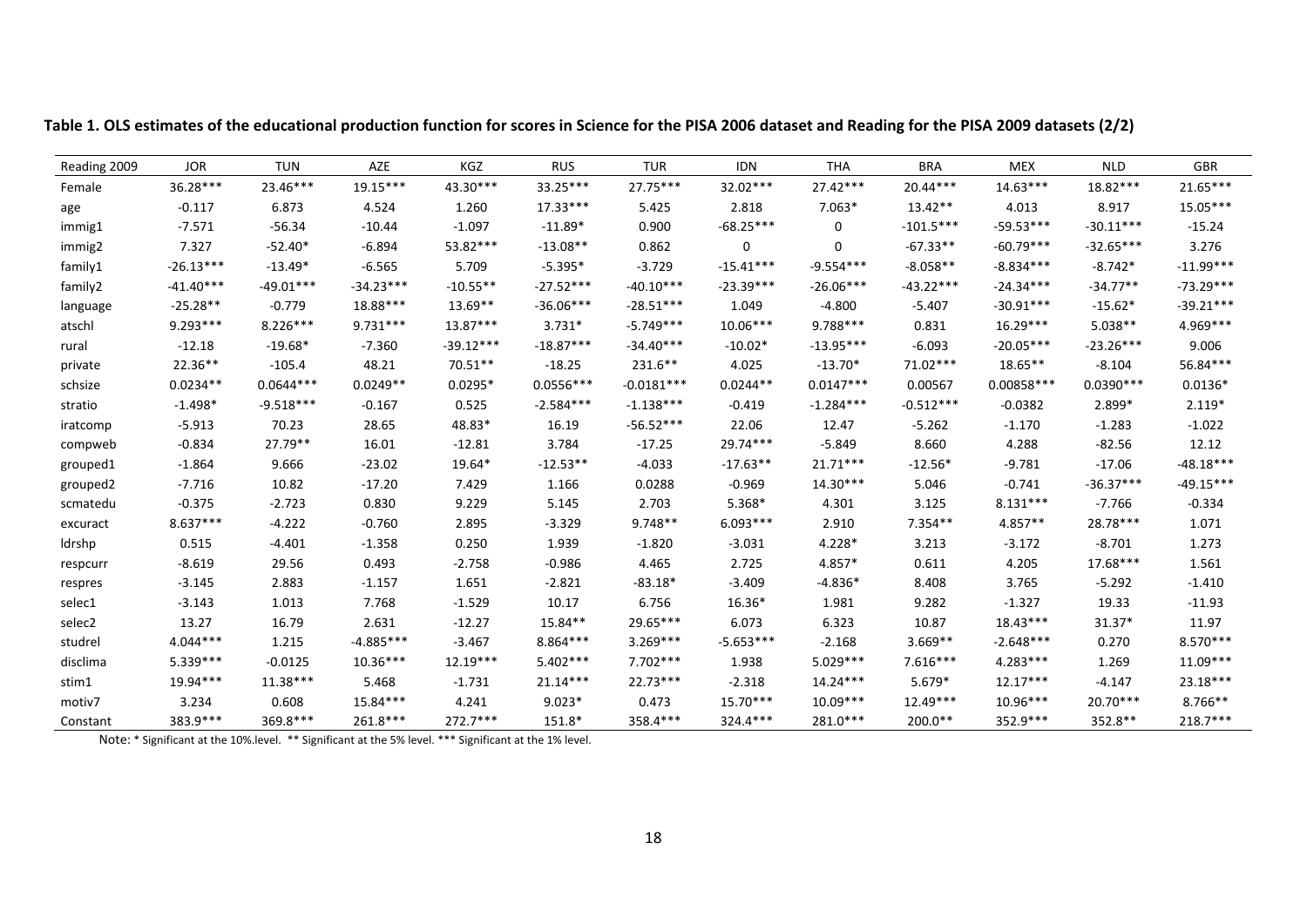| Reading 2009 | <b>JOR</b>  | <b>TUN</b>  | AZE         | KGZ         | <b>RUS</b>  | <b>TUR</b>   | <b>IDN</b>  | <b>THA</b>  | <b>BRA</b>  | <b>MEX</b>  | <b>NLD</b>  | <b>GBR</b>  |
|--------------|-------------|-------------|-------------|-------------|-------------|--------------|-------------|-------------|-------------|-------------|-------------|-------------|
| Female       | 36.28***    | 23.46***    | $19.15***$  | 43.30***    | $33.25***$  | $27.75***$   | 32.02***    | $27.42***$  | $20.44***$  | $14.63***$  | $18.82***$  | $21.65***$  |
| age          | $-0.117$    | 6.873       | 4.524       | 1.260       | $17.33***$  | 5.425        | 2.818       | $7.063*$    | $13.42**$   | 4.013       | 8.917       | $15.05***$  |
| immig1       | $-7.571$    | $-56.34$    | $-10.44$    | $-1.097$    | $-11.89*$   | 0.900        | $-68.25***$ | $\Omega$    | $-101.5***$ | $-59.53***$ | $-30.11***$ | $-15.24$    |
| immig2       | 7.327       | $-52.40*$   | $-6.894$    | 53.82***    | $-13.08**$  | 0.862        | 0           | 0           | $-67.33**$  | $-60.79***$ | $-32.65***$ | 3.276       |
| family1      | $-26.13***$ | $-13.49*$   | $-6.565$    | 5.709       | $-5.395*$   | $-3.729$     | $-15.41***$ | $-9.554***$ | $-8.058**$  | $-8.834***$ | $-8.742*$   | $-11.99***$ |
| family2      | $-41.40***$ | $-49.01***$ | $-34.23***$ | $-10.55**$  | $-27.52***$ | $-40.10***$  | $-23.39***$ | $-26.06***$ | $-43.22***$ | $-24.34***$ | $-34.77**$  | $-73.29***$ |
| language     | $-25.28**$  | $-0.779$    | 18.88***    | $13.69**$   | $-36.06***$ | $-28.51***$  | 1.049       | $-4.800$    | $-5.407$    | $-30.91***$ | $-15.62*$   | $-39.21***$ |
| atschl       | $9.293***$  | $8.226***$  | $9.731***$  | $13.87***$  | $3.731*$    | $-5.749***$  | $10.06***$  | 9.788***    | 0.831       | $16.29***$  | $5.038**$   | 4.969***    |
| rural        | $-12.18$    | $-19.68*$   | $-7.360$    | $-39.12***$ | $-18.87***$ | $-34.40***$  | $-10.02*$   | $-13.95***$ | $-6.093$    | $-20.05***$ | $-23.26***$ | 9.006       |
| private      | $22.36**$   | $-105.4$    | 48.21       | $70.51**$   | $-18.25$    | $231.6***$   | 4.025       | $-13.70*$   | 71.02***    | $18.65**$   | $-8.104$    | 56.84***    |
| schsize      | $0.0234**$  | $0.0644***$ | $0.0249**$  | $0.0295*$   | $0.0556***$ | $-0.0181***$ | $0.0244**$  | $0.0147***$ | 0.00567     | 0.00858 *** | $0.0390***$ | $0.0136*$   |
| stratio      | $-1.498*$   | $-9.518***$ | $-0.167$    | 0.525       | $-2.584***$ | $-1.138***$  | $-0.419$    | $-1.284***$ | $-0.512***$ | $-0.0382$   | 2.899*      | $2.119*$    |
| iratcomp     | $-5.913$    | 70.23       | 28.65       | 48.83*      | 16.19       | $-56.52***$  | 22.06       | 12.47       | $-5.262$    | $-1.170$    | $-1.283$    | $-1.022$    |
| compweb      | $-0.834$    | 27.79**     | 16.01       | $-12.81$    | 3.784       | $-17.25$     | 29.74***    | $-5.849$    | 8.660       | 4.288       | $-82.56$    | 12.12       |
| grouped1     | $-1.864$    | 9.666       | $-23.02$    | 19.64*      | $-12.53**$  | $-4.033$     | $-17.63**$  | $21.71***$  | $-12.56*$   | $-9.781$    | $-17.06$    | $-48.18***$ |
| grouped2     | $-7.716$    | 10.82       | $-17.20$    | 7.429       | 1.166       | 0.0288       | $-0.969$    | $14.30***$  | 5.046       | $-0.741$    | $-36.37***$ | $-49.15***$ |
| scmatedu     | $-0.375$    | $-2.723$    | 0.830       | 9.229       | 5.145       | 2.703        | 5.368*      | 4.301       | 3.125       | $8.131***$  | $-7.766$    | $-0.334$    |
| excuract     | $8.637***$  | $-4.222$    | $-0.760$    | 2.895       | $-3.329$    | $9.748**$    | $6.093***$  | 2.910       | $7.354**$   | 4.857**     | 28.78***    | 1.071       |
| Idrshp       | 0.515       | $-4.401$    | $-1.358$    | 0.250       | 1.939       | $-1.820$     | $-3.031$    | 4.228*      | 3.213       | $-3.172$    | $-8.701$    | 1.273       |
| respcurr     | $-8.619$    | 29.56       | 0.493       | $-2.758$    | $-0.986$    | 4.465        | 2.725       | 4.857*      | 0.611       | 4.205       | 17.68***    | 1.561       |
| respres      | $-3.145$    | 2.883       | $-1.157$    | 1.651       | $-2.821$    | $-83.18*$    | $-3.409$    | $-4.836*$   | 8.408       | 3.765       | $-5.292$    | $-1.410$    |
| selec1       | $-3.143$    | 1.013       | 7.768       | $-1.529$    | 10.17       | 6.756        | 16.36*      | 1.981       | 9.282       | $-1.327$    | 19.33       | $-11.93$    |
| selec2       | 13.27       | 16.79       | 2.631       | $-12.27$    | 15.84**     | 29.65***     | 6.073       | 6.323       | 10.87       | $18.43***$  | $31.37*$    | 11.97       |
| studrel      | $4.044***$  | 1.215       | $-4.885***$ | $-3.467$    | 8.864 ***   | $3.269***$   | $-5.653***$ | $-2.168$    | $3.669**$   | $-2.648***$ | 0.270       | $8.570***$  |
| disclima     | $5.339***$  | $-0.0125$   | $10.36***$  | $12.19***$  | $5.402***$  | $7.702***$   | 1.938       | $5.029***$  | $7.616***$  | $4.283***$  | 1.269       | $11.09***$  |
| stim1        | 19.94***    | $11.38***$  | 5.468       | $-1.731$    | $21.14***$  | $22.73***$   | $-2.318$    | $14.24***$  | $5.679*$    | $12.17***$  | $-4.147$    | $23.18***$  |
| motiv7       | 3.234       | 0.608       | 15.84***    | 4.241       | $9.023*$    | 0.473        | 15.70***    | $10.09***$  | 12.49***    | 10.96***    | $20.70***$  | $8.766**$   |
| Constant     | 383.9 ***   | 369.8***    | 261.8***    | $272.7***$  | 151.8*      | 358.4***     | $324.4***$  | 281.0***    | 200.0**     | 352.9 ***   | 352.8**     | $218.7***$  |

Table 1. OLS estimates of the educational production function for scores in Science for the PISA 2006 dataset and Reading for the PISA 2009 datasets (2/2)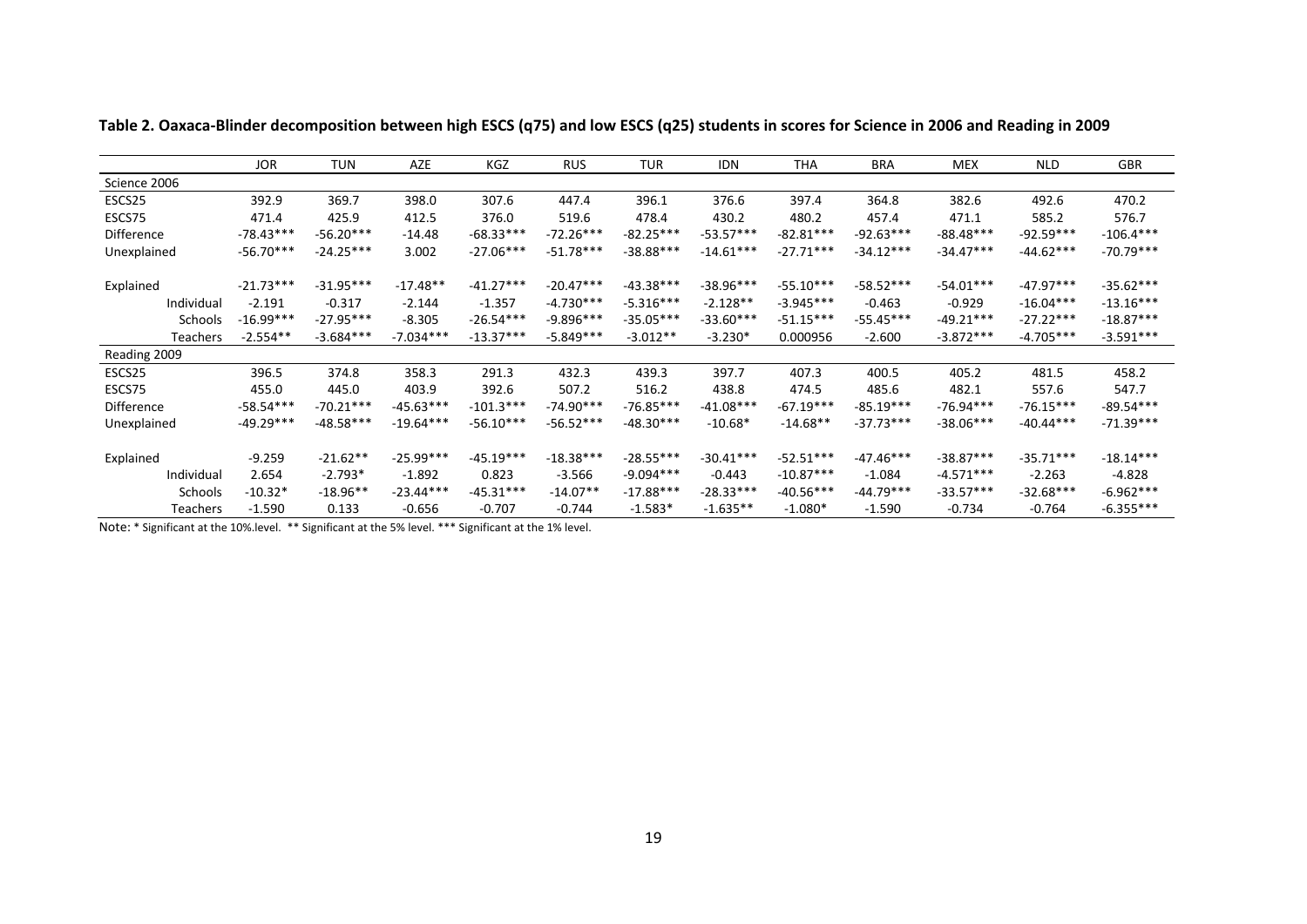|                   | <b>JOR</b>  | <b>TUN</b>  | <b>AZE</b>  | KGZ         | <b>RUS</b>  | <b>TUR</b>  | <b>IDN</b>  | <b>THA</b>  | BRA         | <b>MEX</b>  | <b>NLD</b>  | <b>GBR</b>  |
|-------------------|-------------|-------------|-------------|-------------|-------------|-------------|-------------|-------------|-------------|-------------|-------------|-------------|
| Science 2006      |             |             |             |             |             |             |             |             |             |             |             |             |
| ESCS25            | 392.9       | 369.7       | 398.0       | 307.6       | 447.4       | 396.1       | 376.6       | 397.4       | 364.8       | 382.6       | 492.6       | 470.2       |
| ESCS75            | 471.4       | 425.9       | 412.5       | 376.0       | 519.6       | 478.4       | 430.2       | 480.2       | 457.4       | 471.1       | 585.2       | 576.7       |
| <b>Difference</b> | $-78.43***$ | $-56.20***$ | $-14.48$    | $-68.33***$ | $-72.26***$ | $-82.25***$ | $-53.57***$ | $-82.81***$ | $-92.63***$ | $-88.48***$ | $-92.59***$ | $-106.4***$ |
| Unexplained       | $-56.70***$ | $-24.25***$ | 3.002       | $-27.06***$ | $-51.78***$ | $-38.88***$ | $-14.61***$ | $-27.71***$ | $-34.12***$ | $-34.47***$ | $-44.62***$ | $-70.79***$ |
| Explained         | $-21.73***$ | $-31.95***$ | $-17.48**$  | $-41.27***$ | $-20.47***$ | $-43.38***$ | $-38.96***$ | $-55.10***$ | $-58.52***$ | $-54.01***$ | $-47.97***$ | $-35.62***$ |
| Individual        | $-2.191$    | $-0.317$    | $-2.144$    | $-1.357$    | $-4.730***$ | $-5.316***$ | $-2.128**$  | $-3.945***$ | $-0.463$    | $-0.929$    | $-16.04***$ | $-13.16***$ |
| <b>Schools</b>    | $-16.99***$ | $-27.95***$ | $-8.305$    | $-26.54***$ | $-9.896***$ | $-35.05***$ | $-33.60***$ | $-51.15***$ | $-55.45***$ | $-49.21***$ | $-27.22***$ | $-18.87***$ |
| Teachers          | $-2.554**$  | $-3.684***$ | $-7.034***$ | $-13.37***$ | $-5.849***$ | $-3.012**$  | $-3.230*$   | 0.000956    | $-2.600$    | $-3.872***$ | $-4.705***$ | $-3.591***$ |
| Reading 2009      |             |             |             |             |             |             |             |             |             |             |             |             |
| ESCS25            | 396.5       | 374.8       | 358.3       | 291.3       | 432.3       | 439.3       | 397.7       | 407.3       | 400.5       | 405.2       | 481.5       | 458.2       |
| ESCS75            | 455.0       | 445.0       | 403.9       | 392.6       | 507.2       | 516.2       | 438.8       | 474.5       | 485.6       | 482.1       | 557.6       | 547.7       |
| <b>Difference</b> | $-58.54***$ | $-70.21***$ | $-45.63***$ | $-101.3***$ | $-74.90***$ | $-76.85***$ | $-41.08***$ | $-67.19***$ | $-85.19***$ | $-76.94***$ | $-76.15***$ | $-89.54***$ |
| Unexplained       | $-49.29***$ | $-48.58***$ | $-19.64***$ | $-56.10***$ | $-56.52***$ | $-48.30***$ | $-10.68*$   | $-14.68**$  | $-37.73***$ | $-38.06***$ | $-40.44***$ | $-71.39***$ |
| Explained         | $-9.259$    | $-21.62**$  | $-25.99***$ | $-45.19***$ | $-18.38***$ | $-28.55***$ | $-30.41***$ | $-52.51***$ | $-47.46***$ | $-38.87***$ | $-35.71***$ | $-18.14***$ |
| Individual        | 2.654       | $-2.793*$   | $-1.892$    | 0.823       | $-3.566$    | $-9.094***$ | $-0.443$    | $-10.87***$ | $-1.084$    | $-4.571***$ | $-2.263$    | $-4.828$    |
| <b>Schools</b>    | $-10.32*$   | $-18.96**$  | $-23.44***$ | $-45.31***$ | $-14.07**$  | $-17.88***$ | $-28.33***$ | $-40.56***$ | $-44.79***$ | $-33.57***$ | $-32.68***$ | $-6.962***$ |
| <b>Teachers</b>   | $-1.590$    | 0.133       | $-0.656$    | $-0.707$    | $-0.744$    | $-1.583*$   | $-1.635**$  | $-1.080*$   | $-1.590$    | $-0.734$    | $-0.764$    | $-6.355***$ |

Table 2. Oaxaca-Blinder decomposition between high ESCS (q75) and low ESCS (q25) students in scores for Science in 2006 and Reading in 2009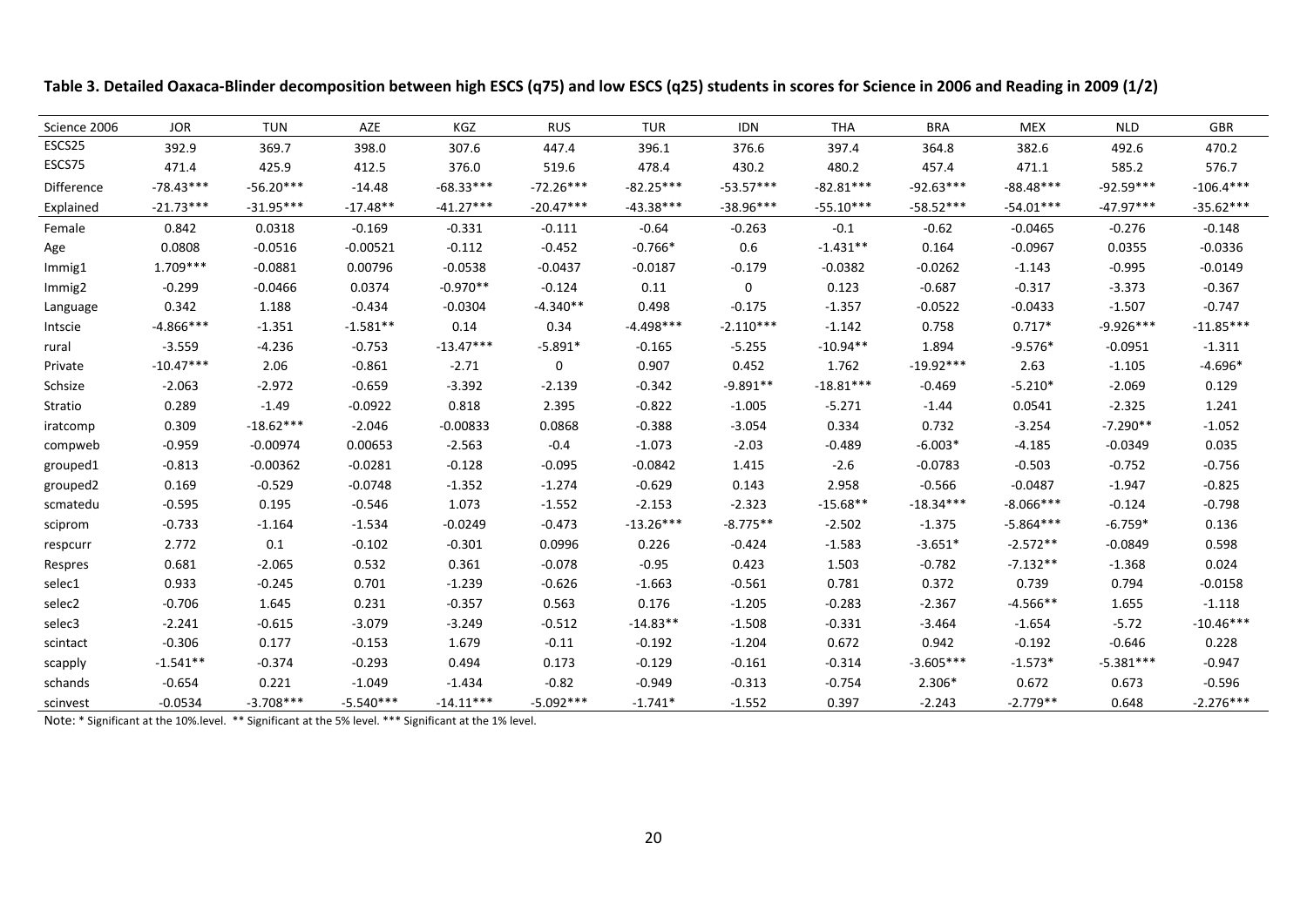| Science 2006 | <b>JOR</b>  | <b>TUN</b>  | AZE         | KGZ         | <b>RUS</b>  | <b>TUR</b>  | <b>IDN</b>  | THA         | <b>BRA</b>  | <b>MEX</b>  | <b>NLD</b>  | GBR         |
|--------------|-------------|-------------|-------------|-------------|-------------|-------------|-------------|-------------|-------------|-------------|-------------|-------------|
| ESCS25       | 392.9       | 369.7       | 398.0       | 307.6       | 447.4       | 396.1       | 376.6       | 397.4       | 364.8       | 382.6       | 492.6       | 470.2       |
| ESCS75       | 471.4       | 425.9       | 412.5       | 376.0       | 519.6       | 478.4       | 430.2       | 480.2       | 457.4       | 471.1       | 585.2       | 576.7       |
| Difference   | $-78.43***$ | $-56.20***$ | $-14.48$    | $-68.33***$ | $-72.26***$ | $-82.25***$ | $-53.57***$ | $-82.81***$ | $-92.63***$ | $-88.48***$ | $-92.59***$ | $-106.4***$ |
| Explained    | $-21.73***$ | $-31.95***$ | $-17.48**$  | $-41.27***$ | $-20.47***$ | $-43.38***$ | $-38.96***$ | $-55.10***$ | $-58.52***$ | $-54.01***$ | $-47.97***$ | $-35.62***$ |
| Female       | 0.842       | 0.0318      | $-0.169$    | $-0.331$    | $-0.111$    | $-0.64$     | $-0.263$    | $-0.1$      | $-0.62$     | $-0.0465$   | $-0.276$    | $-0.148$    |
| Age          | 0.0808      | $-0.0516$   | $-0.00521$  | $-0.112$    | $-0.452$    | $-0.766*$   | 0.6         | $-1.431**$  | 0.164       | $-0.0967$   | 0.0355      | $-0.0336$   |
| Immig1       | $1.709***$  | $-0.0881$   | 0.00796     | $-0.0538$   | $-0.0437$   | $-0.0187$   | $-0.179$    | $-0.0382$   | $-0.0262$   | $-1.143$    | $-0.995$    | $-0.0149$   |
| Immig2       | $-0.299$    | $-0.0466$   | 0.0374      | $-0.970**$  | $-0.124$    | 0.11        | 0           | 0.123       | $-0.687$    | $-0.317$    | $-3.373$    | $-0.367$    |
| Language     | 0.342       | 1.188       | $-0.434$    | $-0.0304$   | $-4.340**$  | 0.498       | $-0.175$    | $-1.357$    | $-0.0522$   | $-0.0433$   | $-1.507$    | $-0.747$    |
| Intscie      | $-4.866***$ | $-1.351$    | $-1.581**$  | 0.14        | 0.34        | $-4.498***$ | $-2.110***$ | $-1.142$    | 0.758       | $0.717*$    | $-9.926***$ | $-11.85***$ |
| rural        | $-3.559$    | $-4.236$    | $-0.753$    | $-13.47***$ | $-5.891*$   | $-0.165$    | $-5.255$    | $-10.94**$  | 1.894       | $-9.576*$   | $-0.0951$   | $-1.311$    |
| Private      | $-10.47***$ | 2.06        | $-0.861$    | $-2.71$     | $\mathbf 0$ | 0.907       | 0.452       | 1.762       | $-19.92***$ | 2.63        | $-1.105$    | $-4.696*$   |
| Schsize      | $-2.063$    | $-2.972$    | $-0.659$    | $-3.392$    | $-2.139$    | $-0.342$    | $-9.891**$  | $-18.81***$ | $-0.469$    | $-5.210*$   | $-2.069$    | 0.129       |
| Stratio      | 0.289       | $-1.49$     | $-0.0922$   | 0.818       | 2.395       | $-0.822$    | $-1.005$    | $-5.271$    | $-1.44$     | 0.0541      | $-2.325$    | 1.241       |
| iratcomp     | 0.309       | $-18.62***$ | $-2.046$    | $-0.00833$  | 0.0868      | $-0.388$    | $-3.054$    | 0.334       | 0.732       | $-3.254$    | $-7.290**$  | $-1.052$    |
| compweb      | $-0.959$    | $-0.00974$  | 0.00653     | $-2.563$    | $-0.4$      | $-1.073$    | $-2.03$     | $-0.489$    | $-6.003*$   | $-4.185$    | $-0.0349$   | 0.035       |
| grouped1     | $-0.813$    | $-0.00362$  | $-0.0281$   | $-0.128$    | $-0.095$    | $-0.0842$   | 1.415       | $-2.6$      | $-0.0783$   | $-0.503$    | $-0.752$    | $-0.756$    |
| grouped2     | 0.169       | $-0.529$    | $-0.0748$   | $-1.352$    | $-1.274$    | $-0.629$    | 0.143       | 2.958       | $-0.566$    | $-0.0487$   | $-1.947$    | $-0.825$    |
| scmatedu     | $-0.595$    | 0.195       | $-0.546$    | 1.073       | $-1.552$    | $-2.153$    | $-2.323$    | $-15.68**$  | $-18.34***$ | $-8.066***$ | $-0.124$    | $-0.798$    |
| sciprom      | $-0.733$    | $-1.164$    | $-1.534$    | $-0.0249$   | $-0.473$    | $-13.26***$ | $-8.775**$  | $-2.502$    | $-1.375$    | $-5.864***$ | $-6.759*$   | 0.136       |
| respcurr     | 2.772       | 0.1         | $-0.102$    | $-0.301$    | 0.0996      | 0.226       | $-0.424$    | $-1.583$    | $-3.651*$   | $-2.572**$  | $-0.0849$   | 0.598       |
| Respres      | 0.681       | $-2.065$    | 0.532       | 0.361       | $-0.078$    | $-0.95$     | 0.423       | 1.503       | $-0.782$    | $-7.132**$  | $-1.368$    | 0.024       |
| selec1       | 0.933       | $-0.245$    | 0.701       | $-1.239$    | $-0.626$    | $-1.663$    | $-0.561$    | 0.781       | 0.372       | 0.739       | 0.794       | $-0.0158$   |
| selec2       | $-0.706$    | 1.645       | 0.231       | $-0.357$    | 0.563       | 0.176       | $-1.205$    | $-0.283$    | $-2.367$    | $-4.566**$  | 1.655       | $-1.118$    |
| selec3       | $-2.241$    | $-0.615$    | $-3.079$    | $-3.249$    | $-0.512$    | $-14.83**$  | $-1.508$    | $-0.331$    | $-3.464$    | $-1.654$    | $-5.72$     | $-10.46***$ |
| scintact     | $-0.306$    | 0.177       | $-0.153$    | 1.679       | $-0.11$     | $-0.192$    | $-1.204$    | 0.672       | 0.942       | $-0.192$    | $-0.646$    | 0.228       |
| scapply      | $-1.541**$  | $-0.374$    | $-0.293$    | 0.494       | 0.173       | $-0.129$    | $-0.161$    | $-0.314$    | $-3.605***$ | $-1.573*$   | $-5.381***$ | $-0.947$    |
| schands      | $-0.654$    | 0.221       | $-1.049$    | $-1.434$    | $-0.82$     | $-0.949$    | $-0.313$    | $-0.754$    | $2.306*$    | 0.672       | 0.673       | $-0.596$    |
| scinvest     | $-0.0534$   | $-3.708***$ | $-5.540***$ | $-14.11***$ | $-5.092***$ | $-1.741*$   | $-1.552$    | 0.397       | $-2.243$    | $-2.779**$  | 0.648       | $-2.276***$ |

Table 3. Detailed Oaxaca-Blinder decomposition between high ESCS (q75) and low ESCS (q25) students in scores for Science in 2006 and Reading in 2009 (1/2)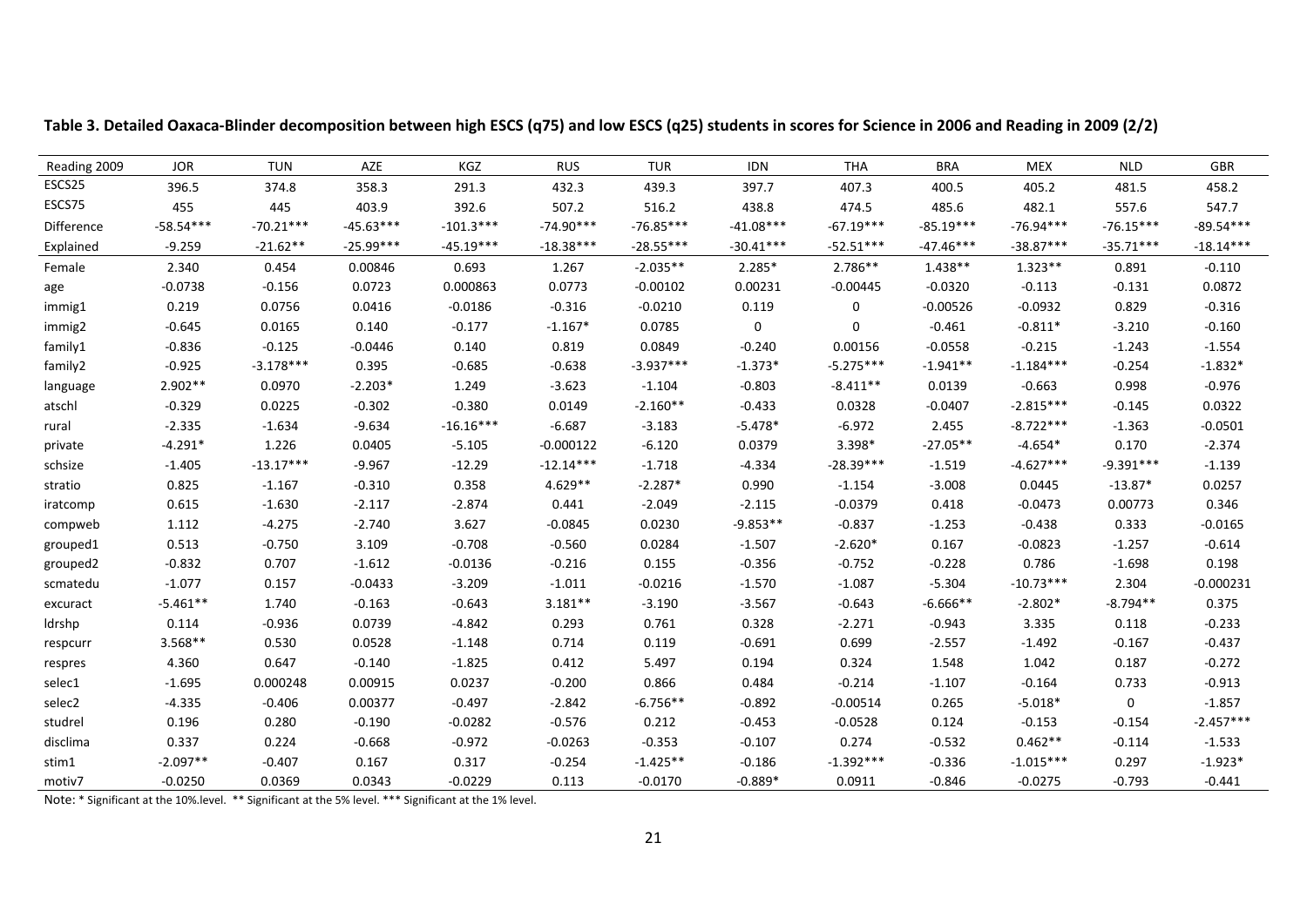| Reading 2009 | <b>JOR</b>  | <b>TUN</b>  | AZE         | KGZ         | <b>RUS</b>  | <b>TUR</b>  | <b>IDN</b>  | <b>THA</b>  | <b>BRA</b>  | <b>MEX</b>  | <b>NLD</b>  | <b>GBR</b>  |
|--------------|-------------|-------------|-------------|-------------|-------------|-------------|-------------|-------------|-------------|-------------|-------------|-------------|
| ESCS25       | 396.5       | 374.8       | 358.3       | 291.3       | 432.3       | 439.3       | 397.7       | 407.3       | 400.5       | 405.2       | 481.5       | 458.2       |
| ESCS75       | 455         | 445         | 403.9       | 392.6       | 507.2       | 516.2       | 438.8       | 474.5       | 485.6       | 482.1       | 557.6       | 547.7       |
| Difference   | $-58.54***$ | $-70.21***$ | $-45.63***$ | $-101.3***$ | $-74.90***$ | $-76.85***$ | $-41.08***$ | $-67.19***$ | $-85.19***$ | $-76.94***$ | $-76.15***$ | $-89.54***$ |
| Explained    | $-9.259$    | $-21.62**$  | $-25.99***$ | $-45.19***$ | $-18.38***$ | $-28.55***$ | $-30.41***$ | $-52.51***$ | $-47.46***$ | $-38.87***$ | $-35.71***$ | $-18.14***$ |
| Female       | 2.340       | 0.454       | 0.00846     | 0.693       | 1.267       | $-2.035**$  | $2.285*$    | $2.786**$   | $1.438**$   | $1.323**$   | 0.891       | $-0.110$    |
| age          | $-0.0738$   | $-0.156$    | 0.0723      | 0.000863    | 0.0773      | $-0.00102$  | 0.00231     | $-0.00445$  | $-0.0320$   | $-0.113$    | $-0.131$    | 0.0872      |
| immig1       | 0.219       | 0.0756      | 0.0416      | $-0.0186$   | $-0.316$    | $-0.0210$   | 0.119       | 0           | $-0.00526$  | $-0.0932$   | 0.829       | $-0.316$    |
| immig2       | $-0.645$    | 0.0165      | 0.140       | $-0.177$    | $-1.167*$   | 0.0785      | $\mathbf 0$ | $\mathbf 0$ | $-0.461$    | $-0.811*$   | $-3.210$    | $-0.160$    |
| family1      | $-0.836$    | $-0.125$    | $-0.0446$   | 0.140       | 0.819       | 0.0849      | $-0.240$    | 0.00156     | $-0.0558$   | $-0.215$    | $-1.243$    | $-1.554$    |
| family2      | $-0.925$    | $-3.178***$ | 0.395       | $-0.685$    | $-0.638$    | $-3.937***$ | $-1.373*$   | $-5.275***$ | $-1.941**$  | $-1.184***$ | $-0.254$    | $-1.832*$   |
| language     | $2.902**$   | 0.0970      | $-2.203*$   | 1.249       | $-3.623$    | $-1.104$    | $-0.803$    | $-8.411**$  | 0.0139      | $-0.663$    | 0.998       | $-0.976$    |
| atschl       | $-0.329$    | 0.0225      | $-0.302$    | $-0.380$    | 0.0149      | $-2.160**$  | $-0.433$    | 0.0328      | $-0.0407$   | $-2.815***$ | $-0.145$    | 0.0322      |
| rural        | $-2.335$    | $-1.634$    | $-9.634$    | $-16.16***$ | $-6.687$    | $-3.183$    | $-5.478*$   | $-6.972$    | 2.455       | $-8.722***$ | $-1.363$    | $-0.0501$   |
| private      | $-4.291*$   | 1.226       | 0.0405      | $-5.105$    | $-0.000122$ | $-6.120$    | 0.0379      | 3.398*      | $-27.05**$  | $-4.654*$   | 0.170       | $-2.374$    |
| schsize      | $-1.405$    | $-13.17***$ | $-9.967$    | $-12.29$    | $-12.14***$ | $-1.718$    | $-4.334$    | $-28.39***$ | $-1.519$    | $-4.627***$ | $-9.391***$ | $-1.139$    |
| stratio      | 0.825       | $-1.167$    | $-0.310$    | 0.358       | $4.629**$   | $-2.287*$   | 0.990       | $-1.154$    | $-3.008$    | 0.0445      | $-13.87*$   | 0.0257      |
| iratcomp     | 0.615       | $-1.630$    | $-2.117$    | $-2.874$    | 0.441       | $-2.049$    | $-2.115$    | $-0.0379$   | 0.418       | $-0.0473$   | 0.00773     | 0.346       |
| compweb      | 1.112       | $-4.275$    | $-2.740$    | 3.627       | $-0.0845$   | 0.0230      | $-9.853**$  | $-0.837$    | $-1.253$    | $-0.438$    | 0.333       | $-0.0165$   |
| grouped1     | 0.513       | $-0.750$    | 3.109       | $-0.708$    | $-0.560$    | 0.0284      | $-1.507$    | $-2.620*$   | 0.167       | $-0.0823$   | $-1.257$    | $-0.614$    |
| grouped2     | $-0.832$    | 0.707       | $-1.612$    | $-0.0136$   | $-0.216$    | 0.155       | $-0.356$    | $-0.752$    | $-0.228$    | 0.786       | $-1.698$    | 0.198       |
| scmatedu     | $-1.077$    | 0.157       | $-0.0433$   | $-3.209$    | $-1.011$    | $-0.0216$   | $-1.570$    | $-1.087$    | $-5.304$    | $-10.73***$ | 2.304       | $-0.000231$ |
| excuract     | $-5.461**$  | 1.740       | $-0.163$    | $-0.643$    | $3.181**$   | $-3.190$    | $-3.567$    | $-0.643$    | $-6.666**$  | $-2.802*$   | $-8.794**$  | 0.375       |
| ldrshp       | 0.114       | $-0.936$    | 0.0739      | $-4.842$    | 0.293       | 0.761       | 0.328       | $-2.271$    | $-0.943$    | 3.335       | 0.118       | $-0.233$    |
| respcurr     | $3.568**$   | 0.530       | 0.0528      | $-1.148$    | 0.714       | 0.119       | $-0.691$    | 0.699       | $-2.557$    | $-1.492$    | $-0.167$    | $-0.437$    |
| respres      | 4.360       | 0.647       | $-0.140$    | $-1.825$    | 0.412       | 5.497       | 0.194       | 0.324       | 1.548       | 1.042       | 0.187       | $-0.272$    |
| selec1       | $-1.695$    | 0.000248    | 0.00915     | 0.0237      | $-0.200$    | 0.866       | 0.484       | $-0.214$    | $-1.107$    | $-0.164$    | 0.733       | $-0.913$    |
| selec2       | $-4.335$    | $-0.406$    | 0.00377     | $-0.497$    | $-2.842$    | $-6.756**$  | $-0.892$    | $-0.00514$  | 0.265       | $-5.018*$   | $\mathbf 0$ | $-1.857$    |
| studrel      | 0.196       | 0.280       | $-0.190$    | $-0.0282$   | $-0.576$    | 0.212       | $-0.453$    | $-0.0528$   | 0.124       | $-0.153$    | $-0.154$    | $-2.457***$ |
| disclima     | 0.337       | 0.224       | $-0.668$    | $-0.972$    | $-0.0263$   | $-0.353$    | $-0.107$    | 0.274       | $-0.532$    | $0.462**$   | $-0.114$    | $-1.533$    |
| stim1        | $-2.097**$  | $-0.407$    | 0.167       | 0.317       | $-0.254$    | $-1.425**$  | $-0.186$    | $-1.392***$ | $-0.336$    | $-1.015***$ | 0.297       | $-1.923*$   |
| motiv7       | $-0.0250$   | 0.0369      | 0.0343      | $-0.0229$   | 0.113       | $-0.0170$   | $-0.889*$   | 0.0911      | $-0.846$    | $-0.0275$   | $-0.793$    | $-0.441$    |

Table 3. Detailed Oaxaca-Blinder decomposition between high ESCS (q75) and low ESCS (q25) students in scores for Science in 2006 and Reading in 2009 (2/2)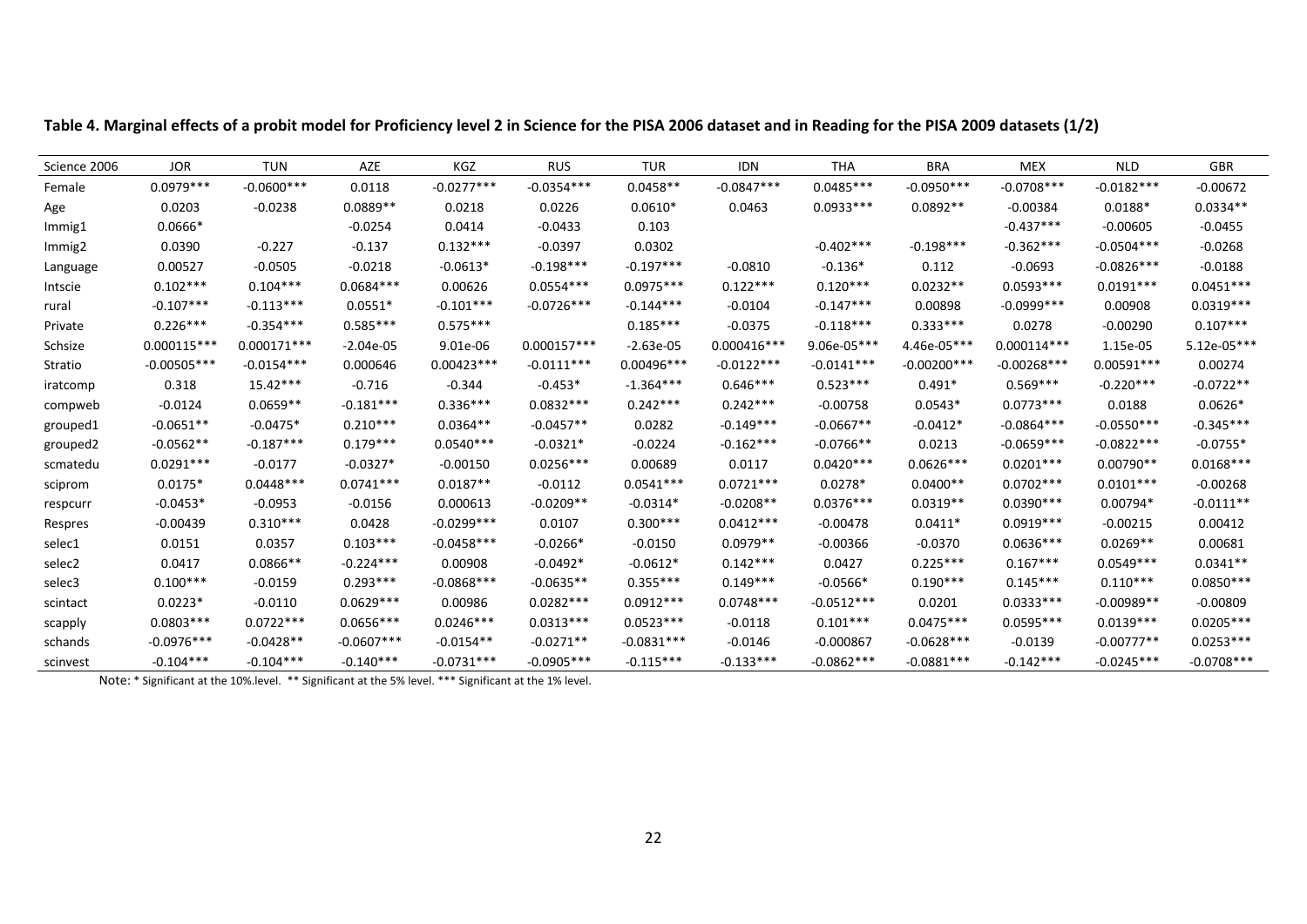| Science 2006       | <b>JOR</b>    | <b>TUN</b>    | AZE          | KGZ          | <b>RUS</b>    | <b>TUR</b>   | <b>IDN</b>    | <b>THA</b>    | <b>BRA</b>     | <b>MEX</b>     | <b>NLD</b>   | GBR           |
|--------------------|---------------|---------------|--------------|--------------|---------------|--------------|---------------|---------------|----------------|----------------|--------------|---------------|
| Female             | $0.0979***$   | $-0.0600***$  | 0.0118       | $-0.0277***$ | $-0.0354***$  | $0.0458**$   | $-0.0847***$  | $0.0485***$   | $-0.0950***$   | $-0.0708$ ***  | $-0.0182***$ | $-0.00672$    |
| Age                | 0.0203        | $-0.0238$     | $0.0889**$   | 0.0218       | 0.0226        | $0.0610*$    | 0.0463        | $0.0933***$   | $0.0892**$     | $-0.00384$     | $0.0188*$    | $0.0334**$    |
| Immig1             | $0.0666*$     |               | $-0.0254$    | 0.0414       | $-0.0433$     | 0.103        |               |               |                | $-0.437***$    | $-0.00605$   | $-0.0455$     |
| Immig <sub>2</sub> | 0.0390        | $-0.227$      | $-0.137$     | $0.132***$   | $-0.0397$     | 0.0302       |               | $-0.402***$   | $-0.198***$    | $-0.362***$    | $-0.0504***$ | $-0.0268$     |
| Language           | 0.00527       | $-0.0505$     | $-0.0218$    | $-0.0613*$   | $-0.198***$   | $-0.197***$  | $-0.0810$     | $-0.136*$     | 0.112          | $-0.0693$      | $-0.0826***$ | $-0.0188$     |
| Intscie            | $0.102***$    | $0.104***$    | $0.0684***$  | 0.00626      | $0.0554***$   | $0.0975***$  | $0.122***$    | $0.120***$    | $0.0232**$     | $0.0593***$    | $0.0191***$  | $0.0451***$   |
| rural              | $-0.107***$   | $-0.113***$   | $0.0551*$    | $-0.101***$  | $-0.0726***$  | $-0.144***$  | $-0.0104$     | $-0.147***$   | 0.00898        | $-0.0999$ ***  | 0.00908      | $0.0319***$   |
| Private            | $0.226***$    | $-0.354***$   | $0.585***$   | $0.575***$   |               | $0.185***$   | $-0.0375$     | $-0.118***$   | $0.333***$     | 0.0278         | $-0.00290$   | $0.107***$    |
| Schsize            | $0.000115***$ | $0.000171***$ | $-2.04e-05$  | 9.01e-06     | $0.000157***$ | $-2.63e-05$  | $0.000416***$ | $9.06e-05***$ | 4.46e-05***    | $0.000114***$  | 1.15e-05     | $5.12e-05***$ |
| Stratio            | $-0.00505***$ | $-0.0154***$  | 0.000646     | $0.00423***$ | $-0.0111***$  | $0.00496***$ | $-0.0122***$  | $-0.0141***$  | $-0.00200$ *** | $-0.00268$ *** | $0.00591***$ | 0.00274       |
| iratcomp           | 0.318         | $15.42***$    | $-0.716$     | $-0.344$     | $-0.453*$     | $-1.364***$  | $0.646***$    | $0.523***$    | $0.491*$       | $0.569***$     | $-0.220***$  | $-0.0722**$   |
| compweb            | $-0.0124$     | $0.0659**$    | $-0.181***$  | $0.336***$   | $0.0832***$   | $0.242***$   | $0.242***$    | $-0.00758$    | $0.0543*$      | $0.0773***$    | 0.0188       | $0.0626*$     |
| grouped1           | $-0.0651**$   | $-0.0475*$    | $0.210***$   | $0.0364**$   | $-0.0457**$   | 0.0282       | $-0.149***$   | $-0.0667**$   | $-0.0412*$     | $-0.0864***$   | $-0.0550***$ | $-0.345***$   |
| grouped2           | $-0.0562**$   | $-0.187***$   | $0.179***$   | $0.0540***$  | $-0.0321*$    | $-0.0224$    | $-0.162***$   | $-0.0766**$   | 0.0213         | $-0.0659***$   | $-0.0822***$ | $-0.0755*$    |
| scmatedu           | $0.0291***$   | $-0.0177$     | $-0.0327*$   | $-0.00150$   | $0.0256***$   | 0.00689      | 0.0117        | $0.0420***$   | $0.0626***$    | $0.0201***$    | $0.00790**$  | $0.0168***$   |
| sciprom            | $0.0175*$     | $0.0448***$   | $0.0741***$  | $0.0187**$   | $-0.0112$     | $0.0541***$  | $0.0721***$   | $0.0278*$     | $0.0400**$     | $0.0702***$    | $0.0101***$  | $-0.00268$    |
| respcurr           | $-0.0453*$    | $-0.0953$     | $-0.0156$    | 0.000613     | $-0.0209**$   | $-0.0314*$   | $-0.0208**$   | $0.0376***$   | $0.0319**$     | $0.0390***$    | $0.00794*$   | $-0.0111**$   |
| Respres            | $-0.00439$    | $0.310***$    | 0.0428       | $-0.0299***$ | 0.0107        | $0.300***$   | $0.0412***$   | $-0.00478$    | $0.0411*$      | $0.0919***$    | $-0.00215$   | 0.00412       |
| selec1             | 0.0151        | 0.0357        | $0.103***$   | $-0.0458***$ | $-0.0266*$    | $-0.0150$    | $0.0979**$    | $-0.00366$    | $-0.0370$      | $0.0636***$    | $0.0269**$   | 0.00681       |
| selec2             | 0.0417        | $0.0866**$    | $-0.224***$  | 0.00908      | $-0.0492*$    | $-0.0612*$   | $0.142***$    | 0.0427        | $0.225***$     | $0.167***$     | $0.0549***$  | $0.0341**$    |
| selec3             | $0.100***$    | $-0.0159$     | $0.293***$   | $-0.0868***$ | $-0.0635**$   | $0.355***$   | $0.149***$    | $-0.0566*$    | $0.190***$     | $0.145***$     | $0.110***$   | $0.0850***$   |
| scintact           | $0.0223*$     | $-0.0110$     | $0.0629***$  | 0.00986      | $0.0282***$   | $0.0912***$  | $0.0748***$   | $-0.0512***$  | 0.0201         | $0.0333***$    | $-0.00989**$ | $-0.00809$    |
| scapply            | $0.0803***$   | $0.0722***$   | $0.0656***$  | $0.0246***$  | $0.0313***$   | $0.0523***$  | $-0.0118$     | $0.101***$    | $0.0475***$    | $0.0595***$    | $0.0139***$  | $0.0205***$   |
| schands            | $-0.0976***$  | $-0.0428**$   | $-0.0607***$ | $-0.0154**$  | $-0.0271**$   | $-0.0831***$ | $-0.0146$     | $-0.000867$   | $-0.0628***$   | $-0.0139$      | $-0.00777**$ | $0.0253***$   |
| scinvest           | $-0.104***$   | $-0.104***$   | $-0.140***$  | $-0.0731***$ | $-0.0905***$  | $-0.115***$  | $-0.133***$   | $-0.0862***$  | $-0.0881***$   | $-0.142***$    | $-0.0245***$ | $-0.0708***$  |

Table 4. Marginal effects of a probit model for Proficiency level 2 in Science for the PISA 2006 dataset and in Reading for the PISA 2009 datasets (1/2)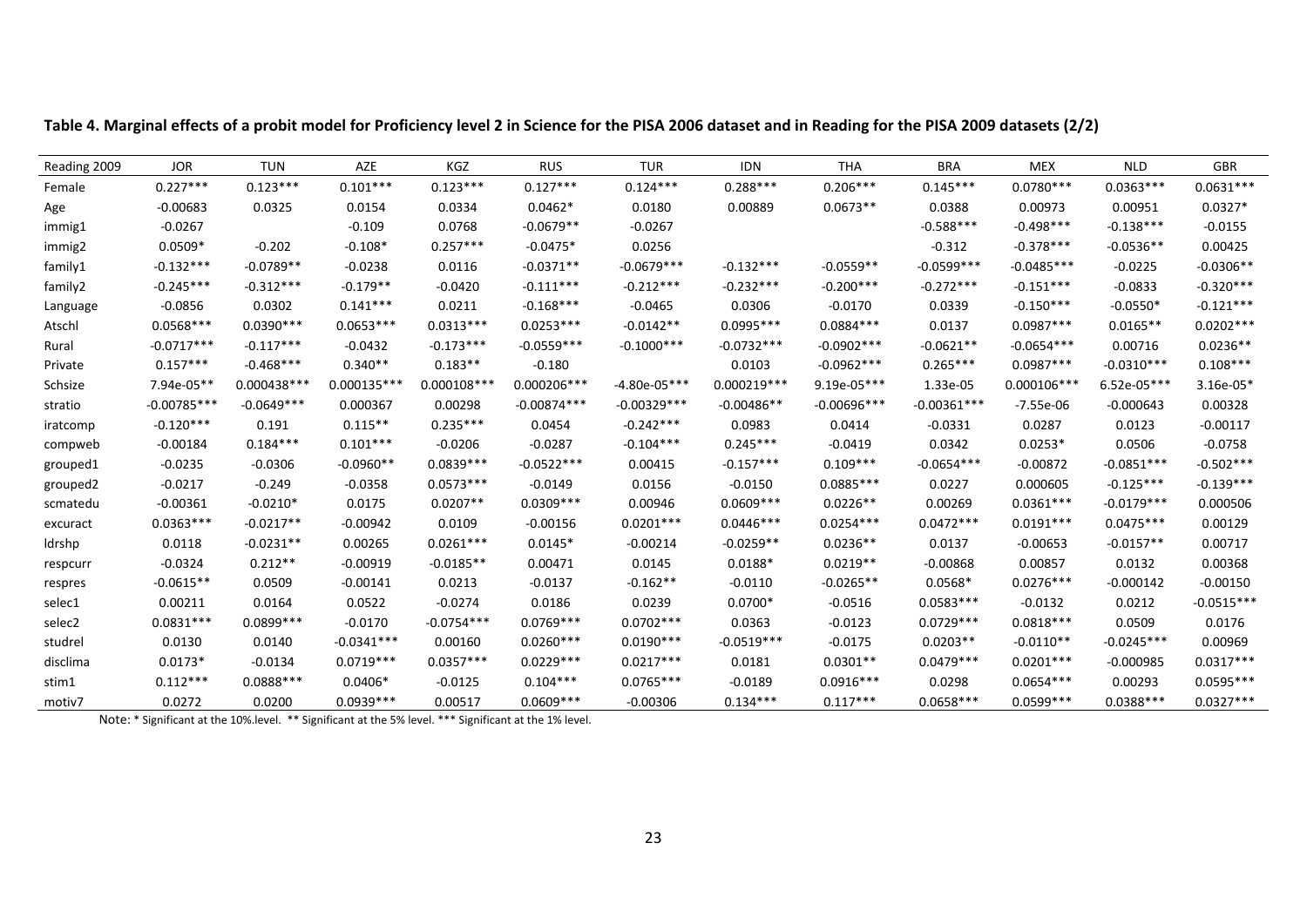| Reading 2009 | <b>JOR</b>    | <b>TUN</b>   | AZE           | <b>KGZ</b>    | <b>RUS</b>    | <b>TUR</b>     | <b>IDN</b>    | <b>THA</b>    | <b>BRA</b>    | <b>MEX</b>    | <b>NLD</b>    | GBR          |
|--------------|---------------|--------------|---------------|---------------|---------------|----------------|---------------|---------------|---------------|---------------|---------------|--------------|
| Female       | $0.227***$    | $0.123***$   | $0.101***$    | $0.123***$    | $0.127***$    | $0.124***$     | $0.288***$    | $0.206***$    | $0.145***$    | $0.0780***$   | $0.0363***$   | $0.0631***$  |
| Age          | $-0.00683$    | 0.0325       | 0.0154        | 0.0334        | $0.0462*$     | 0.0180         | 0.00889       | $0.0673**$    | 0.0388        | 0.00973       | 0.00951       | $0.0327*$    |
| immig1       | $-0.0267$     |              | $-0.109$      | 0.0768        | $-0.0679**$   | $-0.0267$      |               |               | $-0.588***$   | $-0.498***$   | $-0.138***$   | $-0.0155$    |
| immig2       | $0.0509*$     | $-0.202$     | $-0.108*$     | $0.257***$    | $-0.0475*$    | 0.0256         |               |               | $-0.312$      | $-0.378***$   | $-0.0536**$   | 0.00425      |
| family1      | $-0.132***$   | $-0.0789**$  | $-0.0238$     | 0.0116        | $-0.0371**$   | $-0.0679***$   | $-0.132***$   | $-0.0559**$   | $-0.0599***$  | $-0.0485***$  | $-0.0225$     | $-0.0306**$  |
| family2      | $-0.245***$   | $-0.312***$  | $-0.179**$    | $-0.0420$     | $-0.111***$   | $-0.212***$    | $-0.232***$   | $-0.200***$   | $-0.272***$   | $-0.151***$   | $-0.0833$     | $-0.320***$  |
| Language     | $-0.0856$     | 0.0302       | $0.141***$    | 0.0211        | $-0.168***$   | $-0.0465$      | 0.0306        | $-0.0170$     | 0.0339        | $-0.150***$   | $-0.0550*$    | $-0.121***$  |
| Atschl       | $0.0568***$   | $0.0390***$  | $0.0653***$   | $0.0313***$   | $0.0253***$   | $-0.0142**$    | $0.0995***$   | $0.0884***$   | 0.0137        | $0.0987***$   | $0.0165**$    | $0.0202***$  |
| Rural        | $-0.0717***$  | $-0.117***$  | $-0.0432$     | $-0.173***$   | $-0.0559***$  | $-0.1000$ ***  | $-0.0732***$  | $-0.0902***$  | $-0.0621**$   | $-0.0654***$  | 0.00716       | $0.0236**$   |
| Private      | $0.157***$    | $-0.468$ *** | $0.340**$     | $0.183**$     | $-0.180$      |                | 0.0103        | $-0.0962***$  | $0.265***$    | $0.0987***$   | $-0.0310***$  | $0.108***$   |
| Schsize      | 7.94e-05**    | 0.000438 *** | $0.000135***$ | $0.000108***$ | $0.000206***$ | $-4.80e-05***$ | $0.000219***$ | 9.19e-05***   | 1.33e-05      | $0.000106***$ | $6.52e-05***$ | $3.16e-05*$  |
| stratio      | $-0.00785***$ | $-0.0649***$ | 0.000367      | 0.00298       | $-0.00874***$ | $-0.00329***$  | $-0.00486**$  | $-0.00696***$ | $-0.00361***$ | -7.55e-06     | $-0.000643$   | 0.00328      |
| iratcomp     | $-0.120***$   | 0.191        | $0.115**$     | $0.235***$    | 0.0454        | $-0.242***$    | 0.0983        | 0.0414        | $-0.0331$     | 0.0287        | 0.0123        | $-0.00117$   |
| compweb      | $-0.00184$    | $0.184***$   | $0.101***$    | $-0.0206$     | $-0.0287$     | $-0.104***$    | $0.245***$    | $-0.0419$     | 0.0342        | $0.0253*$     | 0.0506        | $-0.0758$    |
| grouped1     | $-0.0235$     | $-0.0306$    | $-0.0960**$   | $0.0839***$   | $-0.0522***$  | 0.00415        | $-0.157***$   | $0.109***$    | $-0.0654***$  | $-0.00872$    | $-0.0851***$  | $-0.502***$  |
| grouped2     | $-0.0217$     | $-0.249$     | $-0.0358$     | $0.0573***$   | $-0.0149$     | 0.0156         | $-0.0150$     | $0.0885***$   | 0.0227        | 0.000605      | $-0.125***$   | $-0.139***$  |
| scmatedu     | $-0.00361$    | $-0.0210*$   | 0.0175        | $0.0207**$    | $0.0309***$   | 0.00946        | $0.0609***$   | $0.0226**$    | 0.00269       | $0.0361***$   | $-0.0179***$  | 0.000506     |
| excuract     | $0.0363***$   | $-0.0217**$  | $-0.00942$    | 0.0109        | $-0.00156$    | $0.0201***$    | $0.0446***$   | $0.0254***$   | $0.0472***$   | $0.0191***$   | $0.0475***$   | 0.00129      |
| Idrshp       | 0.0118        | $-0.0231**$  | 0.00265       | $0.0261***$   | $0.0145*$     | $-0.00214$     | $-0.0259**$   | $0.0236**$    | 0.0137        | $-0.00653$    | $-0.0157**$   | 0.00717      |
| respcurr     | $-0.0324$     | $0.212**$    | $-0.00919$    | $-0.0185**$   | 0.00471       | 0.0145         | $0.0188*$     | $0.0219**$    | $-0.00868$    | 0.00857       | 0.0132        | 0.00368      |
| respres      | $-0.0615**$   | 0.0509       | $-0.00141$    | 0.0213        | $-0.0137$     | $-0.162**$     | $-0.0110$     | $-0.0265**$   | $0.0568*$     | $0.0276***$   | $-0.000142$   | $-0.00150$   |
| selec1       | 0.00211       | 0.0164       | 0.0522        | $-0.0274$     | 0.0186        | 0.0239         | $0.0700*$     | $-0.0516$     | $0.0583***$   | $-0.0132$     | 0.0212        | $-0.0515***$ |
| selec2       | $0.0831***$   | $0.0899***$  | $-0.0170$     | $-0.0754***$  | $0.0769***$   | $0.0702***$    | 0.0363        | $-0.0123$     | $0.0729***$   | $0.0818***$   | 0.0509        | 0.0176       |
| studrel      | 0.0130        | 0.0140       | $-0.0341***$  | 0.00160       | $0.0260***$   | $0.0190***$    | $-0.0519***$  | $-0.0175$     | $0.0203**$    | $-0.0110**$   | $-0.0245***$  | 0.00969      |
| disclima     | $0.0173*$     | $-0.0134$    | $0.0719***$   | $0.0357***$   | $0.0229***$   | $0.0217***$    | 0.0181        | $0.0301**$    | $0.0479***$   | $0.0201***$   | $-0.000985$   | $0.0317***$  |
| stim1        | $0.112***$    | $0.0888***$  | $0.0406*$     | $-0.0125$     | $0.104***$    | $0.0765***$    | $-0.0189$     | $0.0916***$   | 0.0298        | $0.0654***$   | 0.00293       | $0.0595***$  |
| motiv7       | 0.0272        | 0.0200       | $0.0939***$   | 0.00517       | $0.0609***$   | $-0.00306$     | $0.134***$    | $0.117***$    | $0.0658***$   | $0.0599***$   | $0.0388***$   | $0.0327***$  |

Table 4. Marginal effects of a probit model for Proficiency level 2 in Science for the PISA 2006 dataset and in Reading for the PISA 2009 datasets (2/2)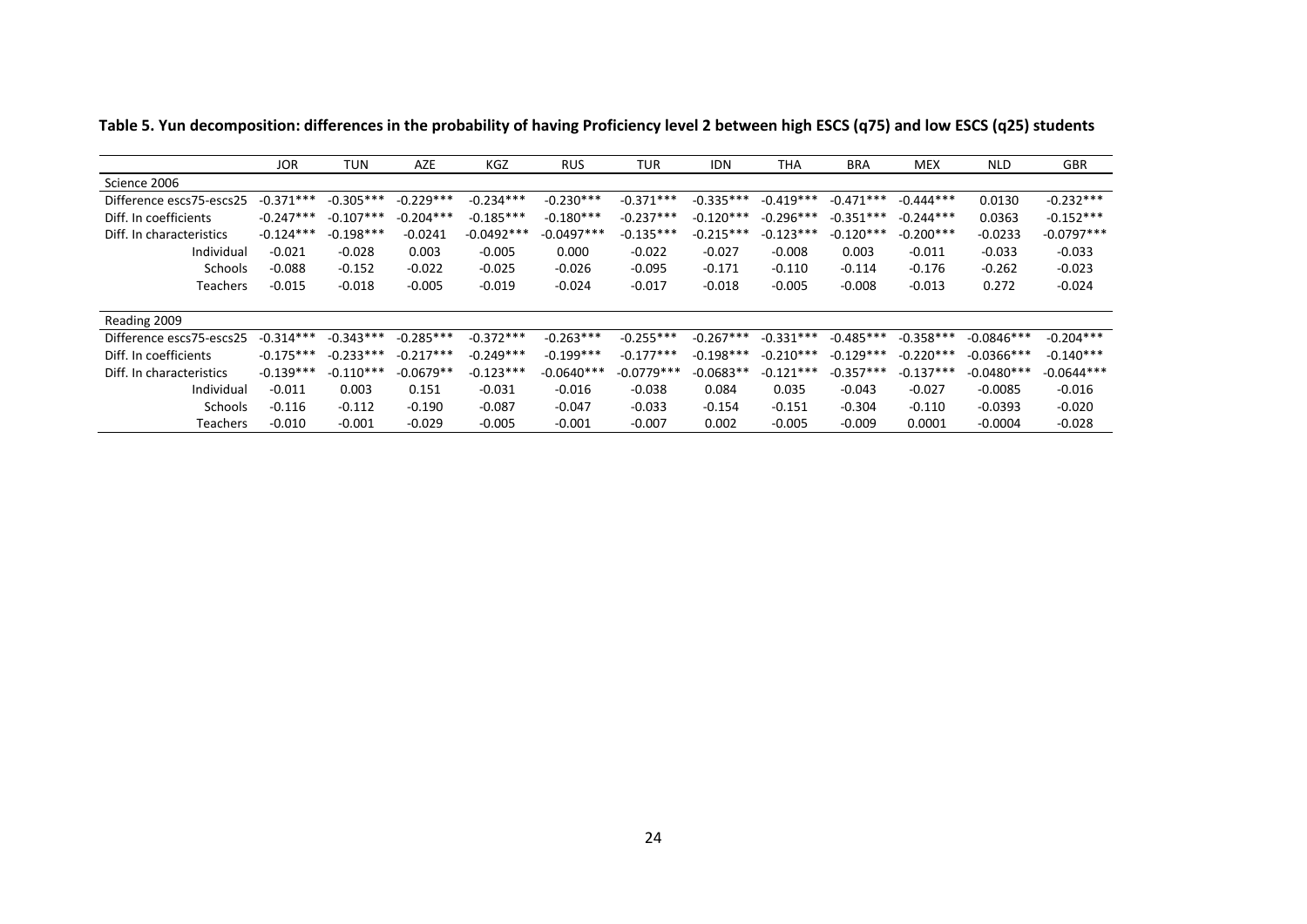|                          | <b>JOR</b>  | <b>TUN</b>  | AZE         | KGZ          | <b>RUS</b>   | TUR          | <b>IDN</b>  | <b>THA</b>  | <b>BRA</b>  | <b>MEX</b>  | <b>NLD</b>   | <b>GBR</b>   |
|--------------------------|-------------|-------------|-------------|--------------|--------------|--------------|-------------|-------------|-------------|-------------|--------------|--------------|
| Science 2006             |             |             |             |              |              |              |             |             |             |             |              |              |
| Difference escs75-escs25 | $-0.371***$ | $-0.305***$ | $-0.229***$ | $-0.234***$  | $-0.230***$  | $-0.371***$  | $-0.335***$ | $-0.419***$ | $-0.471***$ | $-0.444***$ | 0.0130       | $-0.232***$  |
| Diff. In coefficients    | $-0.247***$ | $-0.107***$ | $-0.204***$ | $-0.185***$  | $-0.180***$  | $-0.237***$  | $-0.120***$ | $-0.296***$ | $-0.351***$ | $-0.244***$ | 0.0363       | $-0.152***$  |
| Diff. In characteristics | $-0.124***$ | $-0.198***$ | $-0.0241$   | $-0.0492***$ | $-0.0497***$ | $-0.135***$  | $-0.215***$ | $-0.123***$ | $-0.120***$ | $-0.200***$ | $-0.0233$    | $-0.0797***$ |
| Individual               | $-0.021$    | $-0.028$    | 0.003       | $-0.005$     | 0.000        | $-0.022$     | $-0.027$    | $-0.008$    | 0.003       | $-0.011$    | $-0.033$     | $-0.033$     |
| Schools                  | $-0.088$    | $-0.152$    | $-0.022$    | $-0.025$     | $-0.026$     | $-0.095$     | $-0.171$    | $-0.110$    | $-0.114$    | $-0.176$    | $-0.262$     | $-0.023$     |
| Teachers                 | $-0.015$    | $-0.018$    | $-0.005$    | $-0.019$     | $-0.024$     | $-0.017$     | $-0.018$    | $-0.005$    | $-0.008$    | $-0.013$    | 0.272        | $-0.024$     |
| Reading 2009             |             |             |             |              |              |              |             |             |             |             |              |              |
| Difference escs75-escs25 | $-0.314***$ | $-0.343***$ | $-0.285***$ | $-0.372***$  | $-0.263***$  | $-0.255***$  | $-0.267***$ | $-0.331***$ | $-0.485***$ | $-0.358***$ | $-0.0846***$ | $-0.204***$  |
| Diff. In coefficients    | $-0.175***$ | $-0.233***$ | $-0.217***$ | $-0.249***$  | $-0.199***$  | $-0.177***$  | $-0.198***$ | $-0.210***$ | $-0.129***$ | $-0.220***$ | $-0.0366***$ | $-0.140***$  |
| Diff. In characteristics | $-0.139***$ | $-0.110***$ | $-0.0679**$ | $-0.123***$  | $-0.0640***$ | $-0.0779***$ | $-0.0683**$ | $-0.121***$ | $-0.357***$ | $-0.137***$ | $-0.0480***$ | $-0.0644***$ |
| Individual               | $-0.011$    | 0.003       | 0.151       | $-0.031$     | $-0.016$     | $-0.038$     | 0.084       | 0.035       | $-0.043$    | $-0.027$    | $-0.0085$    | $-0.016$     |
| Schools                  | $-0.116$    | $-0.112$    | $-0.190$    | $-0.087$     | $-0.047$     | $-0.033$     | $-0.154$    | $-0.151$    | $-0.304$    | $-0.110$    | $-0.0393$    | $-0.020$     |
| Teachers                 | $-0.010$    | $-0.001$    | $-0.029$    | $-0.005$     | $-0.001$     | $-0.007$     | 0.002       | $-0.005$    | $-0.009$    | 0.0001      | $-0.0004$    | $-0.028$     |

Table 5. Yun decomposition: differences in the probability of having Proficiency level 2 between high ESCS (q75) and low ESCS (q25) students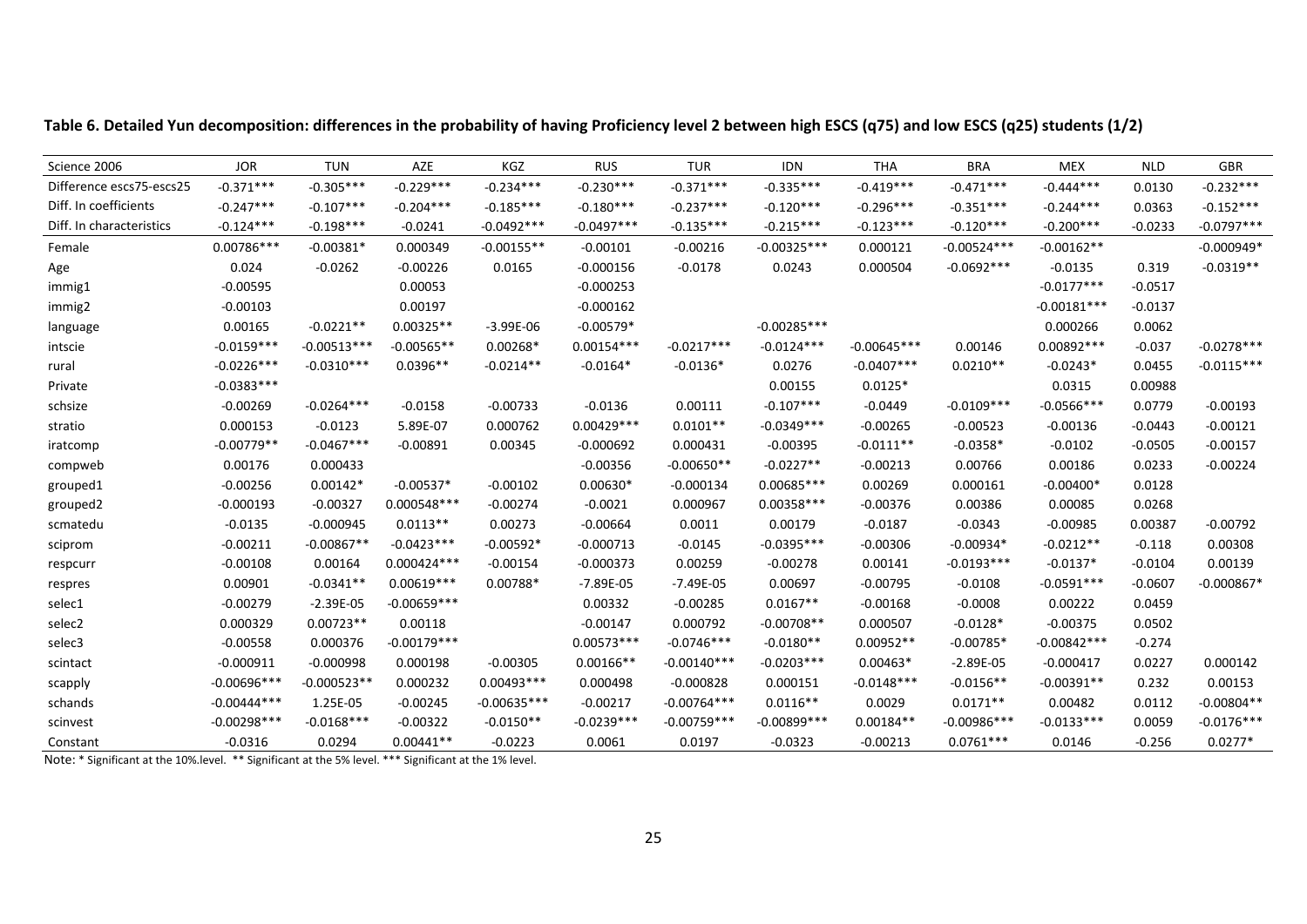| Science 2006             | <b>JOR</b>    | <b>TUN</b>    | AZE           | KGZ           | <b>RUS</b>    | <b>TUR</b>    | <b>IDN</b>     | <b>THA</b>    | <b>BRA</b>    | <b>MEX</b>    | <b>NLD</b> | <b>GBR</b>   |
|--------------------------|---------------|---------------|---------------|---------------|---------------|---------------|----------------|---------------|---------------|---------------|------------|--------------|
| Difference escs75-escs25 | $-0.371***$   | $-0.305***$   | $-0.229***$   | $-0.234***$   | $-0.230***$   | $-0.371***$   | $-0.335***$    | $-0.419***$   | $-0.471***$   | $-0.444***$   | 0.0130     | $-0.232***$  |
| Diff. In coefficients    | $-0.247***$   | $-0.107***$   | $-0.204***$   | $-0.185***$   | $-0.180***$   | $-0.237***$   | $-0.120***$    | $-0.296***$   | $-0.351***$   | $-0.244***$   | 0.0363     | $-0.152***$  |
| Diff. In characteristics | $-0.124***$   | $-0.198***$   | $-0.0241$     | $-0.0492***$  | $-0.0497***$  | $-0.135***$   | $-0.215***$    | $-0.123***$   | $-0.120***$   | $-0.200***$   | $-0.0233$  | $-0.0797***$ |
| Female                   | $0.00786***$  | $-0.00381*$   | 0.000349      | $-0.00155**$  | $-0.00101$    | $-0.00216$    | $-0.00325***$  | 0.000121      | $-0.00524***$ | $-0.00162**$  |            | $-0.000949*$ |
| Age                      | 0.024         | $-0.0262$     | $-0.00226$    | 0.0165        | $-0.000156$   | $-0.0178$     | 0.0243         | 0.000504      | $-0.0692***$  | $-0.0135$     | 0.319      | $-0.0319**$  |
| immig1                   | $-0.00595$    |               | 0.00053       |               | $-0.000253$   |               |                |               |               | $-0.0177***$  | $-0.0517$  |              |
| immig2                   | $-0.00103$    |               | 0.00197       |               | $-0.000162$   |               |                |               |               | $-0.00181***$ | $-0.0137$  |              |
| language                 | 0.00165       | $-0.0221**$   | $0.00325**$   | $-3.99E-06$   | $-0.00579*$   |               | $-0.00285***$  |               |               | 0.000266      | 0.0062     |              |
| intscie                  | $-0.0159***$  | $-0.00513***$ | $-0.00565**$  | $0.00268*$    | $0.00154***$  | $-0.0217***$  | $-0.0124***$   | $-0.00645***$ | 0.00146       | $0.00892***$  | $-0.037$   | $-0.0278***$ |
| rural                    | $-0.0226***$  | $-0.0310***$  | $0.0396**$    | $-0.0214**$   | $-0.0164*$    | $-0.0136*$    | 0.0276         | $-0.0407***$  | $0.0210**$    | $-0.0243*$    | 0.0455     | $-0.0115***$ |
| Private                  | $-0.0383***$  |               |               |               |               |               | 0.00155        | $0.0125*$     |               | 0.0315        | 0.00988    |              |
| schsize                  | $-0.00269$    | $-0.0264***$  | $-0.0158$     | $-0.00733$    | $-0.0136$     | 0.00111       | $-0.107***$    | $-0.0449$     | $-0.0109***$  | $-0.0566***$  | 0.0779     | $-0.00193$   |
| stratio                  | 0.000153      | $-0.0123$     | 5.89E-07      | 0.000762      | $0.00429***$  | $0.0101**$    | $-0.0349***$   | $-0.00265$    | $-0.00523$    | $-0.00136$    | $-0.0443$  | $-0.00121$   |
| iratcomp                 | $-0.00779**$  | $-0.0467***$  | $-0.00891$    | 0.00345       | $-0.000692$   | 0.000431      | $-0.00395$     | $-0.0111**$   | $-0.0358*$    | $-0.0102$     | $-0.0505$  | $-0.00157$   |
| compweb                  | 0.00176       | 0.000433      |               |               | $-0.00356$    | $-0.00650**$  | $-0.0227**$    | $-0.00213$    | 0.00766       | 0.00186       | 0.0233     | $-0.00224$   |
| grouped1                 | $-0.00256$    | $0.00142*$    | $-0.00537*$   | $-0.00102$    | $0.00630*$    | $-0.000134$   | $0.00685***$   | 0.00269       | 0.000161      | $-0.00400*$   | 0.0128     |              |
| grouped2                 | $-0.000193$   | $-0.00327$    | $0.000548***$ | $-0.00274$    | $-0.0021$     | 0.000967      | $0.00358***$   | $-0.00376$    | 0.00386       | 0.00085       | 0.0268     |              |
| scmatedu                 | $-0.0135$     | $-0.000945$   | $0.0113**$    | 0.00273       | $-0.00664$    | 0.0011        | 0.00179        | $-0.0187$     | $-0.0343$     | $-0.00985$    | 0.00387    | $-0.00792$   |
| sciprom                  | $-0.00211$    | $-0.00867**$  | $-0.0423***$  | $-0.00592*$   | $-0.000713$   | $-0.0145$     | $-0.0395***$   | $-0.00306$    | $-0.00934*$   | $-0.0212**$   | $-0.118$   | 0.00308      |
| respcurr                 | $-0.00108$    | 0.00164       | $0.000424***$ | $-0.00154$    | $-0.000373$   | 0.00259       | $-0.00278$     | 0.00141       | $-0.0193***$  | $-0.0137*$    | $-0.0104$  | 0.00139      |
| respres                  | 0.00901       | $-0.0341**$   | $0.00619***$  | 0.00788*      | $-7.89E - 05$ | $-7.49E - 05$ | 0.00697        | $-0.00795$    | $-0.0108$     | $-0.0591***$  | $-0.0607$  | $-0.000867*$ |
| selec1                   | $-0.00279$    | $-2.39E-05$   | $-0.00659***$ |               | 0.00332       | $-0.00285$    | $0.0167**$     | $-0.00168$    | $-0.0008$     | 0.00222       | 0.0459     |              |
| selec2                   | 0.000329      | $0.00723**$   | 0.00118       |               | $-0.00147$    | 0.000792      | $-0.00708**$   | 0.000507      | $-0.0128*$    | $-0.00375$    | 0.0502     |              |
| selec3                   | $-0.00558$    | 0.000376      | $-0.00179***$ |               | $0.00573***$  | $-0.0746***$  | $-0.0180**$    | $0.00952**$   | $-0.00785*$   | $-0.00842***$ | $-0.274$   |              |
| scintact                 | $-0.000911$   | $-0.000998$   | 0.000198      | $-0.00305$    | $0.00166**$   | $-0.00140***$ | $-0.0203***$   | $0.00463*$    | $-2.89E - 05$ | $-0.000417$   | 0.0227     | 0.000142     |
| scapply                  | $-0.00696***$ | $-0.000523**$ | 0.000232      | $0.00493***$  | 0.000498      | $-0.000828$   | 0.000151       | $-0.0148***$  | $-0.0156**$   | $-0.00391**$  | 0.232      | 0.00153      |
| schands                  | $-0.00444***$ | 1.25E-05      | $-0.00245$    | $-0.00635***$ | $-0.00217$    | $-0.00764***$ | $0.0116**$     | 0.0029        | $0.0171**$    | 0.00482       | 0.0112     | $-0.00804**$ |
| scinvest                 | $-0.00298***$ | $-0.0168***$  | $-0.00322$    | $-0.0150**$   | $-0.0239***$  | $-0.00759***$ | $-0.00899$ *** | $0.00184**$   | $-0.00986***$ | $-0.0133***$  | 0.0059     | $-0.0176***$ |
| Constant                 | $-0.0316$     | 0.0294        | $0.00441**$   | $-0.0223$     | 0.0061        | 0.0197        | $-0.0323$      | $-0.00213$    | $0.0761***$   | 0.0146        | $-0.256$   | $0.0277*$    |

Table 6. Detailed Yun decomposition: differences in the probability of having Proficiency level 2 between high ESCS (q75) and low ESCS (q25) students (1/2)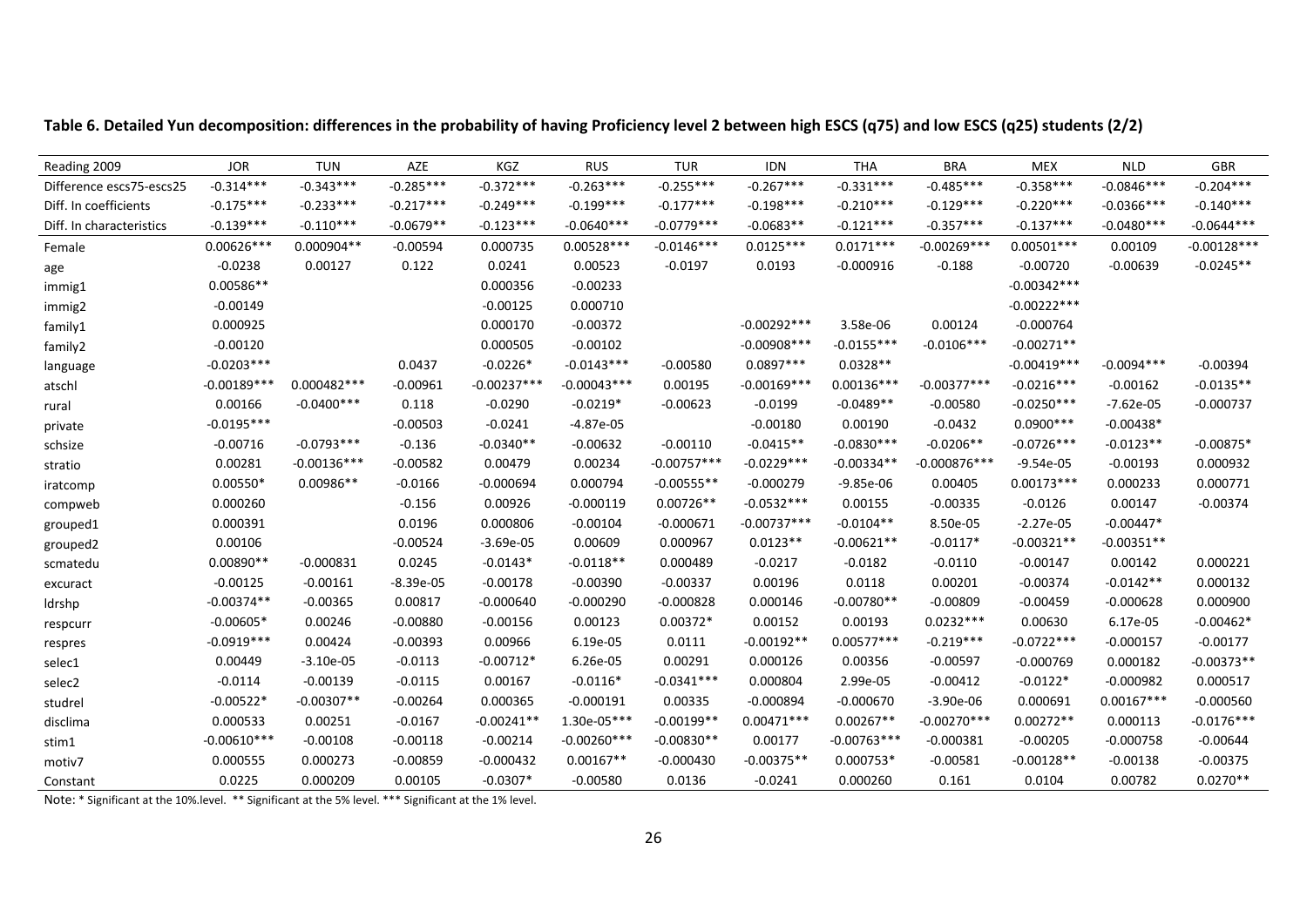| Reading 2009             | <b>JOR</b>    | <b>TUN</b>    | AZE         | KGZ           | <b>RUS</b>    | <b>TUR</b>    | <b>IDN</b>     | <b>THA</b>    | <b>BRA</b>     | <b>MEX</b>    | <b>NLD</b>   | GBR           |
|--------------------------|---------------|---------------|-------------|---------------|---------------|---------------|----------------|---------------|----------------|---------------|--------------|---------------|
| Difference escs75-escs25 | $-0.314***$   | $-0.343***$   | $-0.285***$ | $-0.372***$   | $-0.263***$   | $-0.255***$   | $-0.267***$    | $-0.331***$   | $-0.485***$    | $-0.358***$   | $-0.0846***$ | $-0.204***$   |
| Diff. In coefficients    | $-0.175***$   | $-0.233***$   | $-0.217***$ | $-0.249***$   | $-0.199***$   | $-0.177***$   | $-0.198***$    | $-0.210***$   | $-0.129***$    | $-0.220***$   | $-0.0366***$ | $-0.140***$   |
| Diff. In characteristics | $-0.139***$   | $-0.110***$   | $-0.0679**$ | $-0.123***$   | $-0.0640***$  | $-0.0779***$  | $-0.0683**$    | $-0.121***$   | $-0.357***$    | $-0.137***$   | $-0.0480***$ | $-0.0644***$  |
| Female                   | $0.00626***$  | $0.000904**$  | $-0.00594$  | 0.000735      | $0.00528***$  | $-0.0146***$  | $0.0125***$    | $0.0171***$   | $-0.00269***$  | $0.00501***$  | 0.00109      | $-0.00128***$ |
| age                      | $-0.0238$     | 0.00127       | 0.122       | 0.0241        | 0.00523       | $-0.0197$     | 0.0193         | $-0.000916$   | $-0.188$       | $-0.00720$    | $-0.00639$   | $-0.0245**$   |
| immig1                   | $0.00586**$   |               |             | 0.000356      | $-0.00233$    |               |                |               |                | $-0.00342***$ |              |               |
| immig2                   | $-0.00149$    |               |             | $-0.00125$    | 0.000710      |               |                |               |                | $-0.00222***$ |              |               |
| family1                  | 0.000925      |               |             | 0.000170      | $-0.00372$    |               | $-0.00292***$  | 3.58e-06      | 0.00124        | $-0.000764$   |              |               |
| family2                  | $-0.00120$    |               |             | 0.000505      | $-0.00102$    |               | $-0.00908$ *** | $-0.0155***$  | $-0.0106***$   | $-0.00271**$  |              |               |
| language                 | $-0.0203***$  |               | 0.0437      | $-0.0226*$    | $-0.0143***$  | $-0.00580$    | $0.0897***$    | $0.0328**$    |                | $-0.00419***$ | $-0.0094***$ | $-0.00394$    |
| atschl                   | $-0.00189***$ | $0.000482***$ | $-0.00961$  | $-0.00237***$ | $-0.00043***$ | 0.00195       | $-0.00169***$  | $0.00136***$  | $-0.00377***$  | $-0.0216***$  | $-0.00162$   | $-0.0135**$   |
| rural                    | 0.00166       | $-0.0400$ *** | 0.118       | $-0.0290$     | $-0.0219*$    | $-0.00623$    | $-0.0199$      | $-0.0489**$   | $-0.00580$     | $-0.0250***$  | $-7.62e-05$  | $-0.000737$   |
| private                  | $-0.0195***$  |               | $-0.00503$  | $-0.0241$     | $-4.87e-05$   |               | $-0.00180$     | 0.00190       | $-0.0432$      | $0.0900$ ***  | $-0.00438*$  |               |
| schsize                  | $-0.00716$    | $-0.0793***$  | $-0.136$    | $-0.0340**$   | $-0.00632$    | $-0.00110$    | $-0.0415**$    | $-0.0830***$  | $-0.0206**$    | $-0.0726***$  | $-0.0123**$  | $-0.00875*$   |
| stratio                  | 0.00281       | $-0.00136***$ | $-0.00582$  | 0.00479       | 0.00234       | $-0.00757***$ | $-0.0229***$   | $-0.00334**$  | $-0.000876***$ | $-9.54e-05$   | $-0.00193$   | 0.000932      |
| iratcomp                 | $0.00550*$    | $0.00986**$   | $-0.0166$   | $-0.000694$   | 0.000794      | $-0.00555**$  | $-0.000279$    | $-9.85e-06$   | 0.00405        | $0.00173***$  | 0.000233     | 0.000771      |
| compweb                  | 0.000260      |               | $-0.156$    | 0.00926       | $-0.000119$   | $0.00726**$   | $-0.0532***$   | 0.00155       | $-0.00335$     | $-0.0126$     | 0.00147      | $-0.00374$    |
| grouped1                 | 0.000391      |               | 0.0196      | 0.000806      | $-0.00104$    | $-0.000671$   | $-0.00737***$  | $-0.0104**$   | 8.50e-05       | $-2.27e-05$   | $-0.00447*$  |               |
| grouped2                 | 0.00106       |               | $-0.00524$  | $-3.69e-05$   | 0.00609       | 0.000967      | $0.0123**$     | $-0.00621**$  | $-0.0117*$     | $-0.00321**$  | $-0.00351**$ |               |
| scmatedu                 | $0.00890**$   | $-0.000831$   | 0.0245      | $-0.0143*$    | $-0.0118**$   | 0.000489      | $-0.0217$      | $-0.0182$     | $-0.0110$      | $-0.00147$    | 0.00142      | 0.000221      |
| excuract                 | $-0.00125$    | $-0.00161$    | $-8.39e-05$ | $-0.00178$    | $-0.00390$    | $-0.00337$    | 0.00196        | 0.0118        | 0.00201        | $-0.00374$    | $-0.0142**$  | 0.000132      |
| ldrshp                   | $-0.00374**$  | $-0.00365$    | 0.00817     | $-0.000640$   | $-0.000290$   | $-0.000828$   | 0.000146       | $-0.00780**$  | $-0.00809$     | $-0.00459$    | $-0.000628$  | 0.000900      |
| respcurr                 | $-0.00605*$   | 0.00246       | $-0.00880$  | $-0.00156$    | 0.00123       | $0.00372*$    | 0.00152        | 0.00193       | $0.0232***$    | 0.00630       | 6.17e-05     | $-0.00462*$   |
| respres                  | $-0.0919***$  | 0.00424       | $-0.00393$  | 0.00966       | 6.19e-05      | 0.0111        | $-0.00192**$   | $0.00577***$  | $-0.219***$    | $-0.0722***$  | $-0.000157$  | $-0.00177$    |
| selec1                   | 0.00449       | $-3.10e-05$   | $-0.0113$   | $-0.00712*$   | 6.26e-05      | 0.00291       | 0.000126       | 0.00356       | $-0.00597$     | $-0.000769$   | 0.000182     | $-0.00373**$  |
| selec2                   | $-0.0114$     | $-0.00139$    | $-0.0115$   | 0.00167       | $-0.0116*$    | $-0.0341***$  | 0.000804       | 2.99e-05      | $-0.00412$     | $-0.0122*$    | $-0.000982$  | 0.000517      |
| studrel                  | $-0.00522*$   | $-0.00307**$  | $-0.00264$  | 0.000365      | $-0.000191$   | 0.00335       | $-0.000894$    | $-0.000670$   | $-3.90e-06$    | 0.000691      | $0.00167***$ | $-0.000560$   |
| disclima                 | 0.000533      | 0.00251       | $-0.0167$   | $-0.00241**$  | $1.30e-05***$ | $-0.00199**$  | $0.00471***$   | $0.00267**$   | $-0.00270***$  | $0.00272**$   | 0.000113     | $-0.0176***$  |
| stim1                    | $-0.00610***$ | $-0.00108$    | $-0.00118$  | $-0.00214$    | $-0.00260***$ | $-0.00830**$  | 0.00177        | $-0.00763***$ | $-0.000381$    | $-0.00205$    | $-0.000758$  | $-0.00644$    |
| motiv7                   | 0.000555      | 0.000273      | $-0.00859$  | $-0.000432$   | $0.00167**$   | $-0.000430$   | $-0.00375**$   | 0.000753*     | $-0.00581$     | $-0.00128**$  | $-0.00138$   | $-0.00375$    |
| Constant                 | 0.0225        | 0.000209      | 0.00105     | $-0.0307*$    | $-0.00580$    | 0.0136        | $-0.0241$      | 0.000260      | 0.161          | 0.0104        | 0.00782      | $0.0270**$    |

Table 6. Detailed Yun decomposition: differences in the probability of having Proficiency level 2 between high ESCS (q75) and low ESCS (q25) students (2/2)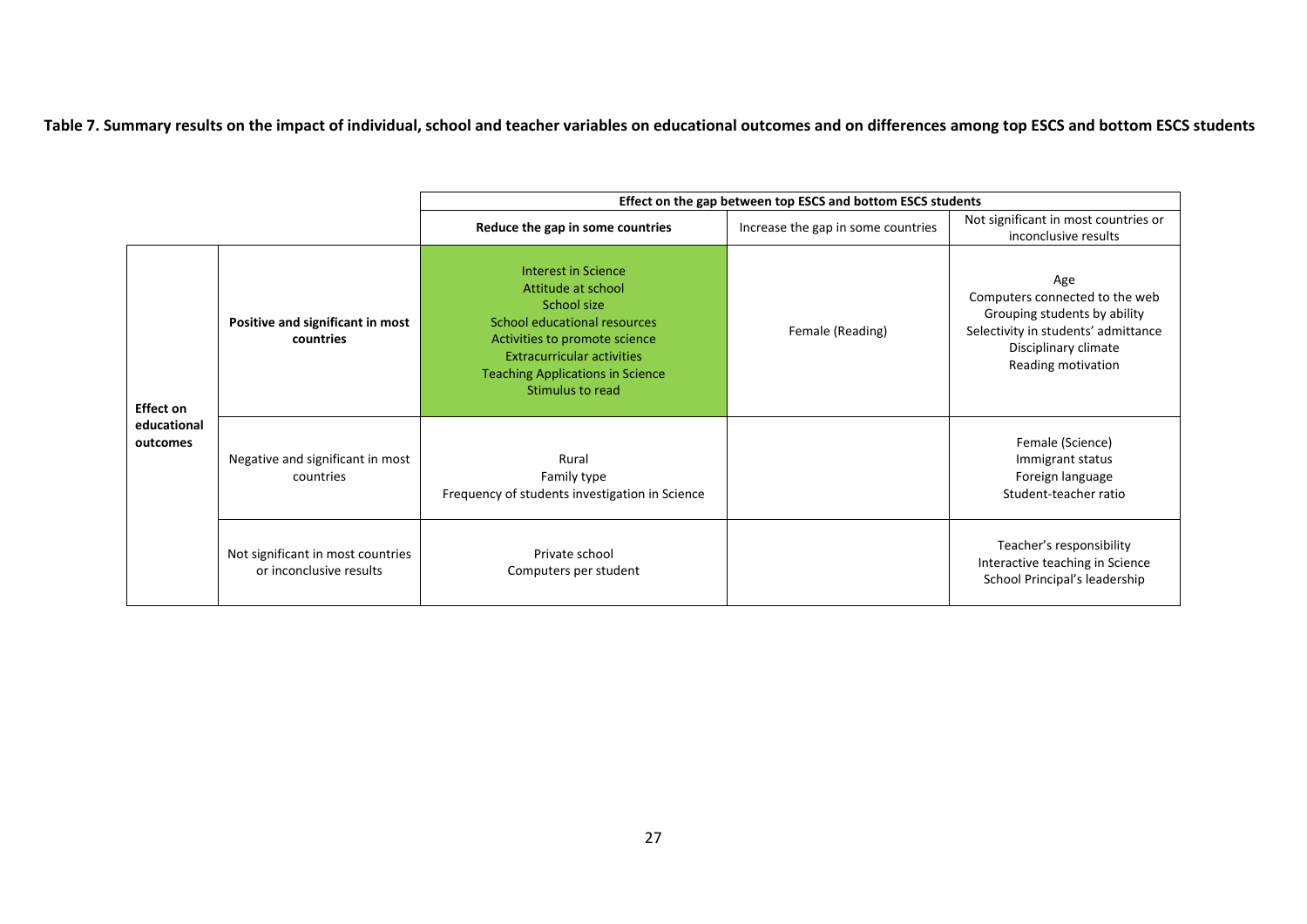Table 7. Summary results on the impact of individual, school and teacher variables on educational outcomes and on differences among top ESCS and bottom ESCS students

|                         |                                                              |                                                                                                                                                                                                                               | Effect on the gap between top ESCS and bottom ESCS students |                                                                                                                                                            |
|-------------------------|--------------------------------------------------------------|-------------------------------------------------------------------------------------------------------------------------------------------------------------------------------------------------------------------------------|-------------------------------------------------------------|------------------------------------------------------------------------------------------------------------------------------------------------------------|
|                         |                                                              | Reduce the gap in some countries                                                                                                                                                                                              | Increase the gap in some countries                          | Not significant in most countries or<br>inconclusive results                                                                                               |
| <b>Effect on</b>        | Positive and significant in most<br>countries                | Interest in Science<br>Attitude at school<br>School size<br>School educational resources<br>Activities to promote science<br><b>Extracurricular activities</b><br><b>Teaching Applications in Science</b><br>Stimulus to read | Female (Reading)                                            | Age<br>Computers connected to the web<br>Grouping students by ability<br>Selectivity in students' admittance<br>Disciplinary climate<br>Reading motivation |
| educational<br>outcomes | Negative and significant in most<br>countries                | Rural<br>Family type<br>Frequency of students investigation in Science                                                                                                                                                        |                                                             | Female (Science)<br>Immigrant status<br>Foreign language<br>Student-teacher ratio                                                                          |
|                         | Not significant in most countries<br>or inconclusive results | Private school<br>Computers per student                                                                                                                                                                                       |                                                             | Teacher's responsibility<br>Interactive teaching in Science<br>School Principal's leadership                                                               |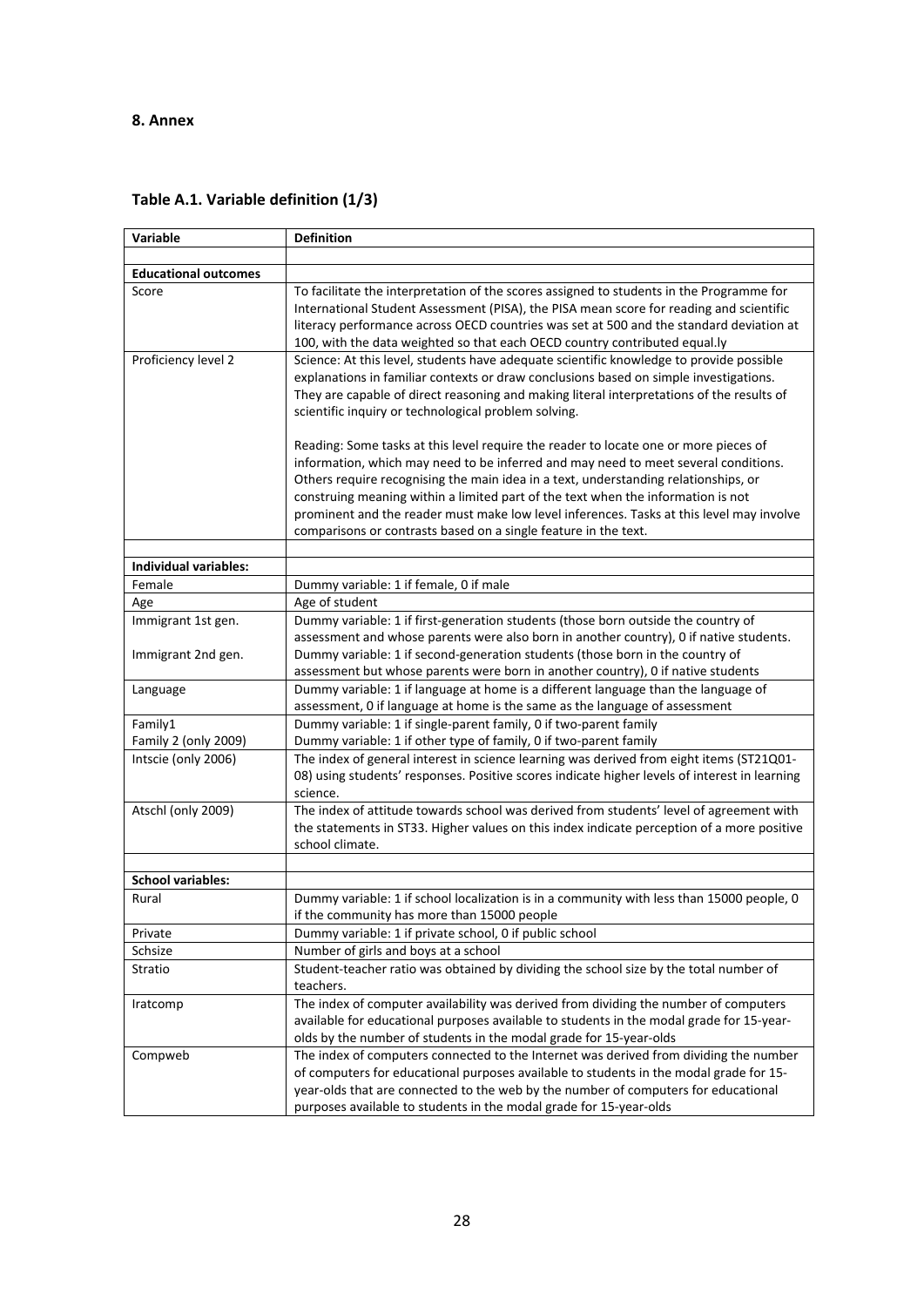### **8. Annex**

|  |  | Table A.1. Variable definition (1/3) |  |
|--|--|--------------------------------------|--|
|--|--|--------------------------------------|--|

| Variable                     | <b>Definition</b>                                                                                                                                                     |
|------------------------------|-----------------------------------------------------------------------------------------------------------------------------------------------------------------------|
|                              |                                                                                                                                                                       |
| <b>Educational outcomes</b>  |                                                                                                                                                                       |
| Score                        | To facilitate the interpretation of the scores assigned to students in the Programme for                                                                              |
|                              | International Student Assessment (PISA), the PISA mean score for reading and scientific                                                                               |
|                              | literacy performance across OECD countries was set at 500 and the standard deviation at                                                                               |
|                              | 100, with the data weighted so that each OECD country contributed equal.ly<br>Science: At this level, students have adequate scientific knowledge to provide possible |
| Proficiency level 2          | explanations in familiar contexts or draw conclusions based on simple investigations.                                                                                 |
|                              | They are capable of direct reasoning and making literal interpretations of the results of                                                                             |
|                              | scientific inquiry or technological problem solving.                                                                                                                  |
|                              |                                                                                                                                                                       |
|                              | Reading: Some tasks at this level require the reader to locate one or more pieces of                                                                                  |
|                              | information, which may need to be inferred and may need to meet several conditions.                                                                                   |
|                              | Others require recognising the main idea in a text, understanding relationships, or                                                                                   |
|                              | construing meaning within a limited part of the text when the information is not                                                                                      |
|                              | prominent and the reader must make low level inferences. Tasks at this level may involve                                                                              |
|                              | comparisons or contrasts based on a single feature in the text.                                                                                                       |
|                              |                                                                                                                                                                       |
| <b>Individual variables:</b> |                                                                                                                                                                       |
| Female                       | Dummy variable: 1 if female, 0 if male                                                                                                                                |
| Age                          | Age of student                                                                                                                                                        |
| Immigrant 1st gen.           | Dummy variable: 1 if first-generation students (those born outside the country of                                                                                     |
|                              | assessment and whose parents were also born in another country), 0 if native students.                                                                                |
| Immigrant 2nd gen.           | Dummy variable: 1 if second-generation students (those born in the country of                                                                                         |
|                              | assessment but whose parents were born in another country), 0 if native students                                                                                      |
| Language                     | Dummy variable: 1 if language at home is a different language than the language of<br>assessment, 0 if language at home is the same as the language of assessment     |
| Family1                      | Dummy variable: 1 if single-parent family, 0 if two-parent family                                                                                                     |
| Family 2 (only 2009)         | Dummy variable: 1 if other type of family, 0 if two-parent family                                                                                                     |
| Intscie (only 2006)          | The index of general interest in science learning was derived from eight items (ST21Q01-                                                                              |
|                              | 08) using students' responses. Positive scores indicate higher levels of interest in learning                                                                         |
|                              | science.                                                                                                                                                              |
| Atschl (only 2009)           | The index of attitude towards school was derived from students' level of agreement with                                                                               |
|                              | the statements in ST33. Higher values on this index indicate perception of a more positive                                                                            |
|                              | school climate.                                                                                                                                                       |
|                              |                                                                                                                                                                       |
| <b>School variables:</b>     |                                                                                                                                                                       |
| Rural                        | Dummy variable: 1 if school localization is in a community with less than 15000 people, 0                                                                             |
|                              | if the community has more than 15000 people                                                                                                                           |
| Private                      | Dummy variable: 1 if private school, 0 if public school                                                                                                               |
| Schsize                      | Number of girls and boys at a school                                                                                                                                  |
| Stratio                      | Student-teacher ratio was obtained by dividing the school size by the total number of                                                                                 |
|                              | teachers.                                                                                                                                                             |
| Iratcomp                     | The index of computer availability was derived from dividing the number of computers                                                                                  |
|                              | available for educational purposes available to students in the modal grade for 15-year-                                                                              |
|                              | olds by the number of students in the modal grade for 15-year-olds                                                                                                    |
| Compweb                      | The index of computers connected to the Internet was derived from dividing the number                                                                                 |
|                              | of computers for educational purposes available to students in the modal grade for 15-                                                                                |
|                              | year-olds that are connected to the web by the number of computers for educational<br>purposes available to students in the modal grade for 15-year-olds              |
|                              |                                                                                                                                                                       |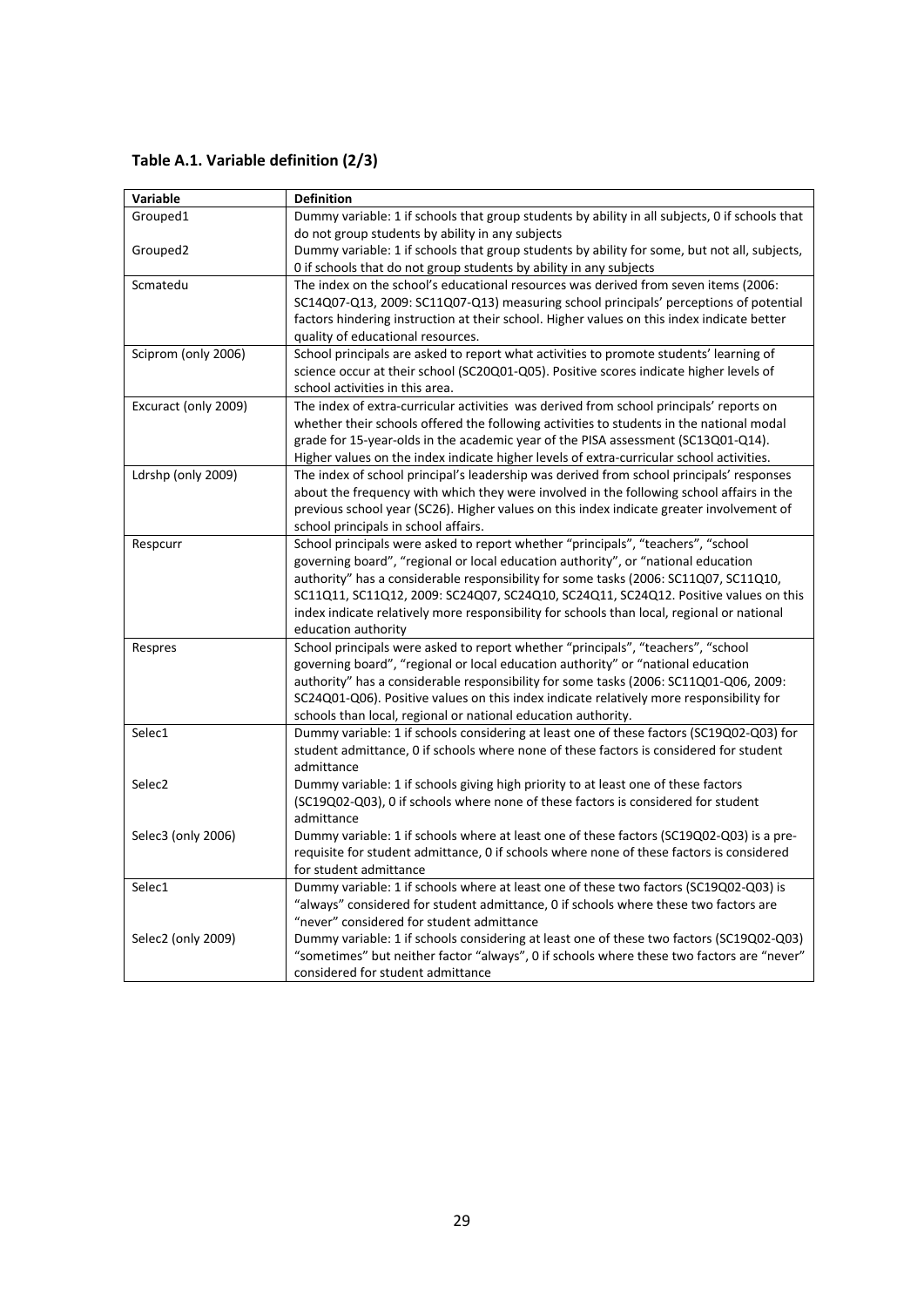**Table A.1. Variable definition (2/3)**

| Variable             | <b>Definition</b>                                                                                       |
|----------------------|---------------------------------------------------------------------------------------------------------|
| Grouped1             | Dummy variable: 1 if schools that group students by ability in all subjects, 0 if schools that          |
|                      | do not group students by ability in any subjects                                                        |
| Grouped2             | Dummy variable: 1 if schools that group students by ability for some, but not all, subjects,            |
|                      | 0 if schools that do not group students by ability in any subjects                                      |
| Scmatedu             | The index on the school's educational resources was derived from seven items (2006:                     |
|                      | SC14Q07-Q13, 2009: SC11Q07-Q13) measuring school principals' perceptions of potential                   |
|                      | factors hindering instruction at their school. Higher values on this index indicate better              |
|                      | quality of educational resources.                                                                       |
| Sciprom (only 2006)  | School principals are asked to report what activities to promote students' learning of                  |
|                      | science occur at their school (SC20Q01-Q05). Positive scores indicate higher levels of                  |
|                      | school activities in this area.                                                                         |
| Excuract (only 2009) | The index of extra-curricular activities was derived from school principals' reports on                 |
|                      | whether their schools offered the following activities to students in the national modal                |
|                      | grade for 15-year-olds in the academic year of the PISA assessment (SC13Q01-Q14).                       |
|                      | Higher values on the index indicate higher levels of extra-curricular school activities.                |
| Ldrshp (only 2009)   | The index of school principal's leadership was derived from school principals' responses                |
|                      | about the frequency with which they were involved in the following school affairs in the                |
|                      | previous school year (SC26). Higher values on this index indicate greater involvement of                |
|                      | school principals in school affairs.                                                                    |
| Respcurr             | School principals were asked to report whether "principals", "teachers", "school                        |
|                      | governing board", "regional or local education authority", or "national education                       |
|                      | authority" has a considerable responsibility for some tasks (2006: SC11Q07, SC11Q10,                    |
|                      | SC11Q11, SC11Q12, 2009: SC24Q07, SC24Q10, SC24Q11, SC24Q12. Positive values on this                     |
|                      | index indicate relatively more responsibility for schools than local, regional or national              |
|                      | education authority<br>School principals were asked to report whether "principals", "teachers", "school |
| Respres              | governing board", "regional or local education authority" or "national education                        |
|                      | authority" has a considerable responsibility for some tasks (2006: SC11Q01-Q06, 2009:                   |
|                      | SC24Q01-Q06). Positive values on this index indicate relatively more responsibility for                 |
|                      | schools than local, regional or national education authority.                                           |
| Selec1               | Dummy variable: 1 if schools considering at least one of these factors (SC19Q02-Q03) for                |
|                      | student admittance, 0 if schools where none of these factors is considered for student                  |
|                      | admittance                                                                                              |
| Selec <sub>2</sub>   | Dummy variable: 1 if schools giving high priority to at least one of these factors                      |
|                      | (SC19Q02-Q03), 0 if schools where none of these factors is considered for student                       |
|                      | admittance                                                                                              |
| Selec3 (only 2006)   | Dummy variable: 1 if schools where at least one of these factors (SC19Q02-Q03) is a pre-                |
|                      | requisite for student admittance, 0 if schools where none of these factors is considered                |
|                      | for student admittance                                                                                  |
| Selec1               | Dummy variable: 1 if schools where at least one of these two factors (SC19Q02-Q03) is                   |
|                      | "always" considered for student admittance, 0 if schools where these two factors are                    |
|                      | "never" considered for student admittance                                                               |
| Selec2 (only 2009)   | Dummy variable: 1 if schools considering at least one of these two factors (SC19Q02-Q03)                |
|                      | "sometimes" but neither factor "always", 0 if schools where these two factors are "never"               |
|                      | considered for student admittance                                                                       |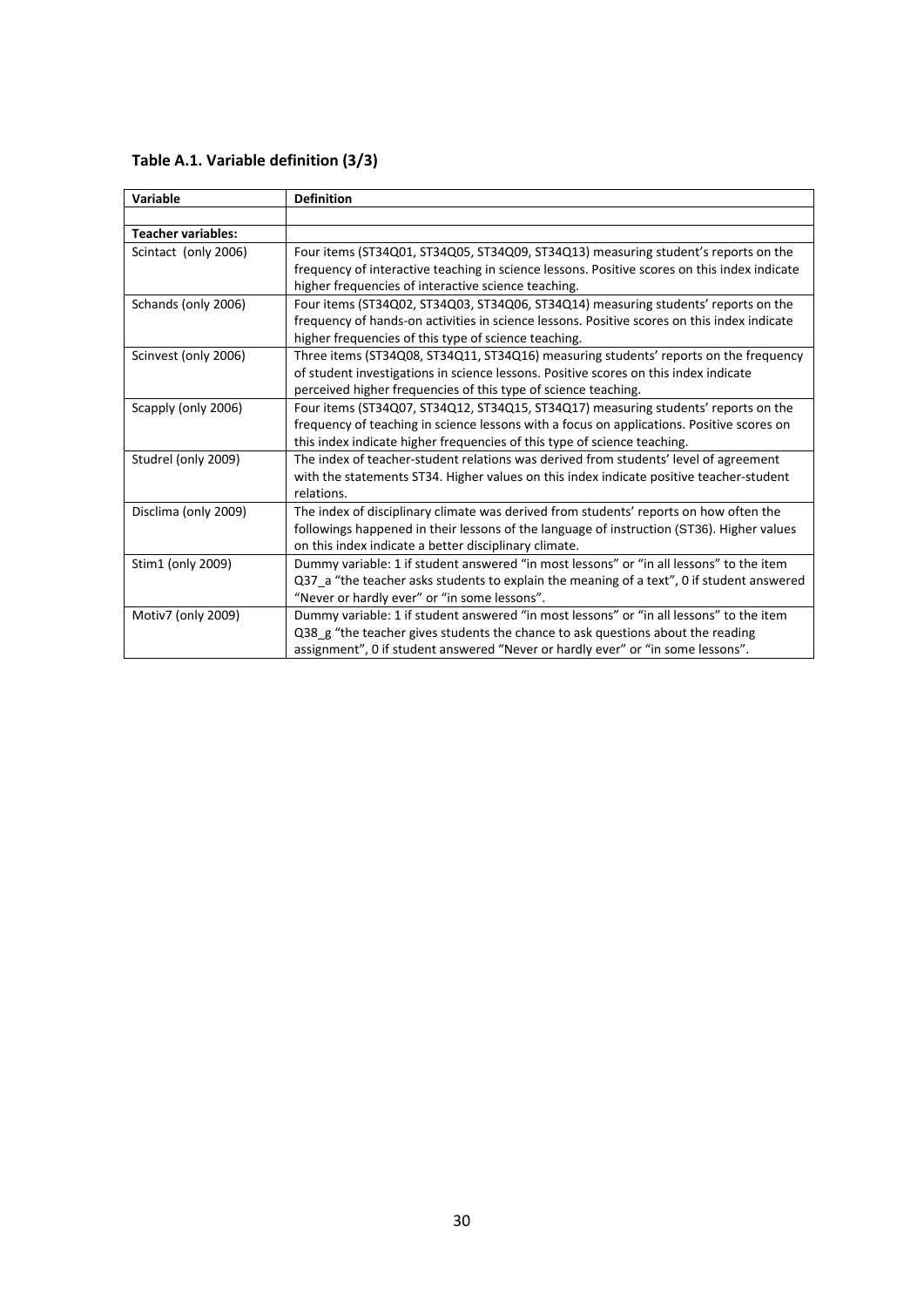**Table A.1. Variable definition (3/3)**

| Variable                  | <b>Definition</b>                                                                            |
|---------------------------|----------------------------------------------------------------------------------------------|
|                           |                                                                                              |
| <b>Teacher variables:</b> |                                                                                              |
| Scintact (only 2006)      | Four items (ST34Q01, ST34Q05, ST34Q09, ST34Q13) measuring student's reports on the           |
|                           | frequency of interactive teaching in science lessons. Positive scores on this index indicate |
|                           | higher frequencies of interactive science teaching.                                          |
| Schands (only 2006)       | Four items (ST34Q02, ST34Q03, ST34Q06, ST34Q14) measuring students' reports on the           |
|                           | frequency of hands-on activities in science lessons. Positive scores on this index indicate  |
|                           | higher frequencies of this type of science teaching.                                         |
| Scinvest (only 2006)      | Three items (ST34Q08, ST34Q11, ST34Q16) measuring students' reports on the frequency         |
|                           | of student investigations in science lessons. Positive scores on this index indicate         |
|                           | perceived higher frequencies of this type of science teaching.                               |
| Scapply (only 2006)       | Four items (ST34Q07, ST34Q12, ST34Q15, ST34Q17) measuring students' reports on the           |
|                           | frequency of teaching in science lessons with a focus on applications. Positive scores on    |
|                           | this index indicate higher frequencies of this type of science teaching.                     |
| Studrel (only 2009)       | The index of teacher-student relations was derived from students' level of agreement         |
|                           | with the statements ST34. Higher values on this index indicate positive teacher-student      |
|                           | relations.                                                                                   |
| Disclima (only 2009)      | The index of disciplinary climate was derived from students' reports on how often the        |
|                           | followings happened in their lessons of the language of instruction (ST36). Higher values    |
|                           | on this index indicate a better disciplinary climate.                                        |
| Stim1 (only 2009)         | Dummy variable: 1 if student answered "in most lessons" or "in all lessons" to the item      |
|                           | Q37_a "the teacher asks students to explain the meaning of a text", 0 if student answered    |
|                           | "Never or hardly ever" or "in some lessons".                                                 |
| Motiv7 (only 2009)        | Dummy variable: 1 if student answered "in most lessons" or "in all lessons" to the item      |
|                           | Q38_g "the teacher gives students the chance to ask questions about the reading              |
|                           | assignment", 0 if student answered "Never or hardly ever" or "in some lessons".              |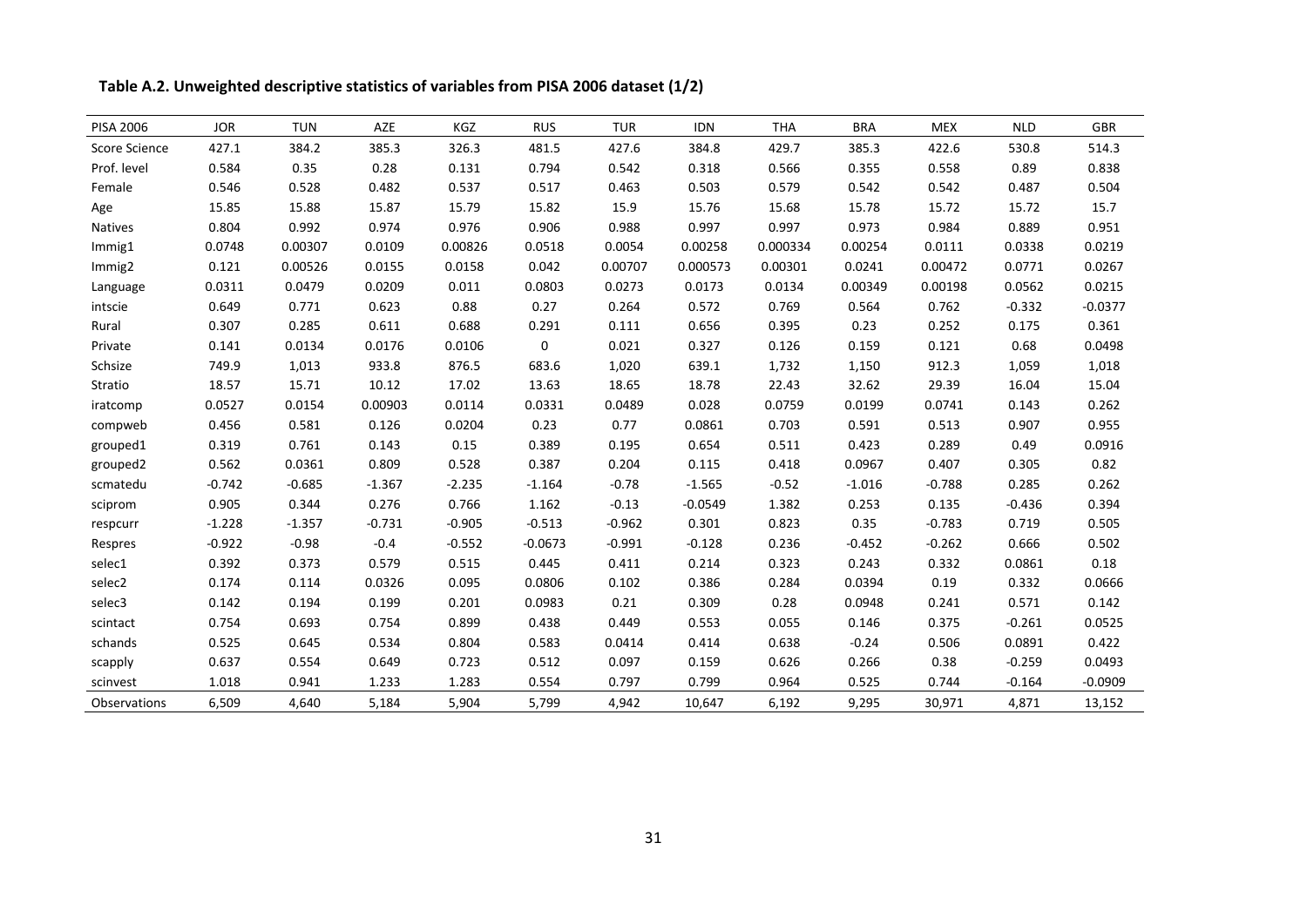**Table A.2. Unweighted descriptive statistics of variables from PISA 2006 dataset (1/2)**

| <b>PISA 2006</b>     | <b>JOR</b> | <b>TUN</b> | AZE      | KGZ      | <b>RUS</b> | <b>TUR</b> | IDN       | <b>THA</b> | <b>BRA</b> | <b>MEX</b> | <b>NLD</b> | <b>GBR</b> |
|----------------------|------------|------------|----------|----------|------------|------------|-----------|------------|------------|------------|------------|------------|
| <b>Score Science</b> | 427.1      | 384.2      | 385.3    | 326.3    | 481.5      | 427.6      | 384.8     | 429.7      | 385.3      | 422.6      | 530.8      | 514.3      |
| Prof. level          | 0.584      | 0.35       | 0.28     | 0.131    | 0.794      | 0.542      | 0.318     | 0.566      | 0.355      | 0.558      | 0.89       | 0.838      |
| Female               | 0.546      | 0.528      | 0.482    | 0.537    | 0.517      | 0.463      | 0.503     | 0.579      | 0.542      | 0.542      | 0.487      | 0.504      |
| Age                  | 15.85      | 15.88      | 15.87    | 15.79    | 15.82      | 15.9       | 15.76     | 15.68      | 15.78      | 15.72      | 15.72      | 15.7       |
| <b>Natives</b>       | 0.804      | 0.992      | 0.974    | 0.976    | 0.906      | 0.988      | 0.997     | 0.997      | 0.973      | 0.984      | 0.889      | 0.951      |
| Immig1               | 0.0748     | 0.00307    | 0.0109   | 0.00826  | 0.0518     | 0.0054     | 0.00258   | 0.000334   | 0.00254    | 0.0111     | 0.0338     | 0.0219     |
| Immig2               | 0.121      | 0.00526    | 0.0155   | 0.0158   | 0.042      | 0.00707    | 0.000573  | 0.00301    | 0.0241     | 0.00472    | 0.0771     | 0.0267     |
| Language             | 0.0311     | 0.0479     | 0.0209   | 0.011    | 0.0803     | 0.0273     | 0.0173    | 0.0134     | 0.00349    | 0.00198    | 0.0562     | 0.0215     |
| intscie              | 0.649      | 0.771      | 0.623    | 0.88     | 0.27       | 0.264      | 0.572     | 0.769      | 0.564      | 0.762      | $-0.332$   | $-0.0377$  |
| Rural                | 0.307      | 0.285      | 0.611    | 0.688    | 0.291      | 0.111      | 0.656     | 0.395      | 0.23       | 0.252      | 0.175      | 0.361      |
| Private              | 0.141      | 0.0134     | 0.0176   | 0.0106   | 0          | 0.021      | 0.327     | 0.126      | 0.159      | 0.121      | 0.68       | 0.0498     |
| Schsize              | 749.9      | 1,013      | 933.8    | 876.5    | 683.6      | 1,020      | 639.1     | 1,732      | 1,150      | 912.3      | 1,059      | 1,018      |
| Stratio              | 18.57      | 15.71      | 10.12    | 17.02    | 13.63      | 18.65      | 18.78     | 22.43      | 32.62      | 29.39      | 16.04      | 15.04      |
| iratcomp             | 0.0527     | 0.0154     | 0.00903  | 0.0114   | 0.0331     | 0.0489     | 0.028     | 0.0759     | 0.0199     | 0.0741     | 0.143      | 0.262      |
| compweb              | 0.456      | 0.581      | 0.126    | 0.0204   | 0.23       | 0.77       | 0.0861    | 0.703      | 0.591      | 0.513      | 0.907      | 0.955      |
| grouped1             | 0.319      | 0.761      | 0.143    | 0.15     | 0.389      | 0.195      | 0.654     | 0.511      | 0.423      | 0.289      | 0.49       | 0.0916     |
| grouped2             | 0.562      | 0.0361     | 0.809    | 0.528    | 0.387      | 0.204      | 0.115     | 0.418      | 0.0967     | 0.407      | 0.305      | 0.82       |
| scmatedu             | $-0.742$   | $-0.685$   | $-1.367$ | $-2.235$ | $-1.164$   | $-0.78$    | $-1.565$  | $-0.52$    | $-1.016$   | $-0.788$   | 0.285      | 0.262      |
| sciprom              | 0.905      | 0.344      | 0.276    | 0.766    | 1.162      | $-0.13$    | $-0.0549$ | 1.382      | 0.253      | 0.135      | $-0.436$   | 0.394      |
| respcurr             | $-1.228$   | $-1.357$   | $-0.731$ | $-0.905$ | $-0.513$   | $-0.962$   | 0.301     | 0.823      | 0.35       | $-0.783$   | 0.719      | 0.505      |
| Respres              | $-0.922$   | $-0.98$    | $-0.4$   | $-0.552$ | $-0.0673$  | $-0.991$   | $-0.128$  | 0.236      | $-0.452$   | $-0.262$   | 0.666      | 0.502      |
| selec1               | 0.392      | 0.373      | 0.579    | 0.515    | 0.445      | 0.411      | 0.214     | 0.323      | 0.243      | 0.332      | 0.0861     | 0.18       |
| selec2               | 0.174      | 0.114      | 0.0326   | 0.095    | 0.0806     | 0.102      | 0.386     | 0.284      | 0.0394     | 0.19       | 0.332      | 0.0666     |
| selec3               | 0.142      | 0.194      | 0.199    | 0.201    | 0.0983     | 0.21       | 0.309     | 0.28       | 0.0948     | 0.241      | 0.571      | 0.142      |
| scintact             | 0.754      | 0.693      | 0.754    | 0.899    | 0.438      | 0.449      | 0.553     | 0.055      | 0.146      | 0.375      | $-0.261$   | 0.0525     |
| schands              | 0.525      | 0.645      | 0.534    | 0.804    | 0.583      | 0.0414     | 0.414     | 0.638      | $-0.24$    | 0.506      | 0.0891     | 0.422      |
| scapply              | 0.637      | 0.554      | 0.649    | 0.723    | 0.512      | 0.097      | 0.159     | 0.626      | 0.266      | 0.38       | $-0.259$   | 0.0493     |
| scinvest             | 1.018      | 0.941      | 1.233    | 1.283    | 0.554      | 0.797      | 0.799     | 0.964      | 0.525      | 0.744      | $-0.164$   | $-0.0909$  |
| Observations         | 6,509      | 4,640      | 5,184    | 5,904    | 5,799      | 4,942      | 10,647    | 6,192      | 9,295      | 30,971     | 4,871      | 13,152     |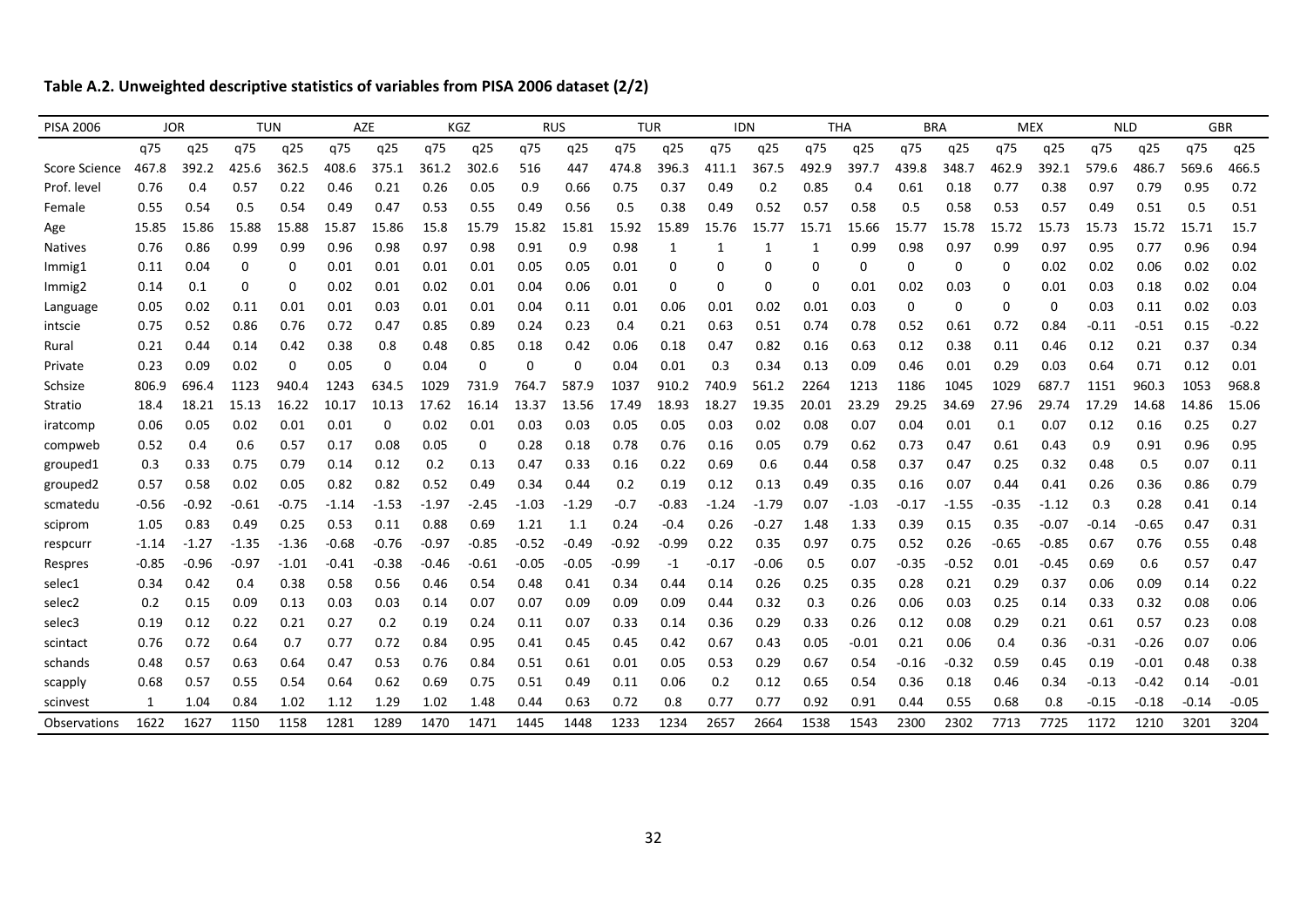**Table A.2. Unweighted descriptive statistics of variables from PISA 2006 dataset (2/2)**

| <b>PISA 2006</b>     | <b>JOR</b> |         | <b>TUN</b> |          | AZE     |          | <b>KGZ</b> |         | <b>RUS</b> |          | <b>TUR</b> |         | <b>IDN</b> |         | <b>THA</b> |         | <b>BRA</b> |          | <b>MEX</b> |          | <b>NLD</b> |         | <b>GBR</b> |         |
|----------------------|------------|---------|------------|----------|---------|----------|------------|---------|------------|----------|------------|---------|------------|---------|------------|---------|------------|----------|------------|----------|------------|---------|------------|---------|
|                      | q75        | q25     | q75        | q25      | q75     | q25      | q75        | q25     | q75        | q25      | q75        | q25     | q75        | q25     | q75        | q25     | q75        | q25      | q75        | q25      | q75        | q25     | q75        | q25     |
| <b>Score Science</b> | 467.8      | 392.2   | 425.6      | 362.5    | 408.6   | 375.1    | 361.2      | 302.6   | 516        | 447      | 474.8      | 396.3   | 411.1      | 367.5   | 492.9      | 397.7   | 439.8      | 348.7    | 462.9      | 392.1    | 579.6      | 486.7   | 569.6      | 466.5   |
| Prof. level          | 0.76       | 0.4     | 0.57       | 0.22     | 0.46    | 0.21     | 0.26       | 0.05    | 0.9        | 0.66     | 0.75       | 0.37    | 0.49       | 0.2     | 0.85       | 0.4     | 0.61       | 0.18     | 0.77       | 0.38     | 0.97       | 0.79    | 0.95       | 0.72    |
| Female               | 0.55       | 0.54    | 0.5        | 0.54     | 0.49    | 0.47     | 0.53       | 0.55    | 0.49       | 0.56     | 0.5        | 0.38    | 0.49       | 0.52    | 0.57       | 0.58    | 0.5        | 0.58     | 0.53       | 0.57     | 0.49       | 0.51    | 0.5        | 0.51    |
| Age                  | 15.85      | 15.86   | 15.88      | 15.88    | 15.87   | 15.86    | 15.8       | 15.79   | 15.82      | 15.81    | 15.92      | 15.89   | 15.76      | 15.77   | 15.71      | 15.66   | 15.77      | 15.78    | 15.72      | 15.73    | 15.73      | 15.72   | 15.71      | 15.7    |
| <b>Natives</b>       | 0.76       | 0.86    | 0.99       | 0.99     | 0.96    | 0.98     | 0.97       | 0.98    | 0.91       | 0.9      | 0.98       | 1       | 1          | 1       | -1         | 0.99    | 0.98       | 0.97     | 0.99       | 0.97     | 0.95       | 0.77    | 0.96       | 0.94    |
| Immig1               | 0.11       | 0.04    | 0          | 0        | 0.01    | 0.01     | 0.01       | 0.01    | 0.05       | 0.05     | 0.01       | 0       | $\Omega$   | 0       | 0          | 0       | 0          | $\Omega$ | 0          | 0.02     | 0.02       | 0.06    | 0.02       | 0.02    |
| Immig2               | 0.14       | 0.1     | 0          | $\Omega$ | 0.02    | 0.01     | 0.02       | 0.01    | 0.04       | 0.06     | 0.01       | 0       | $\Omega$   | 0       | 0          | 0.01    | 0.02       | 0.03     | $\Omega$   | 0.01     | 0.03       | 0.18    | 0.02       | 0.04    |
| Language             | 0.05       | 0.02    | 0.11       | 0.01     | 0.01    | 0.03     | 0.01       | 0.01    | 0.04       | 0.11     | 0.01       | 0.06    | 0.01       | 0.02    | 0.01       | 0.03    | 0          | $\Omega$ | $\Omega$   | $\Omega$ | 0.03       | 0.11    | 0.02       | 0.03    |
| intscie              | 0.75       | 0.52    | 0.86       | 0.76     | 0.72    | 0.47     | 0.85       | 0.89    | 0.24       | 0.23     | 0.4        | 0.21    | 0.63       | 0.51    | 0.74       | 0.78    | 0.52       | 0.61     | 0.72       | 0.84     | $-0.11$    | $-0.51$ | 0.15       | $-0.22$ |
| Rural                | 0.21       | 0.44    | 0.14       | 0.42     | 0.38    | 0.8      | 0.48       | 0.85    | 0.18       | 0.42     | 0.06       | 0.18    | 0.47       | 0.82    | 0.16       | 0.63    | 0.12       | 0.38     | 0.11       | 0.46     | 0.12       | 0.21    | 0.37       | 0.34    |
| Private              | 0.23       | 0.09    | 0.02       | $\Omega$ | 0.05    | $\Omega$ | 0.04       |         | 0          | $\Omega$ | 0.04       | 0.01    | 0.3        | 0.34    | 0.13       | 0.09    | 0.46       | 0.01     | 0.29       | 0.03     | 0.64       | 0.71    | 0.12       | 0.01    |
| Schsize              | 806.9      | 696.4   | 1123       | 940.4    | 1243    | 634.5    | 1029       | 731.9   | 764.7      | 587.9    | 1037       | 910.2   | 740.9      | 561.2   | 2264       | 1213    | 1186       | 1045     | 1029       | 687.7    | 1151       | 960.3   | 1053       | 968.8   |
| Stratio              | 18.4       | 18.21   | 15.13      | 16.22    | 10.17   | 10.13    | 17.62      | 16.14   | 13.37      | 13.56    | 17.49      | 18.93   | 18.27      | 19.35   | 20.01      | 23.29   | 29.25      | 34.69    | 27.96      | 29.74    | 17.29      | 14.68   | 14.86      | 15.06   |
| iratcomp             | 0.06       | 0.05    | 0.02       | 0.01     | 0.01    | $\Omega$ | 0.02       | 0.01    | 0.03       | 0.03     | 0.05       | 0.05    | 0.03       | 0.02    | 0.08       | 0.07    | 0.04       | 0.01     | 0.1        | 0.07     | 0.12       | 0.16    | 0.25       | 0.27    |
| compweb              | 0.52       | 0.4     | 0.6        | 0.57     | 0.17    | 0.08     | 0.05       | O       | 0.28       | 0.18     | 0.78       | 0.76    | 0.16       | 0.05    | 0.79       | 0.62    | 0.73       | 0.47     | 0.61       | 0.43     | 0.9        | 0.91    | 0.96       | 0.95    |
| grouped1             | 0.3        | 0.33    | 0.75       | 0.79     | 0.14    | 0.12     | 0.2        | 0.13    | 0.47       | 0.33     | 0.16       | 0.22    | 0.69       | 0.6     | 0.44       | 0.58    | 0.37       | 0.47     | 0.25       | 0.32     | 0.48       | 0.5     | 0.07       | 0.11    |
| grouped <sub>2</sub> | 0.57       | 0.58    | 0.02       | 0.05     | 0.82    | 0.82     | 0.52       | 0.49    | 0.34       | 0.44     | 0.2        | 0.19    | 0.12       | 0.13    | 0.49       | 0.35    | 0.16       | 0.07     | 0.44       | 0.41     | 0.26       | 0.36    | 0.86       | 0.79    |
| scmatedu             | $-0.56$    | $-0.92$ | $-0.61$    | $-0.75$  | $-1.14$ | $-1.53$  | $-1.97$    | $-2.45$ | $-1.03$    | $-1.29$  | $-0.7$     | $-0.83$ | $-1.24$    | $-1.79$ | 0.07       | $-1.03$ | -0.17      | $-1.55$  | $-0.35$    | $-1.12$  | 0.3        | 0.28    | 0.41       | 0.14    |
| sciprom              | 1.05       | 0.83    | 0.49       | 0.25     | 0.53    | 0.11     | 0.88       | 0.69    | 1.21       | 1.1      | 0.24       | $-0.4$  | 0.26       | $-0.27$ | 1.48       | 1.33    | 0.39       | 0.15     | 0.35       | $-0.07$  | $-0.14$    | $-0.65$ | 0.47       | 0.31    |
| respcurr             | -1.14      | -1.27   | $-1.35$    | $-1.36$  | $-0.68$ | -0.76    | $-0.97$    | $-0.85$ | $-0.52$    | $-0.49$  | $-0.92$    | $-0.99$ | 0.22       | 0.35    | 0.97       | 0.75    | 0.52       | 0.26     | $-0.65$    | $-0.85$  | 0.67       | 0.76    | 0.55       | 0.48    |
| Respres              | $-0.85$    | $-0.96$ | $-0.97$    | $-1.01$  | $-0.41$ | $-0.38$  | $-0.46$    | $-0.61$ | $-0.05$    | $-0.05$  | $-0.99$    | $-1$    | $-0.17$    | $-0.06$ | 0.5        | 0.07    | $-0.35$    | $-0.52$  | 0.01       | $-0.45$  | 0.69       | 0.6     | 0.57       | 0.47    |
| selec1               | 0.34       | 0.42    | 0.4        | 0.38     | 0.58    | 0.56     | 0.46       | 0.54    | 0.48       | 0.41     | 0.34       | 0.44    | 0.14       | 0.26    | 0.25       | 0.35    | 0.28       | 0.21     | 0.29       | 0.37     | 0.06       | 0.09    | 0.14       | 0.22    |
| selec2               | 0.2        | 0.15    | 0.09       | 0.13     | 0.03    | 0.03     | 0.14       | 0.07    | 0.07       | 0.09     | 0.09       | 0.09    | 0.44       | 0.32    | 0.3        | 0.26    | 0.06       | 0.03     | 0.25       | 0.14     | 0.33       | 0.32    | 0.08       | 0.06    |
| selec3               | 0.19       | 0.12    | 0.22       | 0.21     | 0.27    | 0.2      | 0.19       | 0.24    | 0.11       | 0.07     | 0.33       | 0.14    | 0.36       | 0.29    | 0.33       | 0.26    | 0.12       | 0.08     | 0.29       | 0.21     | 0.61       | 0.57    | 0.23       | 0.08    |
| scintact             | 0.76       | 0.72    | 0.64       | 0.7      | 0.77    | 0.72     | 0.84       | 0.95    | 0.41       | 0.45     | 0.45       | 0.42    | 0.67       | 0.43    | 0.05       | $-0.01$ | 0.21       | 0.06     | 0.4        | 0.36     | $-0.31$    | $-0.26$ | 0.07       | 0.06    |
| schands              | 0.48       | 0.57    | 0.63       | 0.64     | 0.47    | 0.53     | 0.76       | 0.84    | 0.51       | 0.61     | 0.01       | 0.05    | 0.53       | 0.29    | 0.67       | 0.54    | $-0.16$    | $-0.32$  | 0.59       | 0.45     | 0.19       | $-0.01$ | 0.48       | 0.38    |
| scapply              | 0.68       | 0.57    | 0.55       | 0.54     | 0.64    | 0.62     | 0.69       | 0.75    | 0.51       | 0.49     | 0.11       | 0.06    | 0.2        | 0.12    | 0.65       | 0.54    | 0.36       | 0.18     | 0.46       | 0.34     | $-0.13$    | $-0.42$ | 0.14       | $-0.01$ |
| scinvest             |            | 1.04    | 0.84       | 1.02     | 1.12    | 1.29     | 1.02       | 1.48    | 0.44       | 0.63     | 0.72       | 0.8     | 0.77       | 0.77    | 0.92       | 0.91    | 0.44       | 0.55     | 0.68       | 0.8      | $-0.15$    | $-0.18$ | $-0.14$    | $-0.05$ |
| Observations         | 1622       | 1627    | 1150       | 1158     | 1281    | 1289     | 1470       | 1471    | 1445       | 1448     | 1233       | 1234    | 2657       | 2664    | 1538       | 1543    | 2300       | 2302     | 7713       | 7725     | 1172       | 1210    | 3201       | 3204    |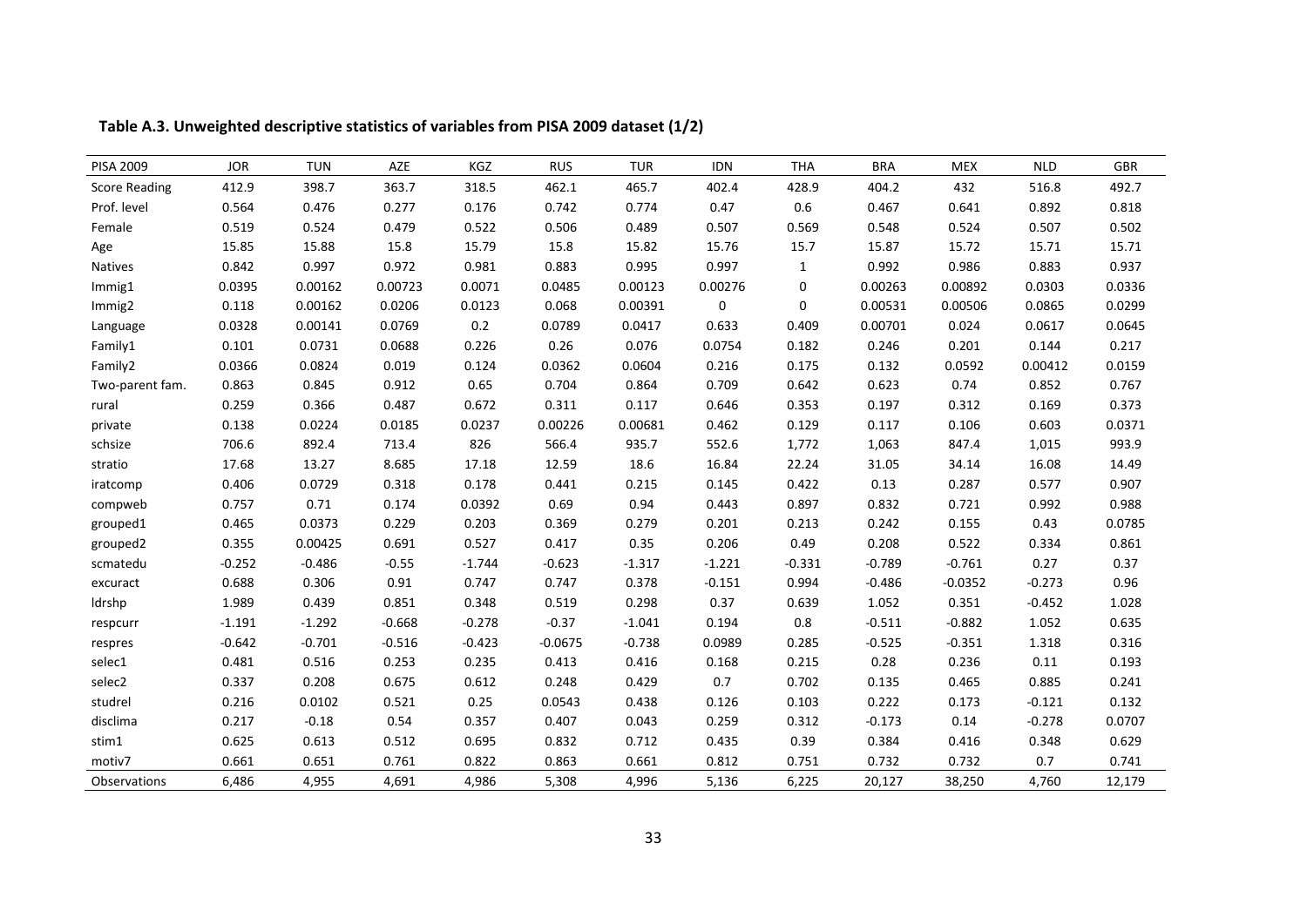| <b>PISA 2009</b>     | <b>JOR</b> | <b>TUN</b> | AZE      | KGZ      | <b>RUS</b> | <b>TUR</b> | IDN         | <b>THA</b>   | <b>BRA</b> | <b>MEX</b> | <b>NLD</b> | GBR    |
|----------------------|------------|------------|----------|----------|------------|------------|-------------|--------------|------------|------------|------------|--------|
| <b>Score Reading</b> | 412.9      | 398.7      | 363.7    | 318.5    | 462.1      | 465.7      | 402.4       | 428.9        | 404.2      | 432        | 516.8      | 492.7  |
| Prof. level          | 0.564      | 0.476      | 0.277    | 0.176    | 0.742      | 0.774      | 0.47        | 0.6          | 0.467      | 0.641      | 0.892      | 0.818  |
| Female               | 0.519      | 0.524      | 0.479    | 0.522    | 0.506      | 0.489      | 0.507       | 0.569        | 0.548      | 0.524      | 0.507      | 0.502  |
| Age                  | 15.85      | 15.88      | 15.8     | 15.79    | 15.8       | 15.82      | 15.76       | 15.7         | 15.87      | 15.72      | 15.71      | 15.71  |
| Natives              | 0.842      | 0.997      | 0.972    | 0.981    | 0.883      | 0.995      | 0.997       | $\mathbf{1}$ | 0.992      | 0.986      | 0.883      | 0.937  |
| Immig1               | 0.0395     | 0.00162    | 0.00723  | 0.0071   | 0.0485     | 0.00123    | 0.00276     | $\mathbf{0}$ | 0.00263    | 0.00892    | 0.0303     | 0.0336 |
| Immig2               | 0.118      | 0.00162    | 0.0206   | 0.0123   | 0.068      | 0.00391    | $\mathbf 0$ | $\mathbf 0$  | 0.00531    | 0.00506    | 0.0865     | 0.0299 |
| Language             | 0.0328     | 0.00141    | 0.0769   | 0.2      | 0.0789     | 0.0417     | 0.633       | 0.409        | 0.00701    | 0.024      | 0.0617     | 0.0645 |
| Family1              | 0.101      | 0.0731     | 0.0688   | 0.226    | 0.26       | 0.076      | 0.0754      | 0.182        | 0.246      | 0.201      | 0.144      | 0.217  |
| Family2              | 0.0366     | 0.0824     | 0.019    | 0.124    | 0.0362     | 0.0604     | 0.216       | 0.175        | 0.132      | 0.0592     | 0.00412    | 0.0159 |
| Two-parent fam.      | 0.863      | 0.845      | 0.912    | 0.65     | 0.704      | 0.864      | 0.709       | 0.642        | 0.623      | 0.74       | 0.852      | 0.767  |
| rural                | 0.259      | 0.366      | 0.487    | 0.672    | 0.311      | 0.117      | 0.646       | 0.353        | 0.197      | 0.312      | 0.169      | 0.373  |
| private              | 0.138      | 0.0224     | 0.0185   | 0.0237   | 0.00226    | 0.00681    | 0.462       | 0.129        | 0.117      | 0.106      | 0.603      | 0.0371 |
| schsize              | 706.6      | 892.4      | 713.4    | 826      | 566.4      | 935.7      | 552.6       | 1,772        | 1,063      | 847.4      | 1,015      | 993.9  |
| stratio              | 17.68      | 13.27      | 8.685    | 17.18    | 12.59      | 18.6       | 16.84       | 22.24        | 31.05      | 34.14      | 16.08      | 14.49  |
| iratcomp             | 0.406      | 0.0729     | 0.318    | 0.178    | 0.441      | 0.215      | 0.145       | 0.422        | 0.13       | 0.287      | 0.577      | 0.907  |
| compweb              | 0.757      | 0.71       | 0.174    | 0.0392   | 0.69       | 0.94       | 0.443       | 0.897        | 0.832      | 0.721      | 0.992      | 0.988  |
| grouped1             | 0.465      | 0.0373     | 0.229    | 0.203    | 0.369      | 0.279      | 0.201       | 0.213        | 0.242      | 0.155      | 0.43       | 0.0785 |
| grouped2             | 0.355      | 0.00425    | 0.691    | 0.527    | 0.417      | 0.35       | 0.206       | 0.49         | 0.208      | 0.522      | 0.334      | 0.861  |
| scmatedu             | $-0.252$   | $-0.486$   | $-0.55$  | $-1.744$ | $-0.623$   | $-1.317$   | $-1.221$    | $-0.331$     | $-0.789$   | $-0.761$   | 0.27       | 0.37   |
| excuract             | 0.688      | 0.306      | 0.91     | 0.747    | 0.747      | 0.378      | $-0.151$    | 0.994        | $-0.486$   | $-0.0352$  | $-0.273$   | 0.96   |
| Idrshp               | 1.989      | 0.439      | 0.851    | 0.348    | 0.519      | 0.298      | 0.37        | 0.639        | 1.052      | 0.351      | $-0.452$   | 1.028  |
| respcurr             | $-1.191$   | $-1.292$   | $-0.668$ | $-0.278$ | $-0.37$    | $-1.041$   | 0.194       | $0.8\,$      | $-0.511$   | $-0.882$   | 1.052      | 0.635  |
| respres              | $-0.642$   | $-0.701$   | $-0.516$ | $-0.423$ | $-0.0675$  | $-0.738$   | 0.0989      | 0.285        | $-0.525$   | $-0.351$   | 1.318      | 0.316  |
| selec1               | 0.481      | 0.516      | 0.253    | 0.235    | 0.413      | 0.416      | 0.168       | 0.215        | 0.28       | 0.236      | 0.11       | 0.193  |
| selec2               | 0.337      | 0.208      | 0.675    | 0.612    | 0.248      | 0.429      | 0.7         | 0.702        | 0.135      | 0.465      | 0.885      | 0.241  |
| studrel              | 0.216      | 0.0102     | 0.521    | 0.25     | 0.0543     | 0.438      | 0.126       | 0.103        | 0.222      | 0.173      | $-0.121$   | 0.132  |
| disclima             | 0.217      | $-0.18$    | 0.54     | 0.357    | 0.407      | 0.043      | 0.259       | 0.312        | $-0.173$   | 0.14       | $-0.278$   | 0.0707 |
| stim1                | 0.625      | 0.613      | 0.512    | 0.695    | 0.832      | 0.712      | 0.435       | 0.39         | 0.384      | 0.416      | 0.348      | 0.629  |
| motiv7               | 0.661      | 0.651      | 0.761    | 0.822    | 0.863      | 0.661      | 0.812       | 0.751        | 0.732      | 0.732      | 0.7        | 0.741  |
| Observations         | 6,486      | 4,955      | 4,691    | 4,986    | 5,308      | 4,996      | 5,136       | 6,225        | 20,127     | 38,250     | 4,760      | 12,179 |

**Table A.3. Unweighted descriptive statistics of variables from PISA 2009 dataset (1/2)**